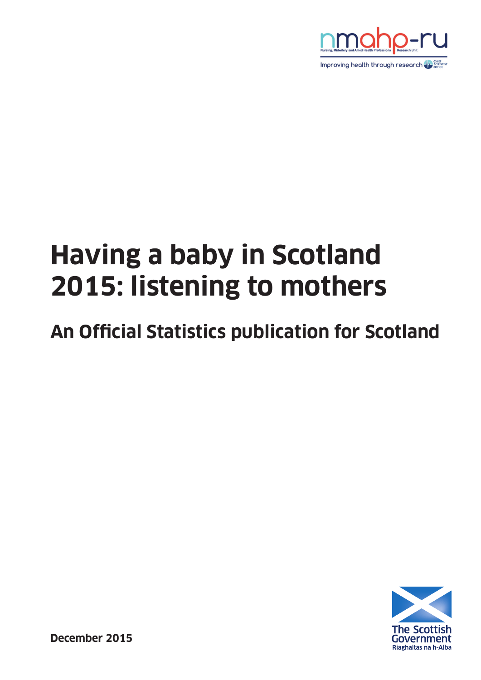

# **Having a baby in Scotland 2015: listening to mothers**

## **An Official Statistics publication for Scotland**



**December 2015**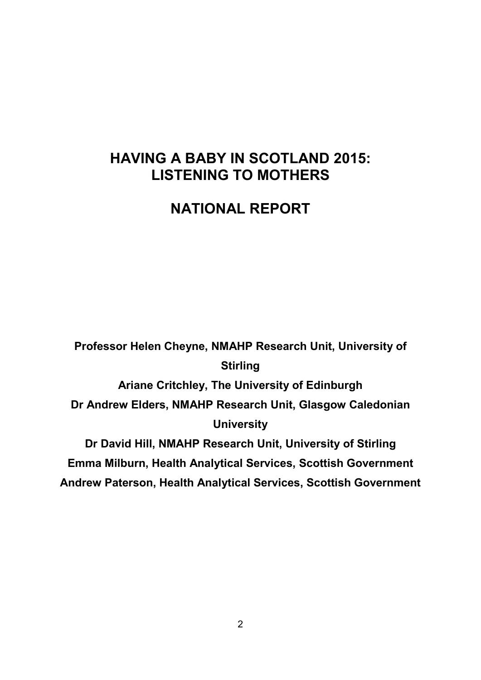## **HAVING A BABY IN SCOTLAND 2015: LISTENING TO MOTHERS**

## **NATIONAL REPORT**

**Professor Helen Cheyne, NMAHP Research Unit, University of Stirling Ariane Critchley, The University of Edinburgh Dr Andrew Elders, NMAHP Research Unit, Glasgow Caledonian University Dr David Hill, NMAHP Research Unit, University of Stirling Emma Milburn, Health Analytical Services, Scottish Government Andrew Paterson, Health Analytical Services, Scottish Government**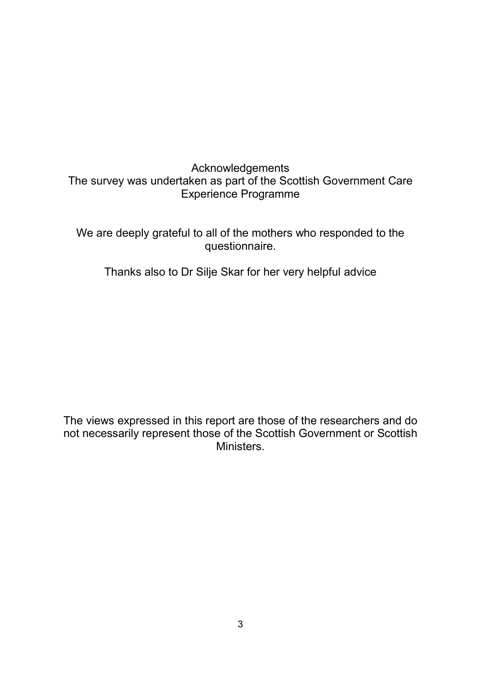## Acknowledgements The survey was undertaken as part of the Scottish Government Care Experience Programme

We are deeply grateful to all of the mothers who responded to the questionnaire.

Thanks also to Dr Silje Skar for her very helpful advice

The views expressed in this report are those of the researchers and do not necessarily represent those of the Scottish Government or Scottish Ministers.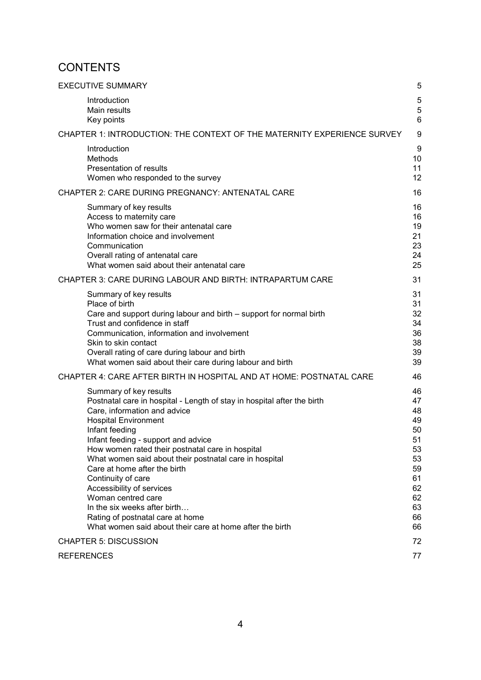## **CONTENTS**

| <b>EXECUTIVE SUMMARY</b>                                                                                                                                                                                                                                                                                                                                                                                                                                                                                                                                                         | 5                                                                                      |
|----------------------------------------------------------------------------------------------------------------------------------------------------------------------------------------------------------------------------------------------------------------------------------------------------------------------------------------------------------------------------------------------------------------------------------------------------------------------------------------------------------------------------------------------------------------------------------|----------------------------------------------------------------------------------------|
| Introduction<br>Main results<br>Key points                                                                                                                                                                                                                                                                                                                                                                                                                                                                                                                                       | 5<br>5<br>$6\phantom{1}6$                                                              |
| CHAPTER 1: INTRODUCTION: THE CONTEXT OF THE MATERNITY EXPERIENCE SURVEY                                                                                                                                                                                                                                                                                                                                                                                                                                                                                                          | 9                                                                                      |
| Introduction<br>Methods<br>Presentation of results<br>Women who responded to the survey                                                                                                                                                                                                                                                                                                                                                                                                                                                                                          | 9<br>10<br>11<br>12                                                                    |
| CHAPTER 2: CARE DURING PREGNANCY: ANTENATAL CARE                                                                                                                                                                                                                                                                                                                                                                                                                                                                                                                                 | 16                                                                                     |
| Summary of key results<br>Access to maternity care<br>Who women saw for their antenatal care<br>Information choice and involvement<br>Communication<br>Overall rating of antenatal care<br>What women said about their antenatal care                                                                                                                                                                                                                                                                                                                                            | 16<br>16<br>19<br>21<br>23<br>24<br>25                                                 |
| CHAPTER 3: CARE DURING LABOUR AND BIRTH: INTRAPARTUM CARE                                                                                                                                                                                                                                                                                                                                                                                                                                                                                                                        | 31                                                                                     |
| Summary of key results<br>Place of birth<br>Care and support during labour and birth - support for normal birth<br>Trust and confidence in staff<br>Communication, information and involvement<br>Skin to skin contact<br>Overall rating of care during labour and birth<br>What women said about their care during labour and birth                                                                                                                                                                                                                                             | 31<br>31<br>32<br>34<br>36<br>38<br>39<br>39                                           |
| CHAPTER 4: CARE AFTER BIRTH IN HOSPITAL AND AT HOME: POSTNATAL CARE                                                                                                                                                                                                                                                                                                                                                                                                                                                                                                              | 46                                                                                     |
| Summary of key results<br>Postnatal care in hospital - Length of stay in hospital after the birth<br>Care, information and advice<br><b>Hospital Environment</b><br>Infant feeding<br>Infant feeding - support and advice<br>How women rated their postnatal care in hospital<br>What women said about their postnatal care in hospital<br>Care at home after the birth<br>Continuity of care<br>Accessibility of services<br>Woman centred care<br>In the six weeks after birth<br>Rating of postnatal care at home<br>What women said about their care at home after the birth | 46<br>47<br>48<br>49<br>50<br>51<br>53<br>53<br>59<br>61<br>62<br>62<br>63<br>66<br>66 |
| <b>CHAPTER 5: DISCUSSION</b>                                                                                                                                                                                                                                                                                                                                                                                                                                                                                                                                                     | 72                                                                                     |
| <b>REFERENCES</b>                                                                                                                                                                                                                                                                                                                                                                                                                                                                                                                                                                | 77                                                                                     |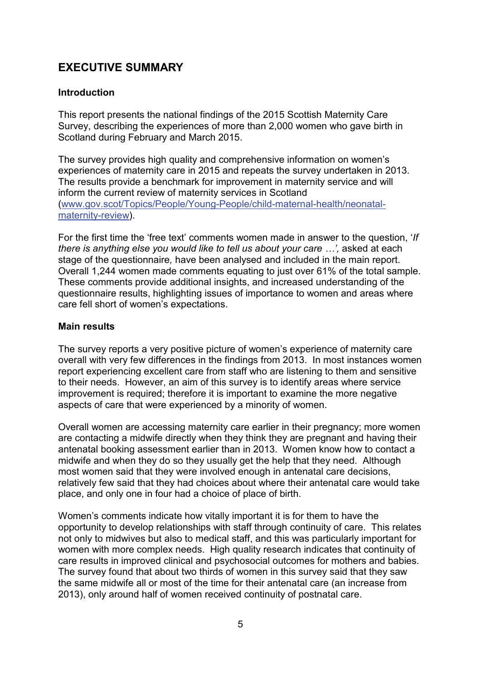## <span id="page-4-0"></span>**EXECUTIVE SUMMARY**

#### <span id="page-4-1"></span>**Introduction**

This report presents the national findings of the 2015 Scottish Maternity Care Survey, describing the experiences of more than 2,000 women who gave birth in Scotland during February and March 2015.

The survey provides high quality and comprehensive information on women's experiences of maternity care in 2015 and repeats the survey undertaken in 2013. The results provide a benchmark for improvement in maternity service and will inform the current review of maternity services in Scotland [\(www.gov.scot/Topics/People/Young-People/child-maternal-health/neonatal](http://www.gov.scot/Topics/People/Young-People/child-maternal-health/neonatal-maternity-review)[maternity-review\)](http://www.gov.scot/Topics/People/Young-People/child-maternal-health/neonatal-maternity-review).

For the first time the 'free text' comments women made in answer to the question, '*If there is anything else you would like to tell us about your care ...'*, asked at each stage of the questionnaire*,* have been analysed and included in the main report. Overall 1,244 women made comments equating to just over 61% of the total sample. These comments provide additional insights, and increased understanding of the questionnaire results, highlighting issues of importance to women and areas where care fell short of women's expectations.

#### <span id="page-4-2"></span>**Main results**

The survey reports a very positive picture of women's experience of maternity care overall with very few differences in the findings from 2013. In most instances women report experiencing excellent care from staff who are listening to them and sensitive to their needs. However, an aim of this survey is to identify areas where service improvement is required; therefore it is important to examine the more negative aspects of care that were experienced by a minority of women.

Overall women are accessing maternity care earlier in their pregnancy; more women are contacting a midwife directly when they think they are pregnant and having their antenatal booking assessment earlier than in 2013. Women know how to contact a midwife and when they do so they usually get the help that they need. Although most women said that they were involved enough in antenatal care decisions, relatively few said that they had choices about where their antenatal care would take place, and only one in four had a choice of place of birth.

Women's comments indicate how vitally important it is for them to have the opportunity to develop relationships with staff through continuity of care. This relates not only to midwives but also to medical staff, and this was particularly important for women with more complex needs. High quality research indicates that continuity of care results in improved clinical and psychosocial outcomes for mothers and babies. The survey found that about two thirds of women in this survey said that they saw the same midwife all or most of the time for their antenatal care (an increase from 2013), only around half of women received continuity of postnatal care.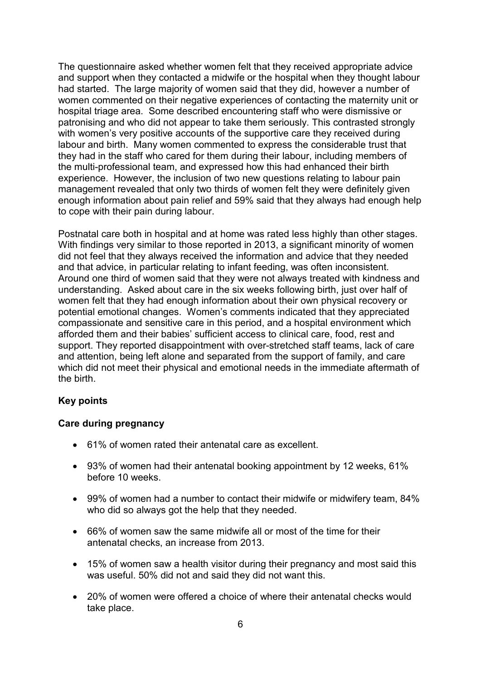The questionnaire asked whether women felt that they received appropriate advice and support when they contacted a midwife or the hospital when they thought labour had started. The large majority of women said that they did, however a number of women commented on their negative experiences of contacting the maternity unit or hospital triage area. Some described encountering staff who were dismissive or patronising and who did not appear to take them seriously. This contrasted strongly with women's very positive accounts of the supportive care they received during labour and birth. Many women commented to express the considerable trust that they had in the staff who cared for them during their labour, including members of the multi-professional team, and expressed how this had enhanced their birth experience. However, the inclusion of two new questions relating to labour pain management revealed that only two thirds of women felt they were definitely given enough information about pain relief and 59% said that they always had enough help to cope with their pain during labour.

Postnatal care both in hospital and at home was rated less highly than other stages. With findings very similar to those reported in 2013, a significant minority of women did not feel that they always received the information and advice that they needed and that advice, in particular relating to infant feeding, was often inconsistent. Around one third of women said that they were not always treated with kindness and understanding. Asked about care in the six weeks following birth, just over half of women felt that they had enough information about their own physical recovery or potential emotional changes. Women's comments indicated that they appreciated compassionate and sensitive care in this period, and a hospital environment which afforded them and their babies' sufficient access to clinical care, food, rest and support. They reported disappointment with over-stretched staff teams, lack of care and attention, being left alone and separated from the support of family, and care which did not meet their physical and emotional needs in the immediate aftermath of the birth.

#### <span id="page-5-0"></span>**Key points**

#### **Care during pregnancy**

- 61% of women rated their antenatal care as excellent.
- 93% of women had their antenatal booking appointment by 12 weeks, 61% before 10 weeks.
- 99% of women had a number to contact their midwife or midwifery team, 84% who did so always got the help that they needed.
- 66% of women saw the same midwife all or most of the time for their antenatal checks, an increase from 2013.
- 15% of women saw a health visitor during their pregnancy and most said this was useful. 50% did not and said they did not want this.
- 20% of women were offered a choice of where their antenatal checks would take place.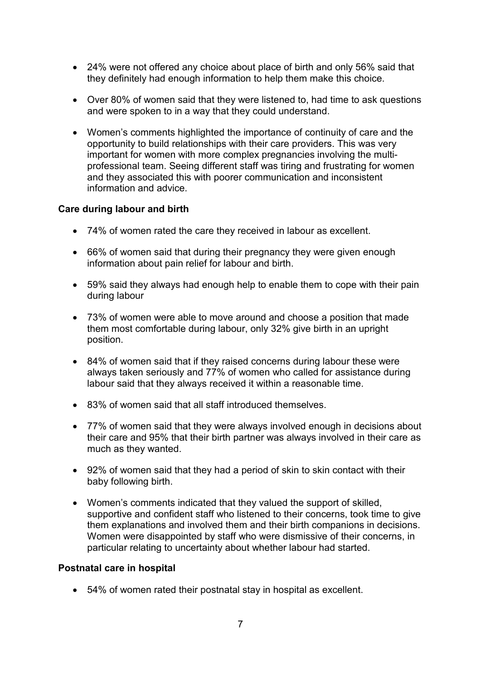- 24% were not offered any choice about place of birth and only 56% said that they definitely had enough information to help them make this choice.
- Over 80% of women said that they were listened to, had time to ask questions and were spoken to in a way that they could understand.
- Women's comments highlighted the importance of continuity of care and the opportunity to build relationships with their care providers. This was very important for women with more complex pregnancies involving the multiprofessional team. Seeing different staff was tiring and frustrating for women and they associated this with poorer communication and inconsistent information and advice.

#### **Care during labour and birth**

- 74% of women rated the care they received in labour as excellent.
- 66% of women said that during their pregnancy they were given enough information about pain relief for labour and birth.
- 59% said they always had enough help to enable them to cope with their pain during labour
- 73% of women were able to move around and choose a position that made them most comfortable during labour, only 32% give birth in an upright position.
- 84% of women said that if they raised concerns during labour these were always taken seriously and 77% of women who called for assistance during labour said that they always received it within a reasonable time.
- 83% of women said that all staff introduced themselves.
- 77% of women said that they were always involved enough in decisions about their care and 95% that their birth partner was always involved in their care as much as they wanted.
- 92% of women said that they had a period of skin to skin contact with their baby following birth.
- Women's comments indicated that they valued the support of skilled, supportive and confident staff who listened to their concerns, took time to give them explanations and involved them and their birth companions in decisions. Women were disappointed by staff who were dismissive of their concerns, in particular relating to uncertainty about whether labour had started.

#### **Postnatal care in hospital**

• 54% of women rated their postnatal stay in hospital as excellent.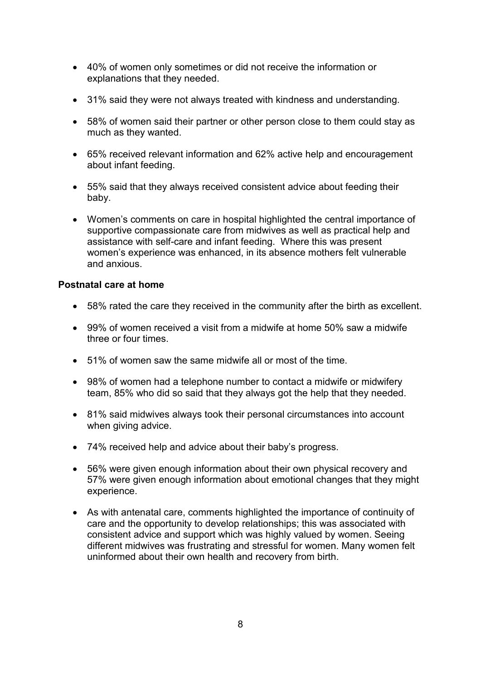- 40% of women only sometimes or did not receive the information or explanations that they needed.
- 31% said they were not always treated with kindness and understanding.
- 58% of women said their partner or other person close to them could stay as much as they wanted.
- 65% received relevant information and 62% active help and encouragement about infant feeding.
- 55% said that they always received consistent advice about feeding their baby.
- Women's comments on care in hospital highlighted the central importance of supportive compassionate care from midwives as well as practical help and assistance with self-care and infant feeding. Where this was present women's experience was enhanced, in its absence mothers felt vulnerable and anxious.

#### **Postnatal care at home**

- 58% rated the care they received in the community after the birth as excellent.
- 99% of women received a visit from a midwife at home 50% saw a midwife three or four times.
- 51% of women saw the same midwife all or most of the time.
- 98% of women had a telephone number to contact a midwife or midwifery team, 85% who did so said that they always got the help that they needed.
- 81% said midwives always took their personal circumstances into account when giving advice.
- 74% received help and advice about their baby's progress.
- 56% were given enough information about their own physical recovery and 57% were given enough information about emotional changes that they might experience.
- As with antenatal care, comments highlighted the importance of continuity of care and the opportunity to develop relationships; this was associated with consistent advice and support which was highly valued by women. Seeing different midwives was frustrating and stressful for women. Many women felt uninformed about their own health and recovery from birth.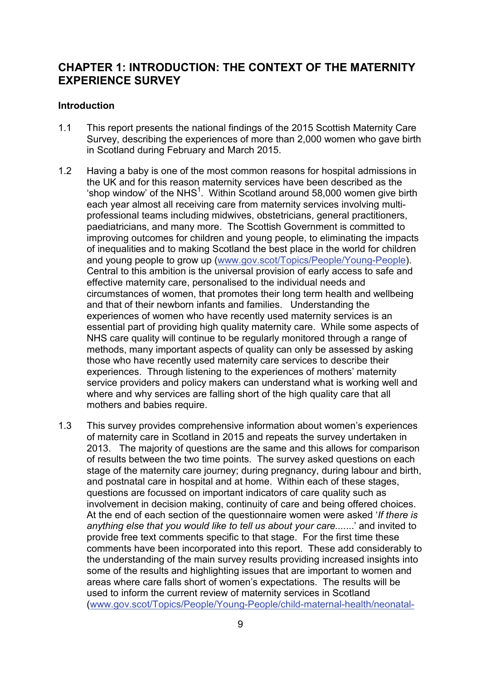### <span id="page-8-0"></span>**CHAPTER 1: INTRODUCTION: THE CONTEXT OF THE MATERNITY EXPERIENCE SURVEY**

#### <span id="page-8-1"></span>**Introduction**

- 1.1 This report presents the national findings of the 2015 Scottish Maternity Care Survey, describing the experiences of more than 2,000 women who gave birth in Scotland during February and March 2015.
- 1.2 Having a baby is one of the most common reasons for hospital admissions in the UK and for this reason maternity services have been described as the 'shop window' of the NHS<sup>1</sup>. Within Scotland around 58,000 women give birth each year almost all receiving care from maternity services involving multiprofessional teams including midwives, obstetricians, general practitioners, paediatricians, and many more. The Scottish Government is committed to improving outcomes for children and young people, to eliminating the impacts of inequalities and to making Scotland the best place in the world for children and young people to grow up [\(www.gov.scot/Topics/People/Young-People\)](http://www.gov.scot/Topics/People/Young-People). Central to this ambition is the universal provision of early access to safe and effective maternity care, personalised to the individual needs and circumstances of women, that promotes their long term health and wellbeing and that of their newborn infants and families. Understanding the experiences of women who have recently used maternity services is an essential part of providing high quality maternity care. While some aspects of NHS care quality will continue to be regularly monitored through a range of methods, many important aspects of quality can only be assessed by asking those who have recently used maternity care services to describe their experiences. Through listening to the experiences of mothers' maternity service providers and policy makers can understand what is working well and where and why services are falling short of the high quality care that all mothers and babies require.
- 1.3 This survey provides comprehensive information about women's experiences of maternity care in Scotland in 2015 and repeats the survey undertaken in 2013. The majority of questions are the same and this allows for comparison of results between the two time points. The survey asked questions on each stage of the maternity care journey; during pregnancy, during labour and birth, and postnatal care in hospital and at home. Within each of these stages, questions are focussed on important indicators of care quality such as involvement in decision making, continuity of care and being offered choices. At the end of each section of the questionnaire women were asked '*If there is anything else that you would like to tell us about your care....*...' and invited to provide free text comments specific to that stage. For the first time these comments have been incorporated into this report. These add considerably to the understanding of the main survey results providing increased insights into some of the results and highlighting issues that are important to women and areas where care falls short of women's expectations. The results will be used to inform the current review of maternity services in Scotland [\(www.gov.scot/Topics/People/Young-People/child-maternal-health/neonatal-](http://www.gov.scot/Topics/People/Young-People/child-maternal-health/neonatal-maternity-review)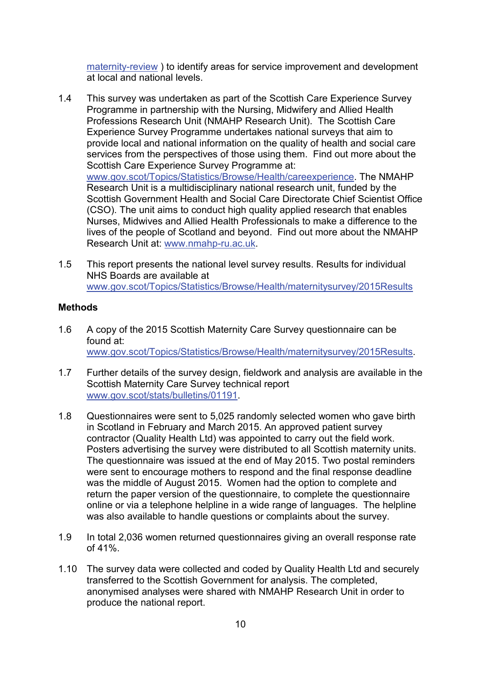[maternity-review](http://www.gov.scot/Topics/People/Young-People/child-maternal-health/neonatal-maternity-review) ) to identify areas for service improvement and development at local and national levels.

- 1.4 This survey was undertaken as part of the Scottish Care Experience Survey Programme in partnership with the Nursing, Midwifery and Allied Health Professions Research Unit (NMAHP Research Unit). The Scottish Care Experience Survey Programme undertakes national surveys that aim to provide local and national information on the quality of health and social care services from the perspectives of those using them. Find out more about the Scottish Care Experience Survey Programme at: [www.gov.scot/Topics/Statistics/Browse/Health/careexperience.](http://www.gov.scot/Topics/Statistics/Browse/Health/careexperience) The NMAHP Research Unit is a multidisciplinary national research unit, funded by the Scottish Government Health and Social Care Directorate Chief Scientist Office (CSO). The unit aims to conduct high quality applied research that enables Nurses, Midwives and Allied Health Professionals to make a difference to the lives of the people of Scotland and beyond. Find out more about the NMAHP Research Unit at: [www.nmahp-ru.ac.uk.](http://www.nmahp-ru.ac.uk/)
- 1.5 This report presents the national level survey results. Results for individual NHS Boards are available at [www.gov.scot/Topics/Statistics/Browse/Health/maternitysurvey/2015Results](http://www.gov.scot/Topics/Statistics/Browse/Health/maternitysurvey/2015Results)

#### <span id="page-9-0"></span>**Methods**

- 1.6 A copy of the 2015 Scottish Maternity Care Survey questionnaire can be found at: [www.gov.scot/Topics/Statistics/Browse/Health/maternitysurvey/2015Results.](http://www.gov.scot/Topics/Statistics/Browse/Health/maternitysurvey/2015Results)
- 1.7 Further details of the survey design, fieldwork and analysis are available in the Scottish Maternity Care Survey technical report [www.gov.scot/stats/bulletins/01191.](http://www.gov.scot/stats/bulletins/01191)
- 1.8 Questionnaires were sent to 5,025 randomly selected women who gave birth in Scotland in February and March 2015. An approved patient survey contractor (Quality Health Ltd) was appointed to carry out the field work. Posters advertising the survey were distributed to all Scottish maternity units. The questionnaire was issued at the end of May 2015. Two postal reminders were sent to encourage mothers to respond and the final response deadline was the middle of August 2015. Women had the option to complete and return the paper version of the questionnaire, to complete the questionnaire online or via a telephone helpline in a wide range of languages. The helpline was also available to handle questions or complaints about the survey.
- 1.9 In total 2,036 women returned questionnaires giving an overall response rate of 41%.
- 1.10 The survey data were collected and coded by Quality Health Ltd and securely transferred to the Scottish Government for analysis. The completed, anonymised analyses were shared with NMAHP Research Unit in order to produce the national report.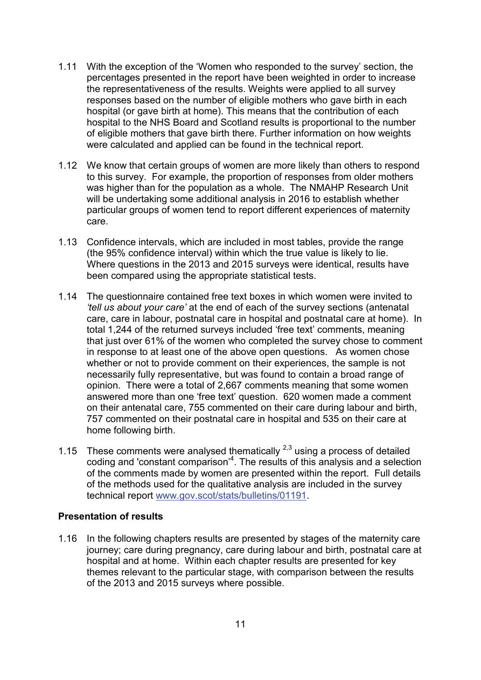- 1.11 With the exception of the 'Women who responded to the survey' section, the percentages presented in the report have been weighted in order to increase the representativeness of the results. Weights were applied to all survey responses based on the number of eligible mothers who gave birth in each hospital (or gave birth at home). This means that the contribution of each hospital to the NHS Board and Scotland results is proportional to the number of eligible mothers that gave birth there. Further information on how weights were calculated and applied can be found in the technical report.
- 1.12 We know that certain groups of women are more likely than others to respond to this survey. For example, the proportion of responses from older mothers was higher than for the population as a whole. The NMAHP Research Unit will be undertaking some additional analysis in 2016 to establish whether particular groups of women tend to report different experiences of maternity care.
- 1.13 Confidence intervals, which are included in most tables, provide the range (the 95% confidence interval) within which the true value is likely to lie. Where questions in the 2013 and 2015 surveys were identical, results have been compared using the appropriate statistical tests.
- 1.14 The questionnaire contained free text boxes in which women were invited to *'tell us about your care'* at the end of each of the survey sections (antenatal care, care in labour, postnatal care in hospital and postnatal care at home). In total 1,244 of the returned surveys included 'free text' comments, meaning that just over 61% of the women who completed the survey chose to comment in response to at least one of the above open questions. As women chose whether or not to provide comment on their experiences, the sample is not necessarily fully representative, but was found to contain a broad range of opinion. There were a total of 2,667 comments meaning that some women answered more than one 'free text' question. 620 women made a comment on their antenatal care, 755 commented on their care during labour and birth, 757 commented on their postnatal care in hospital and 535 on their care at home following birth.
- 1.15 These comments were analysed thematically  $2.3$  using a process of detailed coding and 'constant comparison'<sup>4</sup>. The results of this analysis and a selection of the comments made by women are presented within the report. Full details of the methods used for the qualitative analysis are included in the survey technical report [www.gov.scot/stats/bulletins/01191.](http://www.gov.scot/stats/bulletins/01191)

#### <span id="page-10-0"></span>**Presentation of results**

1.16 In the following chapters results are presented by stages of the maternity care journey; care during pregnancy, care during labour and birth, postnatal care at hospital and at home. Within each chapter results are presented for key themes relevant to the particular stage, with comparison between the results of the 2013 and 2015 surveys where possible.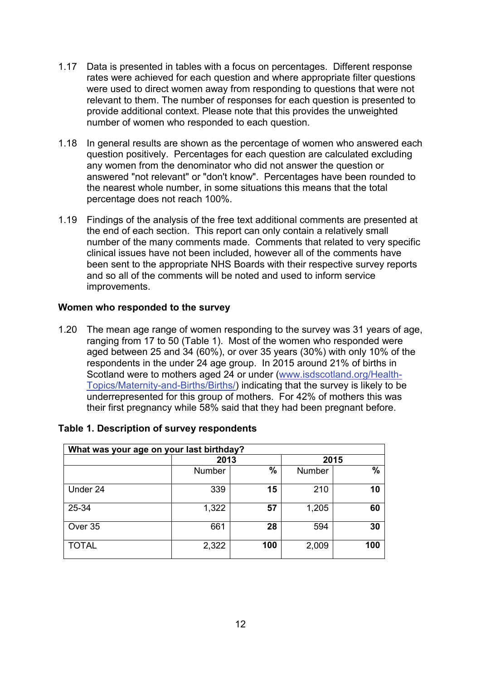- 1.17 Data is presented in tables with a focus on percentages. Different response rates were achieved for each question and where appropriate filter questions were used to direct women away from responding to questions that were not relevant to them. The number of responses for each question is presented to provide additional context. Please note that this provides the unweighted number of women who responded to each question.
- 1.18 In general results are shown as the percentage of women who answered each question positively. Percentages for each question are calculated excluding any women from the denominator who did not answer the question or answered "not relevant" or "don't know". Percentages have been rounded to the nearest whole number, in some situations this means that the total percentage does not reach 100%.
- 1.19 Findings of the analysis of the free text additional comments are presented at the end of each section. This report can only contain a relatively small number of the many comments made. Comments that related to very specific clinical issues have not been included, however all of the comments have been sent to the appropriate NHS Boards with their respective survey reports and so all of the comments will be noted and used to inform service improvements.

#### <span id="page-11-0"></span>**Women who responded to the survey**

1.20 The mean age range of women responding to the survey was 31 years of age, ranging from 17 to 50 (Table 1). Most of the women who responded were aged between 25 and 34 (60%), or over 35 years (30%) with only 10% of the respondents in the under 24 age group. In 2015 around 21% of births in Scotland were to mothers aged 24 or under [\(www.isdscotland.org/Health-](http://www.isdscotland.org/Health-Topics/Maternity-and-Births/Births/)[Topics/Maternity-and-Births/Births/\)](http://www.isdscotland.org/Health-Topics/Maternity-and-Births/Births/) indicating that the survey is likely to be underrepresented for this group of mothers. For 42% of mothers this was their first pregnancy while 58% said that they had been pregnant before.

| What was your age on your last birthday? |        |               |        |               |
|------------------------------------------|--------|---------------|--------|---------------|
|                                          | 2013   |               |        | 2015          |
|                                          | Number | $\frac{0}{0}$ | Number | $\frac{0}{0}$ |
| Under 24                                 | 339    | 15            | 210    | 10            |
| 25-34                                    | 1,322  | 57            | 1,205  | 60            |
| Over 35                                  | 661    | 28            | 594    | 30            |
| <b>TOTAL</b>                             | 2,322  | 100           | 2,009  | 100           |

#### **Table 1. Description of survey respondents**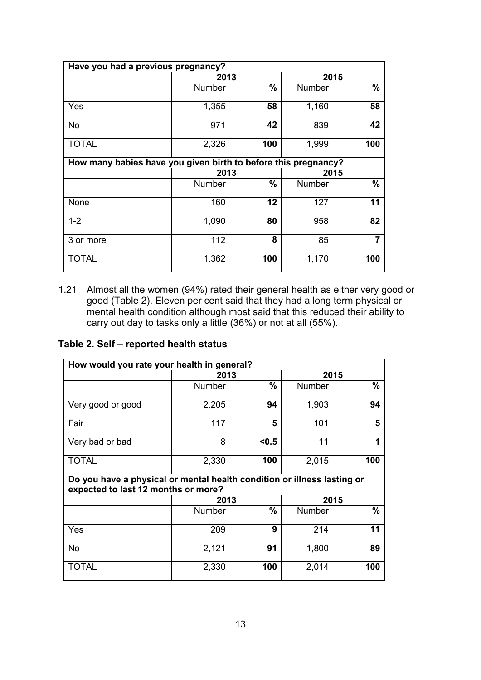| Have you had a previous pregnancy?                             |        |               |        |      |
|----------------------------------------------------------------|--------|---------------|--------|------|
|                                                                | 2013   |               | 2015   |      |
|                                                                | Number | $\frac{0}{0}$ | Number | $\%$ |
| Yes                                                            | 1,355  | 58            | 1,160  | 58   |
| <b>No</b>                                                      | 971    | 42            | 839    | 42   |
| <b>TOTAL</b>                                                   | 2,326  | 100           | 1,999  | 100  |
| How many babies have you given birth to before this pregnancy? |        |               |        |      |
|                                                                | 2013   |               | 2015   |      |
|                                                                | Number | $\frac{9}{6}$ | Number | %    |
| None                                                           | 160    | 12            | 127    | 11   |
| $1 - 2$                                                        | 1,090  | 80            | 958    | 82   |
| 3 or more                                                      | 112    | 8             | 85     |      |
| <b>TOTAL</b>                                                   | 1,362  | 100           | 1,170  | 100  |

1.21 Almost all the women (94%) rated their general health as either very good or good (Table 2). Eleven per cent said that they had a long term physical or mental health condition although most said that this reduced their ability to carry out day to tasks only a little (36%) or not at all (55%).

#### **Table 2. Self – reported health status**

| How would you rate your health in general?                                                                     |        |               |               |               |
|----------------------------------------------------------------------------------------------------------------|--------|---------------|---------------|---------------|
|                                                                                                                | 2013   |               | 2015          |               |
|                                                                                                                | Number | $\frac{9}{6}$ | Number        | $\frac{0}{0}$ |
| Very good or good                                                                                              | 2,205  | 94            | 1,903         | 94            |
| Fair                                                                                                           | 117    | 5             | 101           | 5             |
| Very bad or bad                                                                                                | 8      | < 0.5         | 11            |               |
| <b>TOTAL</b>                                                                                                   | 2,330  | 100           | 2,015         | 100           |
| Do you have a physical or mental health condition or illness lasting or<br>expected to last 12 months or more? |        |               |               |               |
|                                                                                                                | 2013   |               | 2015          |               |
|                                                                                                                | Number | $\frac{0}{0}$ | <b>Number</b> | $\%$          |
| Yes                                                                                                            | 209    | 9             | 214           | 11            |
| <b>No</b>                                                                                                      | 2,121  | 91            | 1,800         | 89            |
| <b>TOTAL</b>                                                                                                   | 2,330  | 100           | 2,014         | 100           |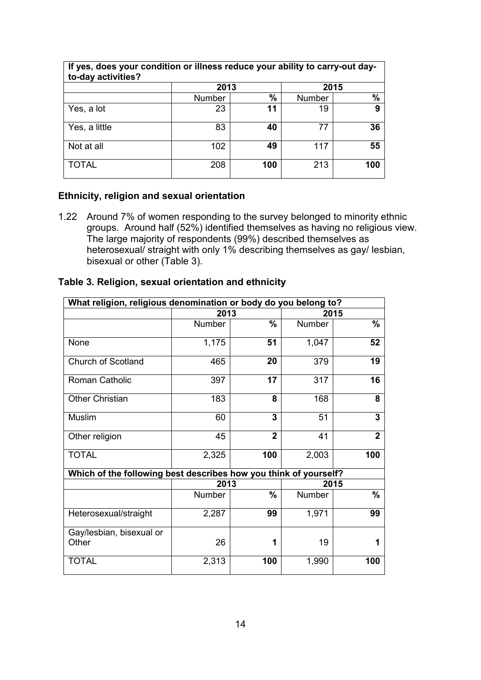| If yes, does your condition or illness reduce your ability to carry-out day-<br>to-day activities? |        |               |        |      |
|----------------------------------------------------------------------------------------------------|--------|---------------|--------|------|
|                                                                                                    | 2013   |               | 2015   |      |
|                                                                                                    | Number | $\frac{0}{0}$ | Number | $\%$ |
| Yes, a lot                                                                                         | 23     | 11            | 19     | 9    |
| Yes, a little                                                                                      | 83     | 40            | 77     | 36   |
| Not at all                                                                                         | 102    | 49            | 117    | 55   |
| TOTAL                                                                                              | 208    | 100           | 213    | 100  |

#### **Ethnicity, religion and sexual orientation**

1.22 Around 7% of women responding to the survey belonged to minority ethnic groups. Around half (52%) identified themselves as having no religious view. The large majority of respondents (99%) described themselves as heterosexual/ straight with only 1% describing themselves as gay/ lesbian, bisexual or other (Table 3).

| What religion, religious denomination or body do you belong to?  |        |                |        |                |
|------------------------------------------------------------------|--------|----------------|--------|----------------|
|                                                                  | 2013   |                |        | 2015           |
|                                                                  | Number | $\frac{0}{0}$  | Number | $\%$           |
| None                                                             | 1,175  | 51             | 1,047  | 52             |
| Church of Scotland                                               | 465    | 20             | 379    | 19             |
| Roman Catholic                                                   | 397    | 17             | 317    | 16             |
| <b>Other Christian</b>                                           | 183    | 8              | 168    | 8              |
| <b>Muslim</b>                                                    | 60     | 3              | 51     | 3              |
| Other religion                                                   | 45     | $\overline{2}$ | 41     | $\overline{2}$ |
| <b>TOTAL</b>                                                     | 2,325  | 100            | 2,003  | 100            |
| Which of the following best describes how you think of yourself? |        |                |        |                |
|                                                                  | 2013   |                |        | 2015           |
|                                                                  | Number | $\frac{9}{6}$  | Number | $\%$           |
| Heterosexual/straight                                            | 2,287  | 99             | 1,971  | 99             |
| Gay/lesbian, bisexual or                                         |        |                |        |                |
| Other                                                            | 26     | 1              | 19     |                |
| <b>TOTAL</b>                                                     | 2,313  | 100            | 1,990  | 100            |

#### **Table 3. Religion, sexual orientation and ethnicity**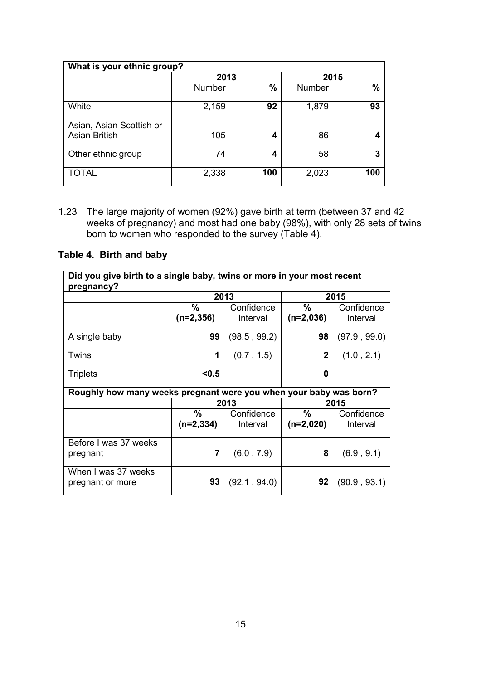| What is your ethnic group?                       |               |     |               |      |  |
|--------------------------------------------------|---------------|-----|---------------|------|--|
|                                                  | 2013          |     | 2015          |      |  |
|                                                  | <b>Number</b> | %   | <b>Number</b> | $\%$ |  |
| White                                            | 2,159         | 92  | 1,879         | 93   |  |
| Asian, Asian Scottish or<br><b>Asian British</b> | 105           | 4   | 86            |      |  |
| Other ethnic group                               | 74            | 4   | 58            | 3    |  |
| <b>TOTAL</b>                                     | 2,338         | 100 | 2,023         | 100  |  |

1.23 The large majority of women (92%) gave birth at term (between 37 and 42 weeks of pregnancy) and most had one baby (98%), with only 28 sets of twins born to women who responded to the survey (Table 4).

## **Table 4. Birth and baby**

| Did you give birth to a single baby, twins or more in your most recent<br>pregnancy? |                |              |                |              |
|--------------------------------------------------------------------------------------|----------------|--------------|----------------|--------------|
|                                                                                      |                | 2013         |                | 2015         |
|                                                                                      | %              | Confidence   | $\frac{0}{0}$  | Confidence   |
|                                                                                      | $(n=2,356)$    | Interval     | $(n=2,036)$    | Interval     |
| A single baby                                                                        | 99             | (98.5, 99.2) | 98             | (97.9, 99.0) |
| Twins                                                                                | 1              | (0.7, 1.5)   | $\overline{2}$ | (1.0, 2.1)   |
| <b>Triplets</b>                                                                      | < 0.5          |              | 0              |              |
| Roughly how many weeks pregnant were you when your baby was born?                    |                |              |                |              |
|                                                                                      |                | 2013         |                | 2015         |
|                                                                                      | $\%$           | Confidence   | $\frac{0}{0}$  | Confidence   |
|                                                                                      | $(n=2,334)$    | Interval     | $(n=2,020)$    | Interval     |
| Before I was 37 weeks                                                                |                |              |                |              |
| pregnant                                                                             | $\overline{7}$ | (6.0, 7.9)   | 8              | (6.9, 9.1)   |
| When I was 37 weeks<br>pregnant or more                                              | 93             | (92.1, 94.0) | 92             | (90.9, 93.1) |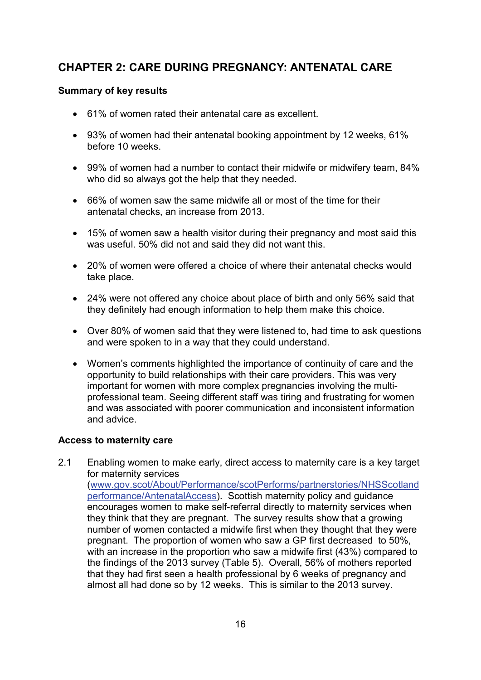## <span id="page-15-0"></span>**CHAPTER 2: CARE DURING PREGNANCY: ANTENATAL CARE**

#### <span id="page-15-1"></span>**Summary of key results**

- 61% of women rated their antenatal care as excellent.
- 93% of women had their antenatal booking appointment by 12 weeks, 61% before 10 weeks.
- 99% of women had a number to contact their midwife or midwifery team, 84% who did so always got the help that they needed.
- 66% of women saw the same midwife all or most of the time for their antenatal checks, an increase from 2013.
- 15% of women saw a health visitor during their pregnancy and most said this was useful. 50% did not and said they did not want this.
- 20% of women were offered a choice of where their antenatal checks would take place.
- 24% were not offered any choice about place of birth and only 56% said that they definitely had enough information to help them make this choice.
- Over 80% of women said that they were listened to, had time to ask questions and were spoken to in a way that they could understand.
- Women's comments highlighted the importance of continuity of care and the opportunity to build relationships with their care providers. This was very important for women with more complex pregnancies involving the multiprofessional team. Seeing different staff was tiring and frustrating for women and was associated with poorer communication and inconsistent information and advice.

#### <span id="page-15-2"></span>**Access to maternity care**

2.1 Enabling women to make early, direct access to maternity care is a key target for maternity services [\(www.gov.scot/About/Performance/scotPerforms/partnerstories/NHSScotland](http://www.gov.scot/About/Performance/scotPerforms/partnerstories/NHSScotlandperformance/AntenatalAccess) [performance/AntenatalAccess\)](http://www.gov.scot/About/Performance/scotPerforms/partnerstories/NHSScotlandperformance/AntenatalAccess). Scottish maternity policy and guidance encourages women to make self-referral directly to maternity services when they think that they are pregnant. The survey results show that a growing number of women contacted a midwife first when they thought that they were pregnant. The proportion of women who saw a GP first decreased to 50%, with an increase in the proportion who saw a midwife first (43%) compared to the findings of the 2013 survey (Table 5). Overall, 56% of mothers reported that they had first seen a health professional by 6 weeks of pregnancy and almost all had done so by 12 weeks. This is similar to the 2013 survey.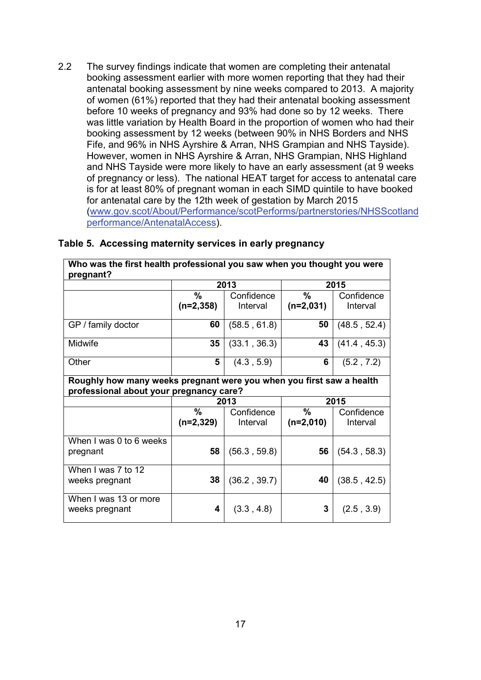2.2 The survey findings indicate that women are completing their antenatal booking assessment earlier with more women reporting that they had their antenatal booking assessment by nine weeks compared to 2013. A majority of women (61%) reported that they had their antenatal booking assessment before 10 weeks of pregnancy and 93% had done so by 12 weeks. There was little variation by Health Board in the proportion of women who had their booking assessment by 12 weeks (between 90% in NHS Borders and NHS Fife, and 96% in NHS Ayrshire & Arran, NHS Grampian and NHS Tayside). However, women in NHS Ayrshire & Arran, NHS Grampian, NHS Highland and NHS Tayside were more likely to have an early assessment (at 9 weeks of pregnancy or less). The national HEAT target for access to antenatal care is for at least 80% of pregnant woman in each SIMD quintile to have booked for antenatal care by the 12th week of gestation by March 2015 [\(www.gov.scot/About/Performance/scotPerforms/partnerstories/NHSScotland](http://www.gov.scot/About/Performance/scotPerforms/partnerstories/NHSScotlandperformance/AntenatalAccess) [performance/AntenatalAccess\)](http://www.gov.scot/About/Performance/scotPerforms/partnerstories/NHSScotlandperformance/AntenatalAccess).

| pregnant?               |                                                                                                                 |              |             |              |  |
|-------------------------|-----------------------------------------------------------------------------------------------------------------|--------------|-------------|--------------|--|
|                         |                                                                                                                 | 2013         |             | 2015         |  |
|                         | $\frac{0}{0}$                                                                                                   | Confidence   | $\%$        | Confidence   |  |
|                         | $(n=2,358)$                                                                                                     | Interval     | $(n=2,031)$ | Interval     |  |
| GP / family doctor      | 60                                                                                                              | (58.5, 61.8) | 50          | (48.5, 52.4) |  |
| Midwife                 | 35                                                                                                              | (33.1, 36.3) | 43          | (41.4, 45.3) |  |
| Other                   | 5                                                                                                               | (4.3, 5.9)   | 6           | (5.2, 7.2)   |  |
|                         | Roughly how many weeks pregnant were you when you first saw a health<br>professional about your pregnancy care? |              |             |              |  |
|                         |                                                                                                                 | 2013         | 2015        |              |  |
|                         | %                                                                                                               | Confidence   | ℅           | Confidence   |  |
|                         | $(n=2,329)$                                                                                                     | Interval     | $(n=2,010)$ | Interval     |  |
| When I was 0 to 6 weeks |                                                                                                                 |              |             |              |  |
| pregnant                | 58                                                                                                              | (56.3, 59.8) | 56          | (54.3, 58.3) |  |
| When I was 7 to 12      |                                                                                                                 |              |             |              |  |
| weeks pregnant          | 38                                                                                                              | (36.2, 39.7) | 40          | (38.5, 42.5) |  |
| When I was 13 or more   |                                                                                                                 |              |             |              |  |
| weeks pregnant          | 4                                                                                                               | (3.3, 4.8)   | 3           | (2.5, 3.9)   |  |

**Who was the first health professional you saw when you thought you were** 

#### **Table 5. Accessing maternity services in early pregnancy**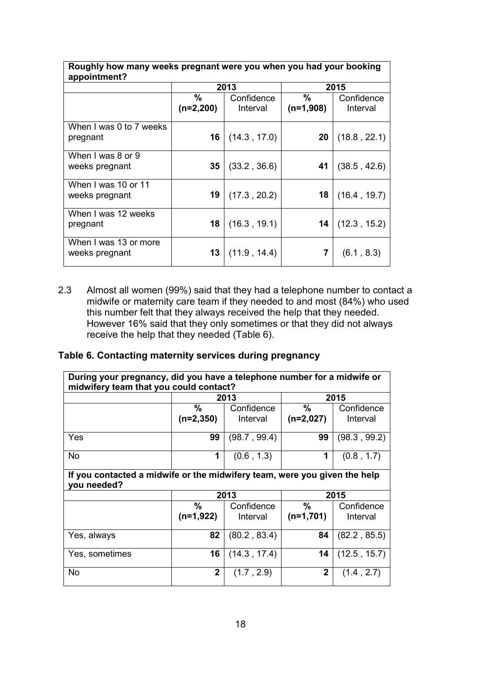| Roughly now many weeks pregnant were you when you had your booking<br>appointment? |                  |                        |                  |                        |
|------------------------------------------------------------------------------------|------------------|------------------------|------------------|------------------------|
|                                                                                    |                  | 2013                   |                  | 2015                   |
|                                                                                    | %<br>$(n=2,200)$ | Confidence<br>Interval | %<br>$(n=1,908)$ | Confidence<br>Interval |
| When I was 0 to 7 weeks<br>pregnant                                                | 16               | (14.3, 17.0)           | 20               | (18.8, 22.1)           |
| When I was 8 or 9<br>weeks pregnant                                                | 35               | (33.2, 36.6)           | 41               | (38.5, 42.6)           |
| When I was 10 or 11<br>weeks pregnant                                              | 19               | (17.3, 20.2)           | 18               | (16.4, 19.7)           |
| When I was 12 weeks<br>pregnant                                                    | 18               | (16.3, 19.1)           | 14               | (12.3, 15.2)           |
| When I was 13 or more<br>weeks pregnant                                            | 13               | (11.9, 14.4)           | 7                | (6.1, 8.3)             |

**Roughly how many weeks pregnant were you when you had your booking** 

┑

2.3 Almost all women (99%) said that they had a telephone number to contact a midwife or maternity care team if they needed to and most (84%) who used this number felt that they always received the help that they needed. However 16% said that they only sometimes or that they did not always receive the help that they needed (Table 6).

#### **Table 6. Contacting maternity services during pregnancy**

<span id="page-17-0"></span>

| During your pregnancy, did you have a telephone number for a midwife or<br>midwifery team that you could contact? |             |              |             |              |  |  |
|-------------------------------------------------------------------------------------------------------------------|-------------|--------------|-------------|--------------|--|--|
|                                                                                                                   |             | 2013         |             | 2015         |  |  |
|                                                                                                                   | %           | Confidence   | $\%$        | Confidence   |  |  |
|                                                                                                                   | $(n=2,350)$ | Interval     | $(n=2,027)$ | Interval     |  |  |
| Yes                                                                                                               | 99          | (98.7, 99.4) | 99          | (98.3, 99.2) |  |  |
| <b>No</b>                                                                                                         | $\mathbf 1$ | (0.6, 1.3)   | 1           | (0.8, 1.7)   |  |  |
| If you contacted a midwife or the midwifery team, were you given the help<br>you needed?                          |             |              |             |              |  |  |
|                                                                                                                   |             | 2013         |             | 2015         |  |  |
|                                                                                                                   | %           | Confidence   | %           | Confidence   |  |  |
|                                                                                                                   | $(n=1,922)$ | Interval     | $(n=1,701)$ | Interval     |  |  |
| Yes, always                                                                                                       | 82          | (80.2, 83.4) | 84          | (82.2, 85.5) |  |  |
| Yes, sometimes                                                                                                    | 16          | (14.3, 17.4) | 14          | (12.5, 15.7) |  |  |
|                                                                                                                   |             |              |             |              |  |  |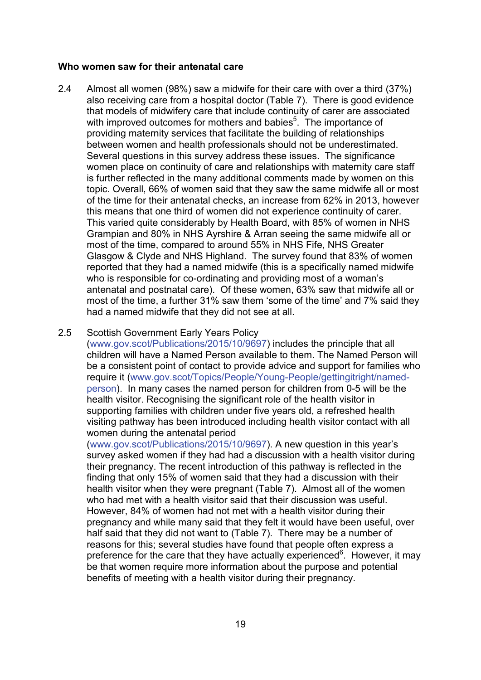#### **Who women saw for their antenatal care**

2.4 Almost all women (98%) saw a midwife for their care with over a third (37%) also receiving care from a hospital doctor (Table 7). There is good evidence that models of midwifery care that include continuity of carer are associated with improved outcomes for mothers and babies<sup>5</sup>. The importance of providing maternity services that facilitate the building of relationships between women and health professionals should not be underestimated. Several questions in this survey address these issues. The significance women place on continuity of care and relationships with maternity care staff is further reflected in the many additional comments made by women on this topic. Overall, 66% of women said that they saw the same midwife all or most of the time for their antenatal checks, an increase from 62% in 2013, however this means that one third of women did not experience continuity of carer. This varied quite considerably by Health Board, with 85% of women in NHS Grampian and 80% in NHS Ayrshire & Arran seeing the same midwife all or most of the time, compared to around 55% in NHS Fife, NHS Greater Glasgow & Clyde and NHS Highland. The survey found that 83% of women reported that they had a named midwife (this is a specifically named midwife who is responsible for co-ordinating and providing most of a woman's antenatal and postnatal care). Of these women, 63% saw that midwife all or most of the time, a further 31% saw them 'some of the time' and 7% said they had a named midwife that they did not see at all.

#### 2.5 Scottish Government Early Years Policy

[\(www.gov.scot/Publications/2015/10/9697\)](http://www.gov.scot/Publications/2015/10/9697) includes the principle that all children will have a Named Person available to them. The Named Person will be a consistent point of contact to provide advice and support for families who require it [\(www.gov.scot/Topics/People/Young-People/gettingitright/named](http://www.gov.scot/Topics/People/Young-People/gettingitright/named-person)[person\)](http://www.gov.scot/Topics/People/Young-People/gettingitright/named-person). In many cases the named person for children from 0-5 will be the health visitor. Recognising the significant role of the health visitor in supporting families with children under five years old, a refreshed health visiting pathway has been introduced including health visitor contact with all women during the antenatal period

[\(www.gov.scot/Publications/2015/10/9697\)](http://www.gov.scot/Publications/2015/10/9697). A new question in this year's survey asked women if they had had a discussion with a health visitor during their pregnancy. The recent introduction of this pathway is reflected in the finding that only 15% of women said that they had a discussion with their health visitor when they were pregnant (Table 7). Almost all of the women who had met with a health visitor said that their discussion was useful. However, 84% of women had not met with a health visitor during their pregnancy and while many said that they felt it would have been useful, over half said that they did not want to (Table 7). There may be a number of reasons for this; several studies have found that people often express a preference for the care that they have actually experienced<sup>6</sup>. However, it may be that women require more information about the purpose and potential benefits of meeting with a health visitor during their pregnancy.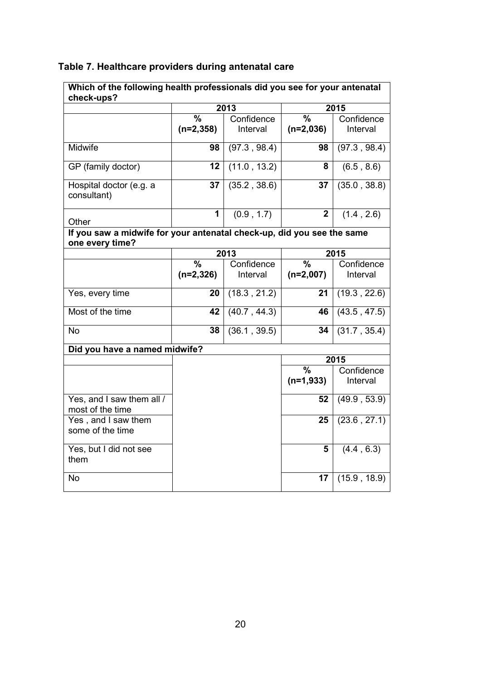| Table 7. Healthcare providers during antenatal care |  |  |  |  |
|-----------------------------------------------------|--|--|--|--|
|-----------------------------------------------------|--|--|--|--|

| Which of the following health professionals did you see for your antenatal<br>check-ups?  |                                         |                        |                                         |                        |
|-------------------------------------------------------------------------------------------|-----------------------------------------|------------------------|-----------------------------------------|------------------------|
|                                                                                           | 2013                                    |                        | 2015                                    |                        |
|                                                                                           | $\overline{\frac{9}{6}}$<br>$(n=2,358)$ | Confidence<br>Interval | $\overline{\frac{9}{6}}$<br>$(n=2,036)$ | Confidence<br>Interval |
| Midwife                                                                                   | 98                                      | (97.3, 98.4)           | 98                                      | (97.3, 98.4)           |
| GP (family doctor)                                                                        | 12                                      | (11.0, 13.2)           | 8                                       | (6.5, 8.6)             |
| Hospital doctor (e.g. a<br>consultant)                                                    | 37                                      | (35.2, 38.6)           | 37                                      | (35.0, 38.8)           |
| Other                                                                                     | 1                                       | (0.9, 1.7)             | $\mathbf 2$                             | (1.4, 2.6)             |
| If you saw a midwife for your antenatal check-up, did you see the same<br>one every time? |                                         |                        |                                         |                        |
|                                                                                           |                                         | 2013                   |                                         | 2015                   |
|                                                                                           | $\frac{0}{0}$<br>$(n=2,326)$            | Confidence<br>Interval | $\frac{9}{6}$<br>$(n=2,007)$            | Confidence<br>Interval |
| Yes, every time                                                                           | 20                                      | (18.3, 21.2)           | 21                                      | (19.3, 22.6)           |
| Most of the time                                                                          | 42                                      | (40.7, 44.3)           | 46                                      | (43.5, 47.5)           |
| <b>No</b>                                                                                 | 38                                      | (36.1, 39.5)           | 34                                      | (31.7, 35.4)           |
| Did you have a named midwife?                                                             |                                         |                        |                                         |                        |
|                                                                                           |                                         |                        |                                         | 2015                   |
|                                                                                           |                                         |                        | $\frac{0}{0}$<br>$(n=1,933)$            | Confidence<br>Interval |
| Yes, and I saw them all /<br>most of the time                                             |                                         |                        | 52                                      | (49.9, 53.9)           |
| Yes, and I saw them<br>some of the time                                                   |                                         |                        | 25                                      | (23.6, 27.1)           |
| Yes, but I did not see<br>them                                                            |                                         |                        | 5                                       | (4.4, 6.3)             |
| <b>No</b>                                                                                 |                                         |                        | 17                                      | (15.9, 18.9)           |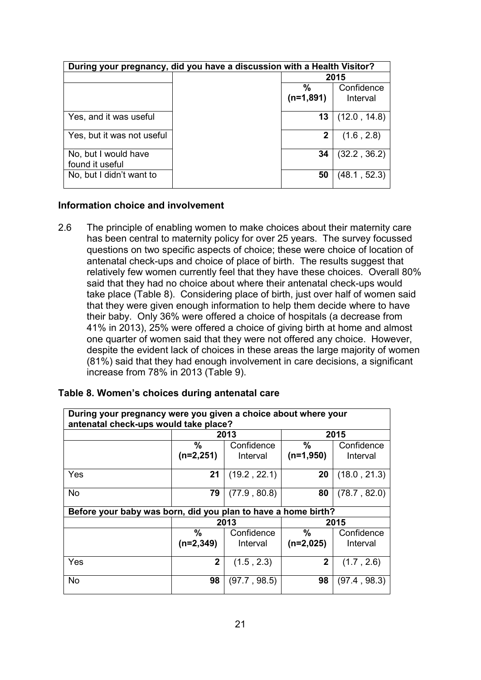| During your pregnancy, did you have a discussion with a Health Visitor? |  |                   |                        |
|-------------------------------------------------------------------------|--|-------------------|------------------------|
|                                                                         |  | 2015              |                        |
|                                                                         |  | $\%$<br>(n=1,891) | Confidence<br>Interval |
| Yes, and it was useful                                                  |  | 13                | (12.0, 14.8)           |
| Yes, but it was not useful                                              |  | 2                 | (1.6, 2.8)             |
| No, but I would have<br>found it useful                                 |  | 34                | (32.2, 36.2)           |
| No, but I didn't want to                                                |  | 50                | (48.1, 52.3)           |

#### <span id="page-20-0"></span>**Information choice and involvement**

2.6 The principle of enabling women to make choices about their maternity care has been central to maternity policy for over 25 years. The survey focussed questions on two specific aspects of choice; these were choice of location of antenatal check-ups and choice of place of birth. The results suggest that relatively few women currently feel that they have these choices. Overall 80% said that they had no choice about where their antenatal check-ups would take place (Table 8). Considering place of birth, just over half of women said that they were given enough information to help them decide where to have their baby. Only 36% were offered a choice of hospitals (a decrease from 41% in 2013), 25% were offered a choice of giving birth at home and almost one quarter of women said that they were not offered any choice. However, despite the evident lack of choices in these areas the large majority of women (81%) said that they had enough involvement in care decisions, a significant increase from 78% in 2013 (Table 9).

| During your pregnancy were you given a choice about where your<br>antenatal check-ups would take place? |                  |                        |                  |                        |  |
|---------------------------------------------------------------------------------------------------------|------------------|------------------------|------------------|------------------------|--|
|                                                                                                         |                  | 2013                   | 2015             |                        |  |
|                                                                                                         | %<br>$(n=2,251)$ | Confidence<br>Interval | %<br>$(n=1,950)$ | Confidence<br>Interval |  |
| Yes                                                                                                     | 21               | (19.2, 22.1)           | 20               | (18.0, 21.3)           |  |
| <b>No</b>                                                                                               | 79               | (77.9, 80.8)           | 80               | (78.7, 82.0)           |  |
| Before your baby was born, did you plan to have a home birth?                                           |                  |                        |                  |                        |  |
|                                                                                                         |                  | 2013                   | 2015             |                        |  |
|                                                                                                         | $\%$             | Confidence             | %                | Confidence             |  |
|                                                                                                         | $(n=2,349)$      | Interval               | $(n=2,025)$      | Interval               |  |
| Yes                                                                                                     | $\mathbf{2}$     | (1.5, 2.3)             | $\mathbf{2}$     | (1.7, 2.6)             |  |
| <b>No</b>                                                                                               | 98               | (97.7, 98.5)           | 98               | (97.4, 98.3)           |  |

#### **Table 8. Women's choices during antenatal care**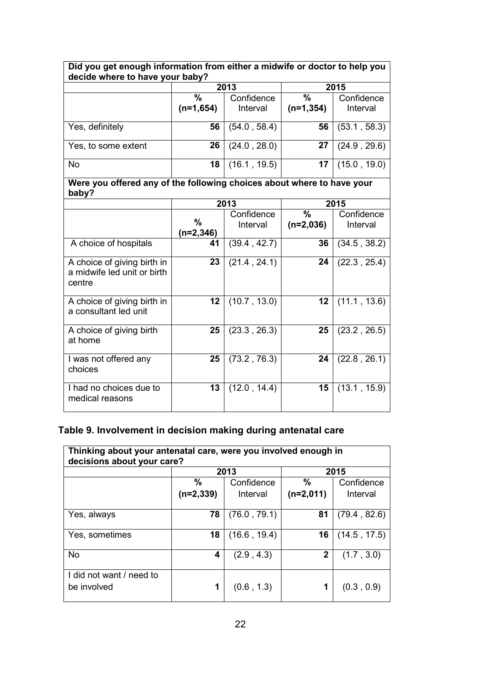| Did you get enough information from either a midwife or doctor to help you<br>decide where to have your baby? |                  |              |               |              |  |
|---------------------------------------------------------------------------------------------------------------|------------------|--------------|---------------|--------------|--|
|                                                                                                               |                  | 2013         |               | 2015         |  |
|                                                                                                               | $\frac{0}{0}$    | Confidence   | $\frac{0}{0}$ | Confidence   |  |
|                                                                                                               | $(n=1,654)$      | Interval     | $(n=1, 354)$  | Interval     |  |
| Yes, definitely                                                                                               | 56               | (54.0, 58.4) | 56            | (53.1, 58.3) |  |
| Yes, to some extent                                                                                           | 26               | (24.0, 28.0) | 27            | (24.9, 29.6) |  |
| No                                                                                                            | 18               | (16.1, 19.5) | 17            | (15.0, 19.0) |  |
| Were you offered any of the following choices about where to have your<br>baby?                               |                  |              |               |              |  |
|                                                                                                               |                  | 2013         |               | 2015         |  |
|                                                                                                               |                  | Confidence   | $\frac{9}{6}$ | Confidence   |  |
|                                                                                                               | %<br>$(n=2,346)$ | Interval     | $(n=2,036)$   | Interval     |  |
| A choice of hospitals                                                                                         | 41               | (39.4, 42.7) | 36            | (34.5, 38.2) |  |
| A choice of giving birth in<br>a midwife led unit or birth<br>centre                                          | 23               | (21.4, 24.1) | 24            | (22.3, 25.4) |  |
| A choice of giving birth in<br>a consultant led unit                                                          | 12               | (10.7, 13.0) | 12            | (11.1, 13.6) |  |
| A choice of giving birth<br>at home                                                                           | 25               | (23.3, 26.3) | 25            | (23.2, 26.5) |  |
| I was not offered any<br>choices                                                                              | 25               | (73.2, 76.3) | 24            | (22.8, 26.1) |  |
| I had no choices due to<br>medical reasons                                                                    | 13               | (12.0, 14.4) | 15            | (13.1, 15.9) |  |

## **Table 9. Involvement in decision making during antenatal care**

| Thinking about your antenatal care, were you involved enough in<br>decisions about your care? |             |              |              |              |  |
|-----------------------------------------------------------------------------------------------|-------------|--------------|--------------|--------------|--|
|                                                                                               |             | 2013         | 2015         |              |  |
|                                                                                               | $\%$        | Confidence   | $\%$         | Confidence   |  |
|                                                                                               | $(n=2,339)$ | Interval     | $(n=2,011)$  | Interval     |  |
|                                                                                               |             |              |              |              |  |
| Yes, always                                                                                   | 78          | (76.0, 79.1) | 81           | (79.4, 82.6) |  |
|                                                                                               |             |              |              |              |  |
| Yes, sometimes                                                                                | 18          | (16.6, 19.4) | 16           | (14.5, 17.5) |  |
|                                                                                               |             |              |              |              |  |
| <b>No</b>                                                                                     | 4           | (2.9, 4.3)   | $\mathbf{2}$ | (1.7, 3.0)   |  |
|                                                                                               |             |              |              |              |  |
| I did not want / need to                                                                      |             |              |              |              |  |
| be involved                                                                                   | 1           | (0.6, 1.3)   | 1            | (0.3, 0.9)   |  |
|                                                                                               |             |              |              |              |  |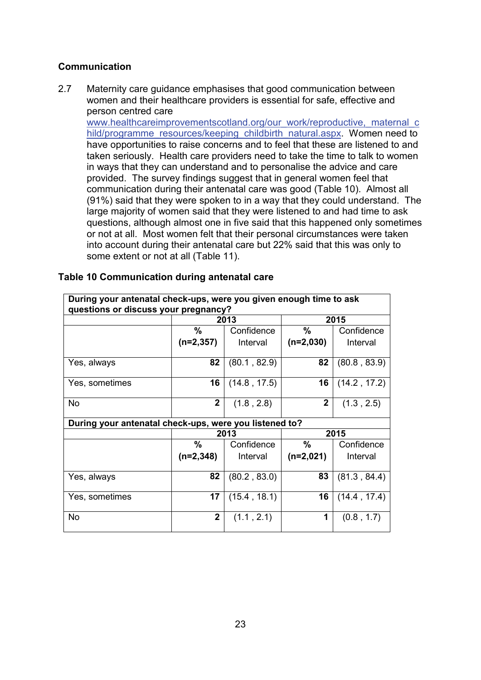#### <span id="page-22-0"></span>**Communication**

2.7 Maternity care guidance emphasises that good communication between women and their healthcare providers is essential for safe, effective and person centred care

[www.healthcareimprovementscotland.org/our\\_work/reproductive,\\_maternal\\_c](http://www.healthcareimprovementscotland.org/our_work/reproductive,_maternal_child/programme_resources/keeping_childbirth_natural.aspx) [hild/programme\\_resources/keeping\\_childbirth\\_natural.aspx.](http://www.healthcareimprovementscotland.org/our_work/reproductive,_maternal_child/programme_resources/keeping_childbirth_natural.aspx) Women need to have opportunities to raise concerns and to feel that these are listened to and taken seriously. Health care providers need to take the time to talk to women in ways that they can understand and to personalise the advice and care provided. The survey findings suggest that in general women feel that communication during their antenatal care was good (Table 10). Almost all (91%) said that they were spoken to in a way that they could understand. The large majority of women said that they were listened to and had time to ask questions, although almost one in five said that this happened only sometimes or not at all. Most women felt that their personal circumstances were taken into account during their antenatal care but 22% said that this was only to some extent or not at all (Table 11).

| During your antenatal check-ups, were you given enough time to ask |                |              |               |              |  |
|--------------------------------------------------------------------|----------------|--------------|---------------|--------------|--|
| questions or discuss your pregnancy?                               |                |              |               |              |  |
|                                                                    |                | 2013         | 2015          |              |  |
|                                                                    | $\frac{0}{0}$  | Confidence   | $\%$          | Confidence   |  |
|                                                                    | $(n=2,357)$    | Interval     | $(n=2,030)$   | Interval     |  |
|                                                                    |                |              |               |              |  |
| Yes, always                                                        | 82             | (80.1, 82.9) | 82            | (80.8, 83.9) |  |
|                                                                    |                |              |               |              |  |
| Yes, sometimes                                                     | 16             | (14.8, 17.5) | 16            | (14.2, 17.2) |  |
| <b>No</b>                                                          | $\mathbf{2}$   | (1.8, 2.8)   | $\mathbf{2}$  | (1.3, 2.5)   |  |
|                                                                    |                |              |               |              |  |
| During your antenatal check-ups, were you listened to?             |                |              |               |              |  |
|                                                                    |                | 2013         | 2015          |              |  |
|                                                                    | $\frac{0}{0}$  | Confidence   | $\frac{9}{6}$ | Confidence   |  |
|                                                                    | $(n=2,348)$    | Interval     | $(n=2,021)$   | Interval     |  |
|                                                                    |                |              |               |              |  |
| Yes, always                                                        | 82             | (80.2, 83.0) | 83            | (81.3, 84.4) |  |
|                                                                    |                |              |               |              |  |
| Yes, sometimes                                                     | 17             | (15.4, 18.1) | 16            | (14.4, 17.4) |  |
|                                                                    |                |              |               |              |  |
| <b>No</b>                                                          | $\overline{2}$ | (1.1, 2.1)   | 1             | (0.8, 1.7)   |  |
|                                                                    |                |              |               |              |  |

#### **Table 10 Communication during antenatal care**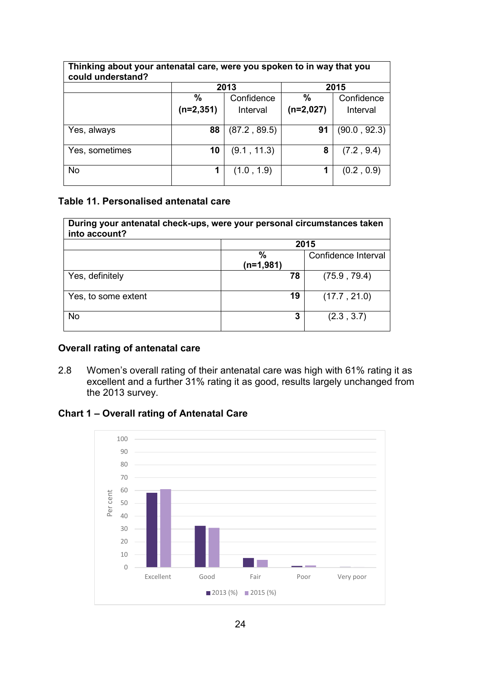| Thinking about your antenatal care, were you spoken to in way that you<br>could understand? |             |              |               |              |  |
|---------------------------------------------------------------------------------------------|-------------|--------------|---------------|--------------|--|
|                                                                                             |             | 2013         |               | 2015         |  |
|                                                                                             | $\%$        | Confidence   | $\frac{0}{0}$ | Confidence   |  |
|                                                                                             | $(n=2,351)$ | Interval     | $(n=2,027)$   | Interval     |  |
|                                                                                             |             |              |               |              |  |
| Yes, always                                                                                 | 88          | (87.2, 89.5) | 91            | (90.0, 92.3) |  |
|                                                                                             |             |              |               |              |  |
| Yes, sometimes                                                                              | 10          | (9.1, 11.3)  | 8             | (7.2, 9.4)   |  |
|                                                                                             |             |              |               |              |  |
| <b>No</b>                                                                                   |             | (1.0, 1.9)   | 1             | (0.2, 0.9)   |  |
|                                                                                             |             |              |               |              |  |

#### **Table 11. Personalised antenatal care**

| During your antenatal check-ups, were your personal circumstances taken<br>into account? |                  |                     |  |  |  |
|------------------------------------------------------------------------------------------|------------------|---------------------|--|--|--|
|                                                                                          |                  | 2015                |  |  |  |
|                                                                                          | %<br>$(n=1,981)$ | Confidence Interval |  |  |  |
| Yes, definitely                                                                          | 78               | (75.9, 79.4)        |  |  |  |
| Yes, to some extent                                                                      | 19               | (17.7, 21.0)        |  |  |  |
| <b>No</b>                                                                                | 3                | (2.3, 3.7)          |  |  |  |

#### <span id="page-23-0"></span>**Overall rating of antenatal care**

2.8 Women's overall rating of their antenatal care was high with 61% rating it as excellent and a further 31% rating it as good, results largely unchanged from the 2013 survey.

#### **Chart 1 – Overall rating of Antenatal Care**

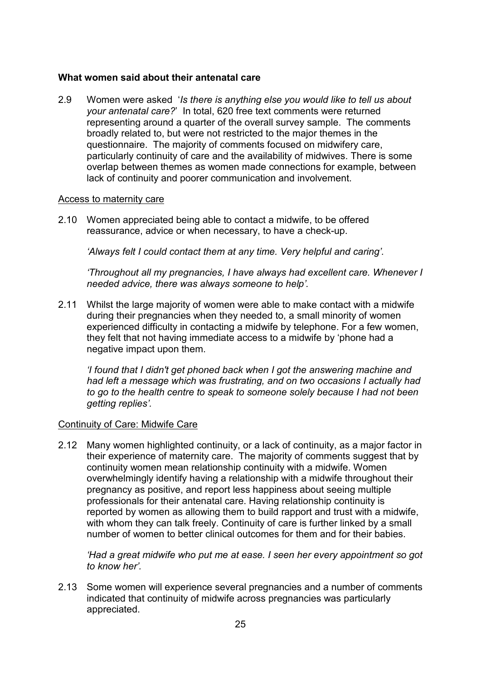#### <span id="page-24-0"></span>**What women said about their antenatal care**

2.9 Women were asked '*Is there is anything else you would like to tell us about your antenatal care?*' In total, 620 free text comments were returned representing around a quarter of the overall survey sample. The comments broadly related to, but were not restricted to the major themes in the questionnaire. The majority of comments focused on midwifery care, particularly continuity of care and the availability of midwives. There is some overlap between themes as women made connections for example, between lack of continuity and poorer communication and involvement.

#### Access to maternity care

2.10 Women appreciated being able to contact a midwife, to be offered reassurance, advice or when necessary, to have a check-up.

*'Always felt I could contact them at any time. Very helpful and caring'.*

*'Throughout all my pregnancies, I have always had excellent care. Whenever I needed advice, there was always someone to help'.*

2.11 Whilst the large majority of women were able to make contact with a midwife during their pregnancies when they needed to, a small minority of women experienced difficulty in contacting a midwife by telephone. For a few women, they felt that not having immediate access to a midwife by 'phone had a negative impact upon them.

*'I found that I didn't get phoned back when I got the answering machine and had left a message which was frustrating, and on two occasions I actually had to go to the health centre to speak to someone solely because I had not been getting replies'.*

#### Continuity of Care: Midwife Care

2.12 Many women highlighted continuity, or a lack of continuity, as a major factor in their experience of maternity care. The majority of comments suggest that by continuity women mean relationship continuity with a midwife. Women overwhelmingly identify having a relationship with a midwife throughout their pregnancy as positive, and report less happiness about seeing multiple professionals for their antenatal care. Having relationship continuity is reported by women as allowing them to build rapport and trust with a midwife, with whom they can talk freely. Continuity of care is further linked by a small number of women to better clinical outcomes for them and for their babies.

*'Had a great midwife who put me at ease. I seen her every appointment so got to know her'.*

2.13 Some women will experience several pregnancies and a number of comments indicated that continuity of midwife across pregnancies was particularly appreciated.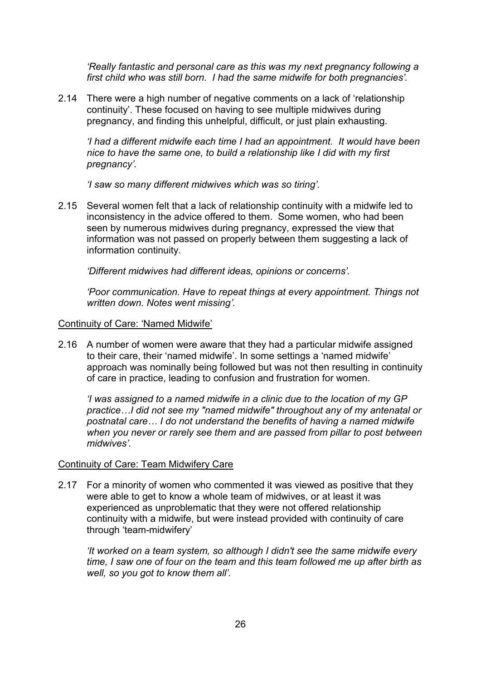*'Really fantastic and personal care as this was my next pregnancy following a first child who was still born. I had the same midwife for both pregnancies'.*

2.14 There were a high number of negative comments on a lack of 'relationship continuity'. These focused on having to see multiple midwives during pregnancy, and finding this unhelpful, difficult, or just plain exhausting.

*'I had a different midwife each time I had an appointment. It would have been nice to have the same one, to build a relationship like I did with my first pregnancy'.*

*'I saw so many different midwives which was so tiring'.*

2.15 Several women felt that a lack of relationship continuity with a midwife led to inconsistency in the advice offered to them. Some women, who had been seen by numerous midwives during pregnancy, expressed the view that information was not passed on properly between them suggesting a lack of information continuity.

*'Different midwives had different ideas, opinions or concerns'.*

*'Poor communication. Have to repeat things at every appointment. Things not written down. Notes went missing'.*

#### Continuity of Care: 'Named Midwife'

2.16 A number of women were aware that they had a particular midwife assigned to their care, their 'named midwife'. In some settings a 'named midwife' approach was nominally being followed but was not then resulting in continuity of care in practice, leading to confusion and frustration for women.

*'I was assigned to a named midwife in a clinic due to the location of my GP practice…I did not see my "named midwife" throughout any of my antenatal or postnatal care… I do not understand the benefits of having a named midwife when you never or rarely see them and are passed from pillar to post between midwives'.*

#### Continuity of Care: Team Midwifery Care

2.17 For a minority of women who commented it was viewed as positive that they were able to get to know a whole team of midwives, or at least it was experienced as unproblematic that they were not offered relationship continuity with a midwife, but were instead provided with continuity of care through 'team-midwifery'

*'It worked on a team system, so although I didn't see the same midwife every time, I saw one of four on the team and this team followed me up after birth as well, so you got to know them all'.*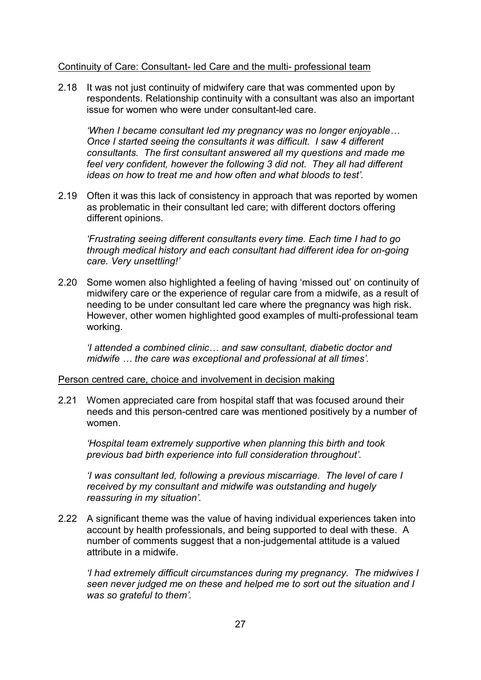#### Continuity of Care: Consultant- led Care and the multi- professional team

2.18 It was not just continuity of midwifery care that was commented upon by respondents. Relationship continuity with a consultant was also an important issue for women who were under consultant-led care.

*'When I became consultant led my pregnancy was no longer enjoyable… Once I started seeing the consultants it was difficult. I saw 4 different consultants. The first consultant answered all my questions and made me feel very confident, however the following 3 did not. They all had different ideas on how to treat me and how often and what bloods to test'.*

2.19 Often it was this lack of consistency in approach that was reported by women as problematic in their consultant led care; with different doctors offering different opinions.

*'Frustrating seeing different consultants every time. Each time I had to go through medical history and each consultant had different idea for on-going care. Very unsettling!'* 

2.20 Some women also highlighted a feeling of having 'missed out' on continuity of midwifery care or the experience of regular care from a midwife, as a result of needing to be under consultant led care where the pregnancy was high risk. However, other women highlighted good examples of multi-professional team working.

*'I attended a combined clinic… and saw consultant, diabetic doctor and midwife … the care was exceptional and professional at all times'.*

#### Person centred care, choice and involvement in decision making

2.21 Women appreciated care from hospital staff that was focused around their needs and this person-centred care was mentioned positively by a number of women.

*'Hospital team extremely supportive when planning this birth and took previous bad birth experience into full consideration throughout'.*

*'I was consultant led, following a previous miscarriage. The level of care I received by my consultant and midwife was outstanding and hugely reassuring in my situation'.*

2.22 A significant theme was the value of having individual experiences taken into account by health professionals, and being supported to deal with these. A number of comments suggest that a non-judgemental attitude is a valued attribute in a midwife.

*'I had extremely difficult circumstances during my pregnancy. The midwives I seen never judged me on these and helped me to sort out the situation and I was so grateful to them'.*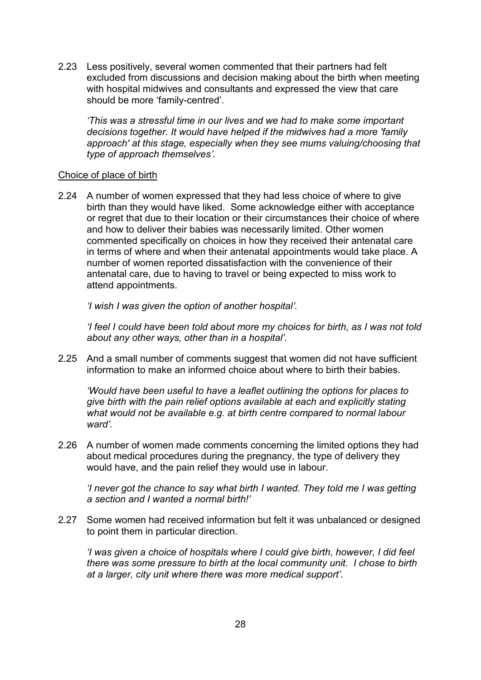2.23 Less positively, several women commented that their partners had felt excluded from discussions and decision making about the birth when meeting with hospital midwives and consultants and expressed the view that care should be more 'family-centred'.

*'This was a stressful time in our lives and we had to make some important decisions together. It would have helped if the midwives had a more 'family approach' at this stage, especially when they see mums valuing/choosing that type of approach themselves'.*

#### Choice of place of birth

2.24 A number of women expressed that they had less choice of where to give birth than they would have liked. Some acknowledge either with acceptance or regret that due to their location or their circumstances their choice of where and how to deliver their babies was necessarily limited. Other women commented specifically on choices in how they received their antenatal care in terms of where and when their antenatal appointments would take place. A number of women reported dissatisfaction with the convenience of their antenatal care, due to having to travel or being expected to miss work to attend appointments.

*'I wish I was given the option of another hospital'.*

*'I feel I could have been told about more my choices for birth, as I was not told about any other ways, other than in a hospital'.*

2.25 And a small number of comments suggest that women did not have sufficient information to make an informed choice about where to birth their babies.

*'Would have been useful to have a leaflet outlining the options for places to give birth with the pain relief options available at each and explicitly stating what would not be available e.g. at birth centre compared to normal labour ward'.*

2.26 A number of women made comments concerning the limited options they had about medical procedures during the pregnancy, the type of delivery they would have, and the pain relief they would use in labour.

*'I never got the chance to say what birth I wanted. They told me I was getting a section and I wanted a normal birth!'* 

2.27 Some women had received information but felt it was unbalanced or designed to point them in particular direction.

*'I was given a choice of hospitals where I could give birth, however, I did feel there was some pressure to birth at the local community unit. I chose to birth at a larger, city unit where there was more medical support'.*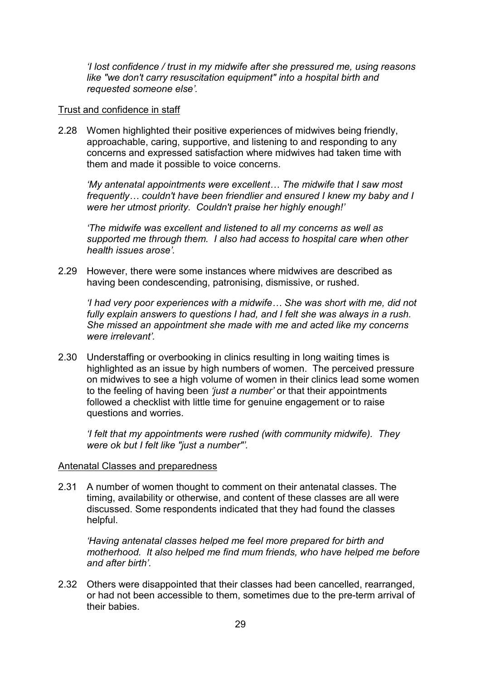*'I lost confidence / trust in my midwife after she pressured me, using reasons like "we don't carry resuscitation equipment" into a hospital birth and requested someone else'.*

#### Trust and confidence in staff

2.28 Women highlighted their positive experiences of midwives being friendly, approachable, caring, supportive, and listening to and responding to any concerns and expressed satisfaction where midwives had taken time with them and made it possible to voice concerns.

*'My antenatal appointments were excellent… The midwife that I saw most frequently… couldn't have been friendlier and ensured I knew my baby and I were her utmost priority. Couldn't praise her highly enough!'* 

*'The midwife was excellent and listened to all my concerns as well as supported me through them. I also had access to hospital care when other health issues arose'.*

2.29 However, there were some instances where midwives are described as having been condescending, patronising, dismissive, or rushed.

*'I had very poor experiences with a midwife… She was short with me, did not fully explain answers to questions I had, and I felt she was always in a rush. She missed an appointment she made with me and acted like my concerns were irrelevant'.*

2.30 Understaffing or overbooking in clinics resulting in long waiting times is highlighted as an issue by high numbers of women. The perceived pressure on midwives to see a high volume of women in their clinics lead some women to the feeling of having been *'just a number'* or that their appointments followed a checklist with little time for genuine engagement or to raise questions and worries.

*'I felt that my appointments were rushed (with community midwife). They were ok but I felt like "just a number"'.*

#### Antenatal Classes and preparedness

2.31 A number of women thought to comment on their antenatal classes. The timing, availability or otherwise, and content of these classes are all were discussed. Some respondents indicated that they had found the classes helpful.

*'Having antenatal classes helped me feel more prepared for birth and motherhood. It also helped me find mum friends, who have helped me before and after birth'.*

2.32 Others were disappointed that their classes had been cancelled, rearranged, or had not been accessible to them, sometimes due to the pre-term arrival of their babies.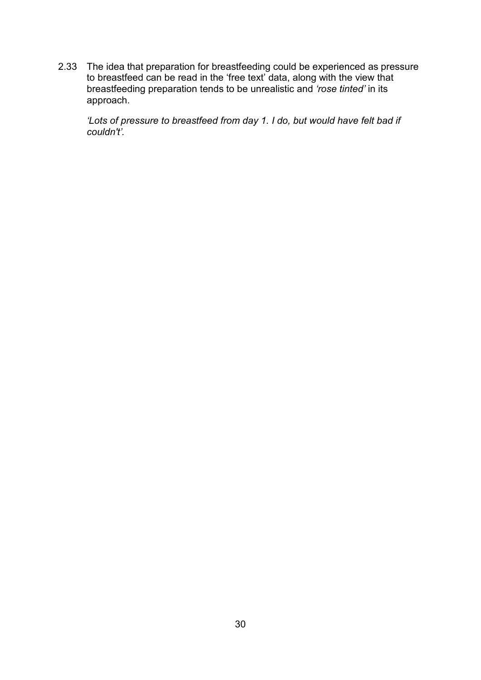2.33 The idea that preparation for breastfeeding could be experienced as pressure to breastfeed can be read in the 'free text' data, along with the view that breastfeeding preparation tends to be unrealistic and *'rose tinted'* in its approach.

<span id="page-29-0"></span>*'Lots of pressure to breastfeed from day 1. I do, but would have felt bad if couldn't'.*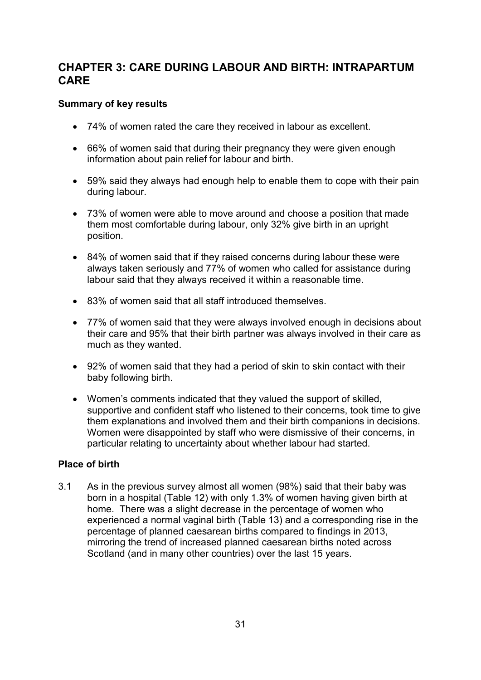## **CHAPTER 3: CARE DURING LABOUR AND BIRTH: INTRAPARTUM CARE**

#### <span id="page-30-0"></span>**Summary of key results**

- 74% of women rated the care they received in labour as excellent.
- 66% of women said that during their pregnancy they were given enough information about pain relief for labour and birth.
- 59% said they always had enough help to enable them to cope with their pain during labour.
- 73% of women were able to move around and choose a position that made them most comfortable during labour, only 32% give birth in an upright position.
- 84% of women said that if they raised concerns during labour these were always taken seriously and 77% of women who called for assistance during labour said that they always received it within a reasonable time.
- 83% of women said that all staff introduced themselves.
- 77% of women said that they were always involved enough in decisions about their care and 95% that their birth partner was always involved in their care as much as they wanted.
- 92% of women said that they had a period of skin to skin contact with their baby following birth.
- Women's comments indicated that they valued the support of skilled, supportive and confident staff who listened to their concerns, took time to give them explanations and involved them and their birth companions in decisions. Women were disappointed by staff who were dismissive of their concerns, in particular relating to uncertainty about whether labour had started.

#### <span id="page-30-1"></span>**Place of birth**

3.1 As in the previous survey almost all women (98%) said that their baby was born in a hospital (Table 12) with only 1.3% of women having given birth at home. There was a slight decrease in the percentage of women who experienced a normal vaginal birth (Table 13) and a corresponding rise in the percentage of planned caesarean births compared to findings in 2013, mirroring the trend of increased planned caesarean births noted across Scotland (and in many other countries) over the last 15 years.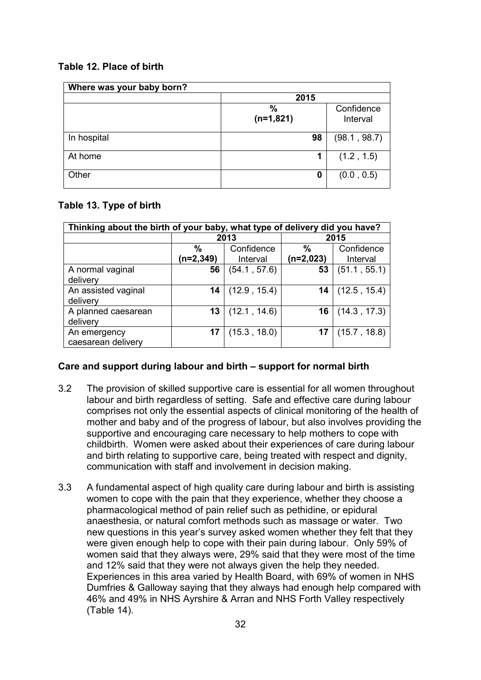**Table 12. Place of birth**

| Where was your baby born? |                                               |              |  |
|---------------------------|-----------------------------------------------|--------------|--|
|                           | 2015                                          |              |  |
|                           | $\%$<br>Confidence<br>$(n=1,821)$<br>Interval |              |  |
| In hospital               | 98                                            | (98.1, 98.7) |  |
| At home                   | 1                                             | (1.2, 1.5)   |  |
| Other                     | 0                                             | (0.0, 0.5)   |  |

#### **Table 13. Type of birth**

| Thinking about the birth of your baby, what type of delivery did you have? |                   |                        |                     |                        |
|----------------------------------------------------------------------------|-------------------|------------------------|---------------------|------------------------|
|                                                                            |                   | 2013                   | 2015                |                        |
|                                                                            | $\%$<br>(n=2,349) | Confidence<br>Interval | $\%$<br>$(n=2,023)$ | Confidence<br>Interval |
| A normal vaginal<br>delivery                                               | 56                | (54.1, 57.6)           | 53                  | (51.1, 55.1)           |
| An assisted vaginal<br>delivery                                            | 14                | (12.9, 15.4)           | 14                  | (12.5, 15.4)           |
| A planned caesarean<br>delivery                                            | 13                | (12.1, 14.6)           | 16                  | (14.3, 17.3)           |
| An emergency<br>caesarean delivery                                         | 17                | (15.3, 18.0)           | 17                  | (15.7, 18.8)           |

#### <span id="page-31-0"></span>**Care and support during labour and birth – support for normal birth**

- 3.2 The provision of skilled supportive care is essential for all women throughout labour and birth regardless of setting. Safe and effective care during labour comprises not only the essential aspects of clinical monitoring of the health of mother and baby and of the progress of labour, but also involves providing the supportive and encouraging care necessary to help mothers to cope with childbirth. Women were asked about their experiences of care during labour and birth relating to supportive care, being treated with respect and dignity, communication with staff and involvement in decision making.
- 3.3 A fundamental aspect of high quality care during labour and birth is assisting women to cope with the pain that they experience, whether they choose a pharmacological method of pain relief such as pethidine, or epidural anaesthesia, or natural comfort methods such as massage or water. Two new questions in this year's survey asked women whether they felt that they were given enough help to cope with their pain during labour. Only 59% of women said that they always were, 29% said that they were most of the time and 12% said that they were not always given the help they needed. Experiences in this area varied by Health Board, with 69% of women in NHS Dumfries & Galloway saying that they always had enough help compared with 46% and 49% in NHS Ayrshire & Arran and NHS Forth Valley respectively (Table 14).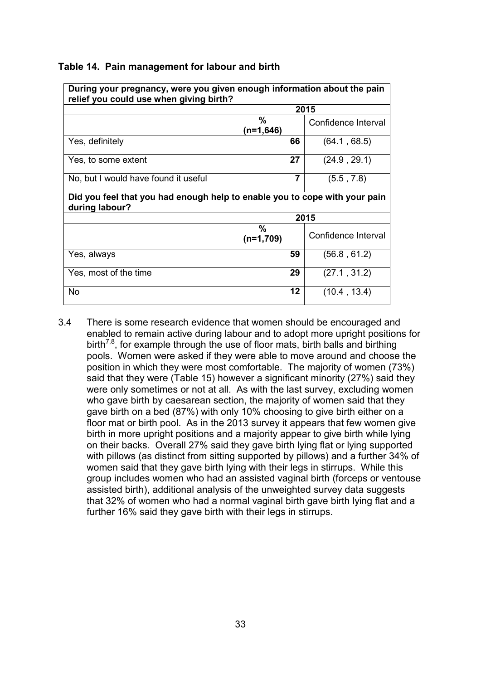| During your pregnancy, were you given enough information about the pain<br>relief you could use when giving birth? |                                          |                     |  |  |
|--------------------------------------------------------------------------------------------------------------------|------------------------------------------|---------------------|--|--|
|                                                                                                                    |                                          | 2015                |  |  |
|                                                                                                                    | $\%$<br>Confidence Interval<br>(n=1,646) |                     |  |  |
| Yes, definitely                                                                                                    | 66                                       | (64.1, 68.5)        |  |  |
| Yes, to some extent                                                                                                | 27                                       | (24.9, 29.1)        |  |  |
| No, but I would have found it useful                                                                               | 7                                        | (5.5, 7.8)          |  |  |
| Did you feel that you had enough help to enable you to cope with your pain<br>during labour?                       |                                          |                     |  |  |
|                                                                                                                    |                                          | 2015                |  |  |
|                                                                                                                    | $\%$<br>$(n=1,709)$                      | Confidence Interval |  |  |
| Yes, always                                                                                                        | 59                                       | (56.8, 61.2)        |  |  |
| Yes, most of the time                                                                                              | 29                                       | (27.1, 31.2)        |  |  |
| <b>No</b>                                                                                                          | 12                                       | (10.4, 13.4)        |  |  |

#### **Table 14. Pain management for labour and birth**

3.4 There is some research evidence that women should be encouraged and enabled to remain active during labour and to adopt more upright positions for birth<sup>7,8</sup>, for example through the use of floor mats, birth balls and birthing pools. Women were asked if they were able to move around and choose the position in which they were most comfortable. The majority of women (73%) said that they were (Table 15) however a significant minority (27%) said they were only sometimes or not at all. As with the last survey, excluding women who gave birth by caesarean section, the majority of women said that they gave birth on a bed (87%) with only 10% choosing to give birth either on a floor mat or birth pool. As in the 2013 survey it appears that few women give birth in more upright positions and a majority appear to give birth while lying on their backs. Overall 27% said they gave birth lying flat or lying supported with pillows (as distinct from sitting supported by pillows) and a further 34% of women said that they gave birth lying with their legs in stirrups. While this group includes women who had an assisted vaginal birth (forceps or ventouse assisted birth), additional analysis of the unweighted survey data suggests that 32% of women who had a normal vaginal birth gave birth lying flat and a further 16% said they gave birth with their legs in stirrups.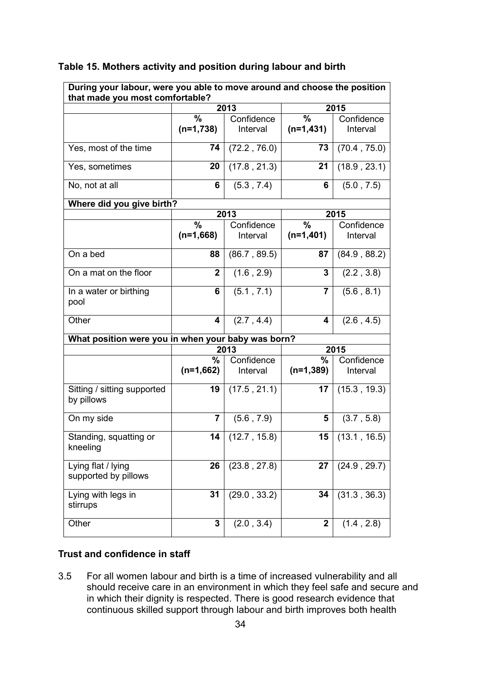| During your labour, were you able to move around and choose the position<br>that made you most comfortable? |                  |                           |                  |                        |
|-------------------------------------------------------------------------------------------------------------|------------------|---------------------------|------------------|------------------------|
|                                                                                                             |                  | 2013                      | 2015             |                        |
|                                                                                                             | %                | Confidence                | $\%$             | Confidence             |
|                                                                                                             | $(n=1,738)$      | Interval                  | $(n=1,431)$      | Interval               |
| Yes, most of the time                                                                                       | 74               | (72.2, 76.0)              | 73               | (70.4, 75.0)           |
| Yes, sometimes                                                                                              | 20               | $(17.8, 21.\overline{3})$ | 21               | (18.9, 23.1)           |
| No, not at all                                                                                              | 6                | (5.3, 7.4)                | 6                | (5.0, 7.5)             |
| Where did you give birth?                                                                                   |                  |                           |                  |                        |
|                                                                                                             |                  | 2013                      |                  | 2015                   |
|                                                                                                             | %                | Confidence                | $\%$             | Confidence             |
|                                                                                                             | $(n=1,668)$      | Interval                  | $(n=1,401)$      | Interval               |
| On a bed                                                                                                    | 88               | (86.7, 89.5)              | 87               | (84.9, 88.2)           |
| On a mat on the floor                                                                                       | $\overline{2}$   | (1.6, 2.9)                | $\mathbf{3}$     | (2.2, 3.8)             |
| In a water or birthing<br>pool                                                                              | 6                | (5.1, 7.1)                | 7                | (5.6, 8.1)             |
| Other                                                                                                       | 4                | (2.7, 4.4)                | 4                | (2.6, 4.5)             |
| What position were you in when your baby was born?                                                          |                  |                           |                  |                        |
|                                                                                                             |                  | 2013                      |                  | 2015                   |
|                                                                                                             | %<br>$(n=1,662)$ | Confidence<br>Interval    | %<br>$(n=1,389)$ | Confidence<br>Interval |
| Sitting / sitting supported<br>by pillows                                                                   | 19               | (17.5, 21.1)              | 17               | (15.3, 19.3)           |
| On my side                                                                                                  | 7                | (5.6, 7.9)                | 5                | (3.7, 5.8)             |
| Standing, squatting or<br>kneeling                                                                          | 14               | (12.7, 15.8)              | 15               | (13.1, 16.5)           |
| Lying flat / lying<br>supported by pillows                                                                  | 26               | (23.8, 27.8)              | 27               | (24.9, 29.7)           |
| Lying with legs in<br>stirrups                                                                              | 31               | (29.0, 33.2)              | 34               | (31.3, 36.3)           |
| Other                                                                                                       | 3                | (2.0, 3.4)                | $\overline{2}$   | (1.4, 2.8)             |

#### **Table 15. Mothers activity and position during labour and birth**

#### <span id="page-33-0"></span>**Trust and confidence in staff**

3.5 For all women labour and birth is a time of increased vulnerability and all should receive care in an environment in which they feel safe and secure and in which their dignity is respected. There is good research evidence that continuous skilled support through labour and birth improves both health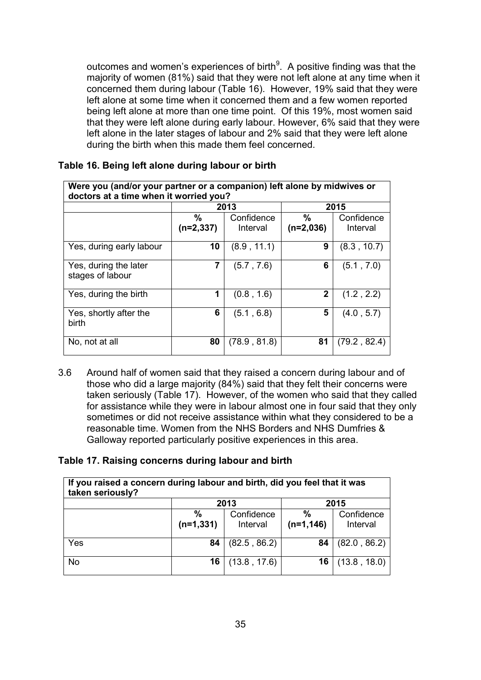outcomes and women's experiences of birth $9$ . A positive finding was that the majority of women (81%) said that they were not left alone at any time when it concerned them during labour (Table 16). However, 19% said that they were left alone at some time when it concerned them and a few women reported being left alone at more than one time point. Of this 19%, most women said that they were left alone during early labour. However, 6% said that they were left alone in the later stages of labour and 2% said that they were left alone during the birth when this made them feel concerned.

| Were you (and/or your partner or a companion) left alone by midwives or<br>doctors at a time when it worried you? |                     |                        |                     |                        |
|-------------------------------------------------------------------------------------------------------------------|---------------------|------------------------|---------------------|------------------------|
|                                                                                                                   | 2013                |                        | 2015                |                        |
|                                                                                                                   | $\%$<br>$(n=2,337)$ | Confidence<br>Interval | $\%$<br>$(n=2,036)$ | Confidence<br>Interval |
| Yes, during early labour                                                                                          | 10                  | (8.9, 11.1)            | 9                   | (8.3, 10.7)            |
| Yes, during the later<br>stages of labour                                                                         | 7                   | (5.7, 7.6)             | 6                   | (5.1, 7.0)             |
| Yes, during the birth                                                                                             | 1                   | (0.8, 1.6)             | $\mathbf{2}$        | (1.2, 2.2)             |
| Yes, shortly after the<br>birth                                                                                   | 6                   | (5.1, 6.8)             | 5                   | (4.0, 5.7)             |
| No, not at all                                                                                                    | 80                  | (78.9, 81.8)           | 81                  | (79.2, 82.4)           |

#### **Table 16. Being left alone during labour or birth**

3.6 Around half of women said that they raised a concern during labour and of those who did a large majority (84%) said that they felt their concerns were taken seriously (Table 17). However, of the women who said that they called for assistance while they were in labour almost one in four said that they only sometimes or did not receive assistance within what they considered to be a reasonable time. Women from the NHS Borders and NHS Dumfries & Galloway reported particularly positive experiences in this area.

#### **Table 17. Raising concerns during labour and birth**

| If you raised a concern during labour and birth, did you feel that it was<br>taken seriously? |                              |                        |                      |                        |
|-----------------------------------------------------------------------------------------------|------------------------------|------------------------|----------------------|------------------------|
|                                                                                               | 2013                         |                        | 2015                 |                        |
|                                                                                               | $\frac{0}{0}$<br>$(n=1,331)$ | Confidence<br>Interval | $\%$<br>$(n=1, 146)$ | Confidence<br>Interval |
| Yes                                                                                           | 84                           | (82.5, 86.2)           | 84                   | (82.0, 86.2)           |
| <b>No</b>                                                                                     | 16                           | (13.8, 17.6)           | 16                   | (13.8, 18.0)           |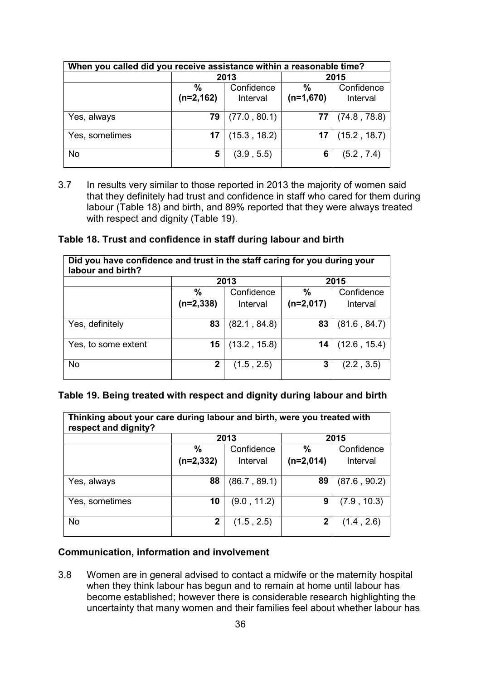| When you called did you receive assistance within a reasonable time? |                      |                        |                              |                        |
|----------------------------------------------------------------------|----------------------|------------------------|------------------------------|------------------------|
|                                                                      | 2013                 |                        | 2015                         |                        |
|                                                                      | $\%$<br>$(n=2, 162)$ | Confidence<br>Interval | $\frac{9}{6}$<br>$(n=1,670)$ | Confidence<br>Interval |
| Yes, always                                                          | 79                   | (77.0, 80.1)           | 77                           | (74.8, 78.8)           |
| Yes, sometimes                                                       | 17                   | (15.3, 18.2)           | 17                           | (15.2, 18.7)           |
| <b>No</b>                                                            | 5                    | (3.9, 5.5)             | 6                            | (5.2, 7.4)             |

3.7 In results very similar to those reported in 2013 the majority of women said that they definitely had trust and confidence in staff who cared for them during labour (Table 18) and birth, and 89% reported that they were always treated with respect and dignity (Table 19).

#### **Table 18. Trust and confidence in staff during labour and birth**

| Did you have confidence and trust in the staff caring for you during your<br>labour and birth? |             |              |               |              |
|------------------------------------------------------------------------------------------------|-------------|--------------|---------------|--------------|
|                                                                                                | 2013        |              | 2015          |              |
|                                                                                                | $\%$        | Confidence   | $\frac{0}{0}$ | Confidence   |
|                                                                                                | $(n=2,338)$ | Interval     | $(n=2,017)$   | Interval     |
|                                                                                                |             |              |               |              |
| Yes, definitely                                                                                | 83          | (82.1, 84.8) | 83            | (81.6, 84.7) |
|                                                                                                |             |              |               |              |
| Yes, to some extent                                                                            | 15          | (13.2, 15.8) | 14            | (12.6, 15.4) |
|                                                                                                |             |              |               |              |
| <b>No</b>                                                                                      | 2           | (1.5, 2.5)   | 3             | (2.2, 3.5)   |
|                                                                                                |             |              |               |              |

#### **Table 19. Being treated with respect and dignity during labour and birth**

| Thinking about your care during labour and birth, were you treated with<br>respect and dignity? |               |              |               |              |
|-------------------------------------------------------------------------------------------------|---------------|--------------|---------------|--------------|
|                                                                                                 | 2013          |              | 2015          |              |
|                                                                                                 | $\frac{0}{0}$ | Confidence   | $\frac{0}{0}$ | Confidence   |
|                                                                                                 | (n=2,332)     | Interval     | $(n=2,014)$   | Interval     |
|                                                                                                 |               |              |               |              |
| Yes, always                                                                                     | 88            | (86.7, 89.1) | 89            | (87.6, 90.2) |
|                                                                                                 |               |              |               |              |
| Yes, sometimes                                                                                  | 10            | (9.0, 11.2)  | 9             | (7.9, 10.3)  |
|                                                                                                 |               |              |               |              |
| <b>No</b>                                                                                       | 2             | (1.5, 2.5)   | 2             | (1.4, 2.6)   |
|                                                                                                 |               |              |               |              |

#### <span id="page-35-0"></span>**Communication, information and involvement**

3.8 Women are in general advised to contact a midwife or the maternity hospital when they think labour has begun and to remain at home until labour has become established; however there is considerable research highlighting the uncertainty that many women and their families feel about whether labour has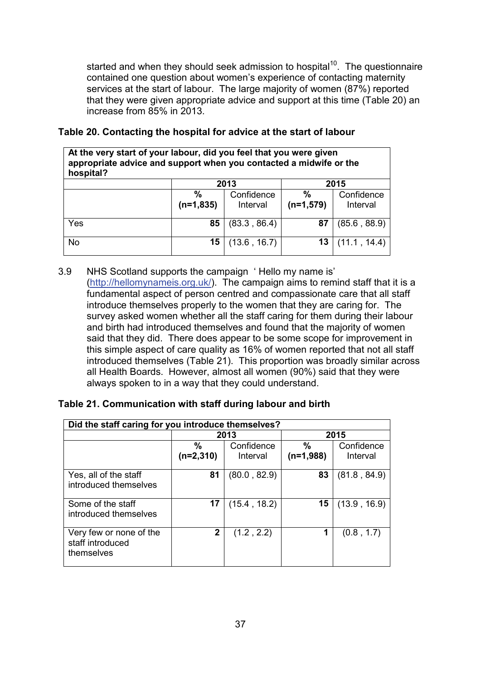started and when they should seek admission to hospital<sup>10</sup>. The questionnaire contained one question about women's experience of contacting maternity services at the start of labour. The large majority of women (87%) reported that they were given appropriate advice and support at this time (Table 20) an increase from 85% in 2013.

| appropriate advice and support when you contacted a midwife or the<br>hospital? |                  |                        |                              |                        |
|---------------------------------------------------------------------------------|------------------|------------------------|------------------------------|------------------------|
|                                                                                 |                  | 2013                   |                              | 2015                   |
|                                                                                 | %<br>$(n=1,835)$ | Confidence<br>Interval | $\frac{0}{0}$<br>$(n=1,579)$ | Confidence<br>Interval |
| Yes                                                                             | 85               | (83.3, 86.4)           | 87                           | (85.6, 88.9)           |
| <b>No</b>                                                                       | 15               | (13.6, 16.7)           | 13                           | (11.1, 14.4)           |

#### **Table 20. Contacting the hospital for advice at the start of labour**

**At the very start of your labour, did you feel that you were given** 

3.9 NHS Scotland supports the campaign ' Hello my name is' [\(http://hellomynameis.org.uk/\)](http://hellomynameis.org.uk/). The campaign aims to remind staff that it is a fundamental aspect of person centred and compassionate care that all staff introduce themselves properly to the women that they are caring for. The survey asked women whether all the staff caring for them during their labour and birth had introduced themselves and found that the majority of women said that they did. There does appear to be some scope for improvement in this simple aspect of care quality as 16% of women reported that not all staff introduced themselves (Table 21). This proportion was broadly similar across all Health Boards. However, almost all women (90%) said that they were always spoken to in a way that they could understand.

| Did the staff caring for you introduce themselves?        |                              |                        |                     |                        |
|-----------------------------------------------------------|------------------------------|------------------------|---------------------|------------------------|
|                                                           |                              | 2013                   |                     | 2015                   |
|                                                           | $\frac{0}{0}$<br>$(n=2,310)$ | Confidence<br>Interval | $\%$<br>$(n=1,988)$ | Confidence<br>Interval |
| Yes, all of the staff<br>introduced themselves            | 81                           | (80.0, 82.9)           | 83                  | (81.8, 84.9)           |
| Some of the staff<br>introduced themselves                | 17                           | (15.4, 18.2)           | 15                  | (13.9, 16.9)           |
| Very few or none of the<br>staff introduced<br>themselves | 2                            | (1.2, 2.2)             | 1                   | (0.8, 1.7)             |

# **Table 21. Communication with staff during labour and birth**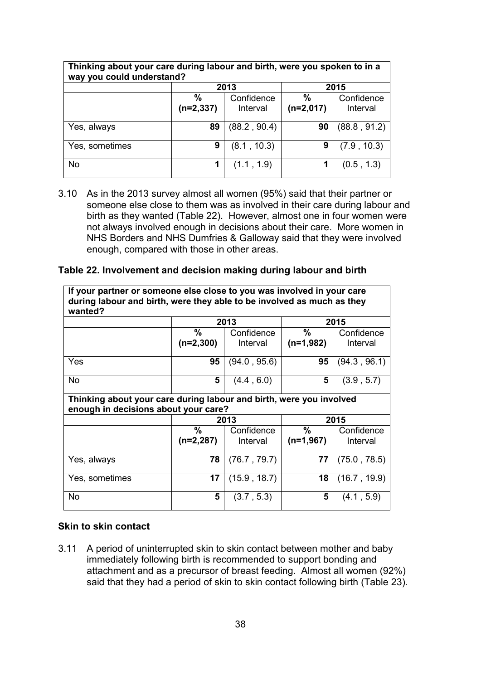| Thinking about your care during labour and birth, were you spoken to in a<br>way you could understand? |                  |                        |                              |                        |  |
|--------------------------------------------------------------------------------------------------------|------------------|------------------------|------------------------------|------------------------|--|
|                                                                                                        | 2013<br>2015     |                        |                              |                        |  |
|                                                                                                        | %<br>$(n=2,337)$ | Confidence<br>Interval | $\frac{0}{0}$<br>$(n=2,017)$ | Confidence<br>Interval |  |
| Yes, always                                                                                            | 89               | (88.2, 90.4)           | 90                           | (88.8, 91.2)           |  |
| Yes, sometimes                                                                                         | 9                | (8.1, 10.3)            | 9                            | (7.9, 10.3)            |  |
| <b>No</b>                                                                                              | 1                | (1.1, 1.9)             |                              | (0.5, 1.3)             |  |

3.10 As in the 2013 survey almost all women (95%) said that their partner or someone else close to them was as involved in their care during labour and birth as they wanted (Table 22). However, almost one in four women were not always involved enough in decisions about their care. More women in NHS Borders and NHS Dumfries & Galloway said that they were involved enough, compared with those in other areas.

#### **Table 22. Involvement and decision making during labour and birth**

| If your partner or someone else close to you was involved in your care<br>during labour and birth, were they able to be involved as much as they<br>wanted? |               |              |             |              |
|-------------------------------------------------------------------------------------------------------------------------------------------------------------|---------------|--------------|-------------|--------------|
|                                                                                                                                                             | 2013<br>2015  |              |             |              |
|                                                                                                                                                             | ℅             | Confidence   | %           | Confidence   |
|                                                                                                                                                             | $(n=2,300)$   | Interval     | $(n=1,982)$ | Interval     |
| Yes                                                                                                                                                         | 95            | (94.0, 95.6) | 95          | (94.3, 96.1) |
| <b>No</b>                                                                                                                                                   | 5             | (4.4, 6.0)   | 5           | (3.9, 5.7)   |
| Thinking about your care during labour and birth, were you involved<br>enough in decisions about your care?                                                 |               |              |             |              |
|                                                                                                                                                             |               | 2013         |             | 2015         |
|                                                                                                                                                             | $\frac{0}{0}$ | Confidence   | %           | Confidence   |
|                                                                                                                                                             | $(n=2,287)$   | Interval     | $(n=1,967)$ | Interval     |
| Yes, always                                                                                                                                                 | 78            | (76.7, 79.7) | 77          | (75.0, 78.5) |
| Yes, sometimes                                                                                                                                              | 17            | (15.9, 18.7) | 18          | (16.7, 19.9) |
| <b>No</b>                                                                                                                                                   | 5             | (3.7, 5.3)   | 5           | (4.1, 5.9)   |

#### **Skin to skin contact**

3.11 A period of uninterrupted skin to skin contact between mother and baby immediately following birth is recommended to support bonding and attachment and as a precursor of breast feeding. Almost all women (92%) said that they had a period of skin to skin contact following birth (Table 23).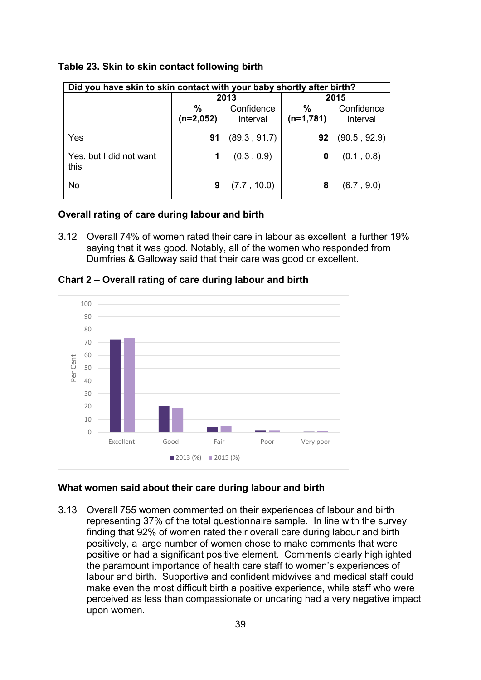| Did you have skin to skin contact with your baby shortly after birth? |                     |                        |                     |                        |
|-----------------------------------------------------------------------|---------------------|------------------------|---------------------|------------------------|
|                                                                       |                     | 2013                   | 2015                |                        |
|                                                                       | $\%$<br>$(n=2,052)$ | Confidence<br>Interval | $\%$<br>$(n=1,781)$ | Confidence<br>Interval |
| Yes                                                                   | 91                  | (89.3, 91.7)           | 92                  | (90.5, 92.9)           |
| Yes, but I did not want<br>this                                       |                     | (0.3, 0.9)             | 0                   | (0.1, 0.8)             |
| <b>No</b>                                                             | 9                   | (7.7, 10.0)            | 8                   | (6.7, 9.0)             |

#### **Table 23. Skin to skin contact following birth**

#### **Overall rating of care during labour and birth**

3.12 Overall 74% of women rated their care in labour as excellent a further 19% saying that it was good. Notably, all of the women who responded from Dumfries & Galloway said that their care was good or excellent.



**Chart 2 – Overall rating of care during labour and birth**

#### **What women said about their care during labour and birth**

3.13 Overall 755 women commented on their experiences of labour and birth representing 37% of the total questionnaire sample. In line with the survey finding that 92% of women rated their overall care during labour and birth positively, a large number of women chose to make comments that were positive or had a significant positive element. Comments clearly highlighted the paramount importance of health care staff to women's experiences of labour and birth. Supportive and confident midwives and medical staff could make even the most difficult birth a positive experience, while staff who were perceived as less than compassionate or uncaring had a very negative impact upon women.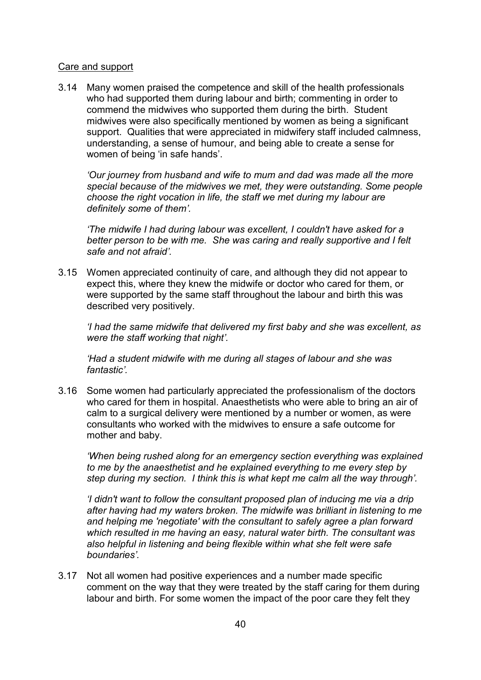## Care and support

3.14 Many women praised the competence and skill of the health professionals who had supported them during labour and birth; commenting in order to commend the midwives who supported them during the birth. Student midwives were also specifically mentioned by women as being a significant support. Qualities that were appreciated in midwifery staff included calmness, understanding, a sense of humour, and being able to create a sense for women of being 'in safe hands'.

*'Our journey from husband and wife to mum and dad was made all the more special because of the midwives we met, they were outstanding. Some people choose the right vocation in life, the staff we met during my labour are definitely some of them'.*

*'The midwife I had during labour was excellent, I couldn't have asked for a better person to be with me. She was caring and really supportive and I felt safe and not afraid'.*

3.15 Women appreciated continuity of care, and although they did not appear to expect this, where they knew the midwife or doctor who cared for them, or were supported by the same staff throughout the labour and birth this was described very positively.

*'I had the same midwife that delivered my first baby and she was excellent, as were the staff working that night'.*

*'Had a student midwife with me during all stages of labour and she was fantastic'.*

3.16 Some women had particularly appreciated the professionalism of the doctors who cared for them in hospital. Anaesthetists who were able to bring an air of calm to a surgical delivery were mentioned by a number or women, as were consultants who worked with the midwives to ensure a safe outcome for mother and baby.

*'When being rushed along for an emergency section everything was explained to me by the anaesthetist and he explained everything to me every step by step during my section. I think this is what kept me calm all the way through'.*

*'I didn't want to follow the consultant proposed plan of inducing me via a drip after having had my waters broken. The midwife was brilliant in listening to me and helping me 'negotiate' with the consultant to safely agree a plan forward which resulted in me having an easy, natural water birth. The consultant was also helpful in listening and being flexible within what she felt were safe boundaries'.*

3.17 Not all women had positive experiences and a number made specific comment on the way that they were treated by the staff caring for them during labour and birth. For some women the impact of the poor care they felt they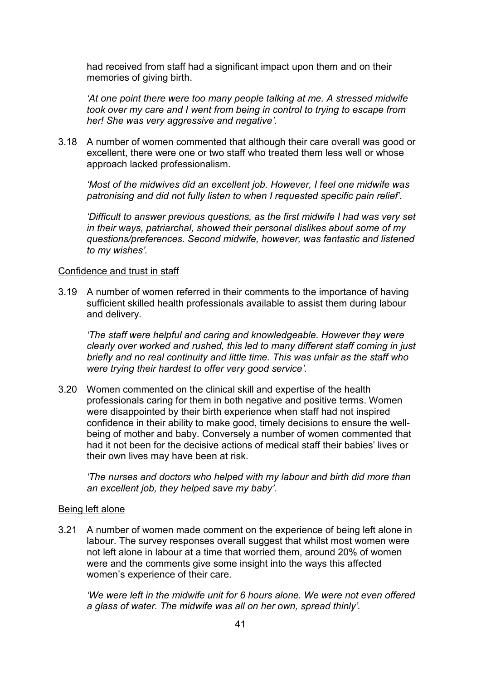had received from staff had a significant impact upon them and on their memories of giving birth.

*'At one point there were too many people talking at me. A stressed midwife took over my care and I went from being in control to trying to escape from her! She was very aggressive and negative'.*

3.18 A number of women commented that although their care overall was good or excellent, there were one or two staff who treated them less well or whose approach lacked professionalism.

*'Most of the midwives did an excellent job. However, I feel one midwife was patronising and did not fully listen to when I requested specific pain relief'.*

*'Difficult to answer previous questions, as the first midwife I had was very set in their ways, patriarchal, showed their personal dislikes about some of my questions/preferences. Second midwife, however, was fantastic and listened to my wishes'.*

#### Confidence and trust in staff

3.19 A number of women referred in their comments to the importance of having sufficient skilled health professionals available to assist them during labour and delivery.

*'The staff were helpful and caring and knowledgeable. However they were clearly over worked and rushed, this led to many different staff coming in just briefly and no real continuity and little time. This was unfair as the staff who were trying their hardest to offer very good service'.*

3.20 Women commented on the clinical skill and expertise of the health professionals caring for them in both negative and positive terms. Women were disappointed by their birth experience when staff had not inspired confidence in their ability to make good, timely decisions to ensure the wellbeing of mother and baby. Conversely a number of women commented that had it not been for the decisive actions of medical staff their babies' lives or their own lives may have been at risk.

*'The nurses and doctors who helped with my labour and birth did more than an excellent job, they helped save my baby'.*

# Being left alone

3.21 A number of women made comment on the experience of being left alone in labour. The survey responses overall suggest that whilst most women were not left alone in labour at a time that worried them, around 20% of women were and the comments give some insight into the ways this affected women's experience of their care.

*'We were left in the midwife unit for 6 hours alone. We were not even offered a glass of water. The midwife was all on her own, spread thinly'.*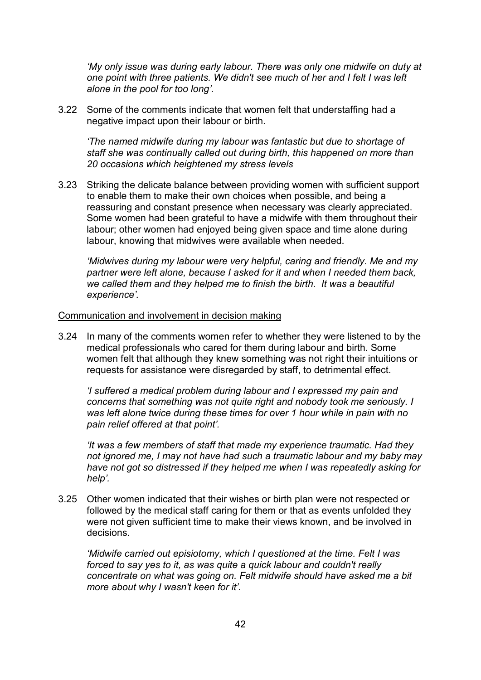*'My only issue was during early labour. There was only one midwife on duty at one point with three patients. We didn't see much of her and I felt I was left alone in the pool for too long'.*

3.22 Some of the comments indicate that women felt that understaffing had a negative impact upon their labour or birth.

*'The named midwife during my labour was fantastic but due to shortage of staff she was continually called out during birth, this happened on more than 20 occasions which heightened my stress levels* 

3.23 Striking the delicate balance between providing women with sufficient support to enable them to make their own choices when possible, and being a reassuring and constant presence when necessary was clearly appreciated. Some women had been grateful to have a midwife with them throughout their labour; other women had enjoyed being given space and time alone during labour, knowing that midwives were available when needed.

*'Midwives during my labour were very helpful, caring and friendly. Me and my partner were left alone, because I asked for it and when I needed them back, we called them and they helped me to finish the birth. It was a beautiful experience'.*

#### Communication and involvement in decision making

3.24 In many of the comments women refer to whether they were listened to by the medical professionals who cared for them during labour and birth. Some women felt that although they knew something was not right their intuitions or requests for assistance were disregarded by staff, to detrimental effect.

*'I suffered a medical problem during labour and I expressed my pain and concerns that something was not quite right and nobody took me seriously. I was left alone twice during these times for over 1 hour while in pain with no pain relief offered at that point'.*

*'It was a few members of staff that made my experience traumatic. Had they not ignored me, I may not have had such a traumatic labour and my baby may have not got so distressed if they helped me when I was repeatedly asking for help'.*

3.25 Other women indicated that their wishes or birth plan were not respected or followed by the medical staff caring for them or that as events unfolded they were not given sufficient time to make their views known, and be involved in decisions.

*'Midwife carried out episiotomy, which I questioned at the time. Felt I was forced to say yes to it, as was quite a quick labour and couldn't really concentrate on what was going on. Felt midwife should have asked me a bit more about why I wasn't keen for it'.*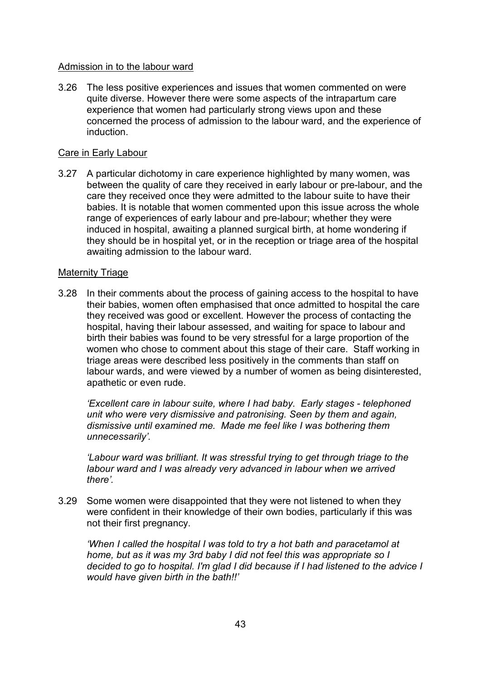# Admission in to the labour ward

3.26 The less positive experiences and issues that women commented on were quite diverse. However there were some aspects of the intrapartum care experience that women had particularly strong views upon and these concerned the process of admission to the labour ward, and the experience of induction.

# Care in Early Labour

3.27 A particular dichotomy in care experience highlighted by many women, was between the quality of care they received in early labour or pre-labour, and the care they received once they were admitted to the labour suite to have their babies. It is notable that women commented upon this issue across the whole range of experiences of early labour and pre-labour; whether they were induced in hospital, awaiting a planned surgical birth, at home wondering if they should be in hospital yet, or in the reception or triage area of the hospital awaiting admission to the labour ward.

## Maternity Triage

3.28 In their comments about the process of gaining access to the hospital to have their babies, women often emphasised that once admitted to hospital the care they received was good or excellent. However the process of contacting the hospital, having their labour assessed, and waiting for space to labour and birth their babies was found to be very stressful for a large proportion of the women who chose to comment about this stage of their care. Staff working in triage areas were described less positively in the comments than staff on labour wards, and were viewed by a number of women as being disinterested, apathetic or even rude.

*'Excellent care in labour suite, where I had baby. Early stages - telephoned unit who were very dismissive and patronising. Seen by them and again, dismissive until examined me. Made me feel like I was bothering them unnecessarily'.*

*'Labour ward was brilliant. It was stressful trying to get through triage to the labour ward and I was already very advanced in labour when we arrived there'.*

3.29 Some women were disappointed that they were not listened to when they were confident in their knowledge of their own bodies, particularly if this was not their first pregnancy.

*'When I called the hospital I was told to try a hot bath and paracetamol at home, but as it was my 3rd baby I did not feel this was appropriate so I decided to go to hospital. I'm glad I did because if I had listened to the advice I would have given birth in the bath!!'*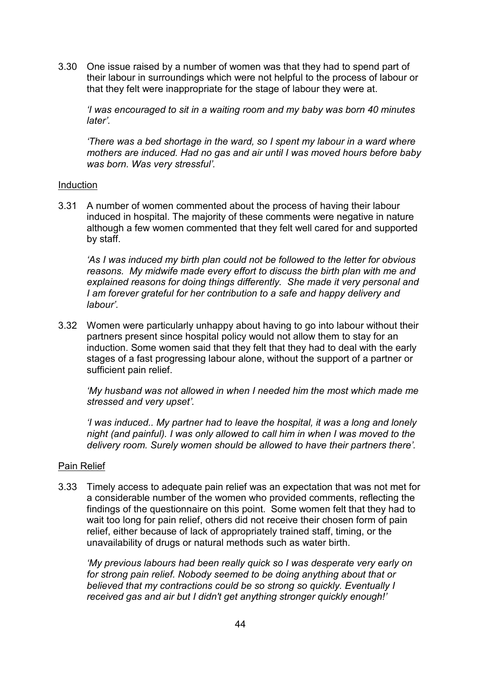3.30 One issue raised by a number of women was that they had to spend part of their labour in surroundings which were not helpful to the process of labour or that they felt were inappropriate for the stage of labour they were at.

*'I was encouraged to sit in a waiting room and my baby was born 40 minutes later'.*

*'There was a bed shortage in the ward, so I spent my labour in a ward where mothers are induced. Had no gas and air until I was moved hours before baby was born. Was very stressful'.*

#### Induction

3.31 A number of women commented about the process of having their labour induced in hospital. The majority of these comments were negative in nature although a few women commented that they felt well cared for and supported by staff.

*'As I was induced my birth plan could not be followed to the letter for obvious reasons. My midwife made every effort to discuss the birth plan with me and explained reasons for doing things differently. She made it very personal and I am forever grateful for her contribution to a safe and happy delivery and labour'.*

3.32 Women were particularly unhappy about having to go into labour without their partners present since hospital policy would not allow them to stay for an induction. Some women said that they felt that they had to deal with the early stages of a fast progressing labour alone, without the support of a partner or sufficient pain relief.

*'My husband was not allowed in when I needed him the most which made me stressed and very upset'.*

*'I was induced.. My partner had to leave the hospital, it was a long and lonely night (and painful). I was only allowed to call him in when I was moved to the delivery room. Surely women should be allowed to have their partners there'.*

# Pain Relief

3.33 Timely access to adequate pain relief was an expectation that was not met for a considerable number of the women who provided comments, reflecting the findings of the questionnaire on this point. Some women felt that they had to wait too long for pain relief, others did not receive their chosen form of pain relief, either because of lack of appropriately trained staff, timing, or the unavailability of drugs or natural methods such as water birth.

*'My previous labours had been really quick so I was desperate very early on*  for strong pain relief. Nobody seemed to be doing anything about that or *believed that my contractions could be so strong so quickly. Eventually I received gas and air but I didn't get anything stronger quickly enough!'*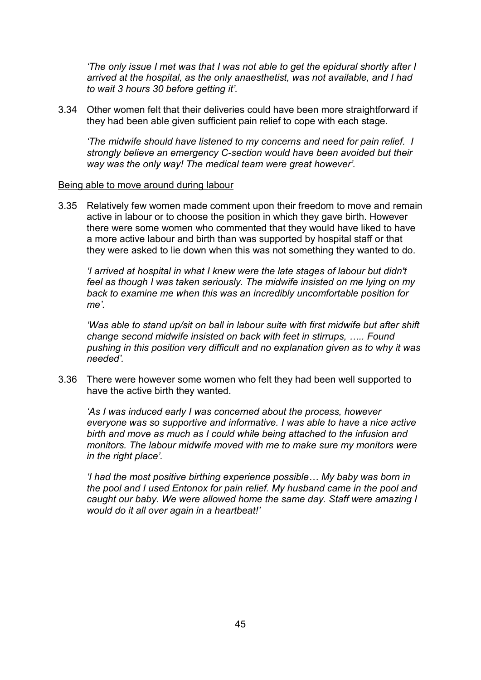*'The only issue I met was that I was not able to get the epidural shortly after I arrived at the hospital, as the only anaesthetist, was not available, and I had to wait 3 hours 30 before getting it'.*

3.34 Other women felt that their deliveries could have been more straightforward if they had been able given sufficient pain relief to cope with each stage.

*'The midwife should have listened to my concerns and need for pain relief. I strongly believe an emergency C-section would have been avoided but their way was the only way! The medical team were great however'.*

#### Being able to move around during labour

3.35 Relatively few women made comment upon their freedom to move and remain active in labour or to choose the position in which they gave birth. However there were some women who commented that they would have liked to have a more active labour and birth than was supported by hospital staff or that they were asked to lie down when this was not something they wanted to do.

*'I arrived at hospital in what I knew were the late stages of labour but didn't feel as though I was taken seriously. The midwife insisted on me lying on my back to examine me when this was an incredibly uncomfortable position for me'.*

*'Was able to stand up/sit on ball in labour suite with first midwife but after shift change second midwife insisted on back with feet in stirrups, ….. Found pushing in this position very difficult and no explanation given as to why it was needed'.*

3.36 There were however some women who felt they had been well supported to have the active birth they wanted.

*'As I was induced early I was concerned about the process, however everyone was so supportive and informative. I was able to have a nice active birth and move as much as I could while being attached to the infusion and monitors. The labour midwife moved with me to make sure my monitors were in the right place'.*

*'I had the most positive birthing experience possible… My baby was born in the pool and I used Entonox for pain relief. My husband came in the pool and caught our baby. We were allowed home the same day. Staff were amazing I would do it all over again in a heartbeat!'*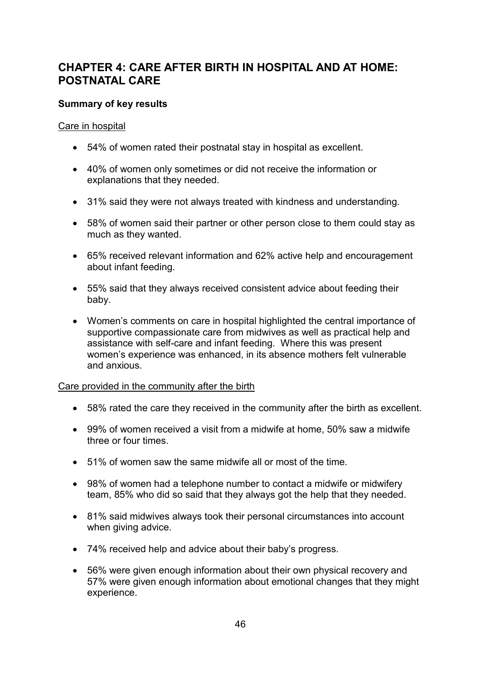# **CHAPTER 4: CARE AFTER BIRTH IN HOSPITAL AND AT HOME: POSTNATAL CARE**

# **Summary of key results**

# Care in hospital

- 54% of women rated their postnatal stay in hospital as excellent.
- 40% of women only sometimes or did not receive the information or explanations that they needed.
- 31% said they were not always treated with kindness and understanding.
- 58% of women said their partner or other person close to them could stay as much as they wanted.
- 65% received relevant information and 62% active help and encouragement about infant feeding.
- 55% said that they always received consistent advice about feeding their baby.
- Women's comments on care in hospital highlighted the central importance of supportive compassionate care from midwives as well as practical help and assistance with self-care and infant feeding. Where this was present women's experience was enhanced, in its absence mothers felt vulnerable and anxious.

# Care provided in the community after the birth

- 58% rated the care they received in the community after the birth as excellent.
- 99% of women received a visit from a midwife at home, 50% saw a midwife three or four times.
- 51% of women saw the same midwife all or most of the time.
- 98% of women had a telephone number to contact a midwife or midwifery team, 85% who did so said that they always got the help that they needed.
- 81% said midwives always took their personal circumstances into account when giving advice.
- 74% received help and advice about their baby's progress.
- 56% were given enough information about their own physical recovery and 57% were given enough information about emotional changes that they might experience.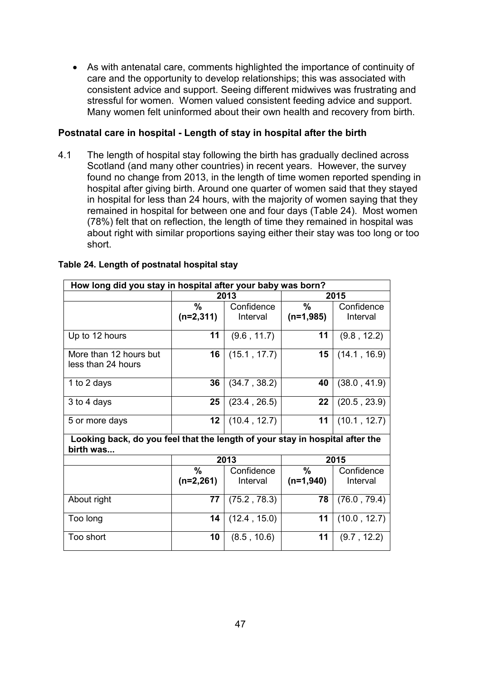• As with antenatal care, comments highlighted the importance of continuity of care and the opportunity to develop relationships; this was associated with consistent advice and support. Seeing different midwives was frustrating and stressful for women. Women valued consistent feeding advice and support. Many women felt uninformed about their own health and recovery from birth.

# **Postnatal care in hospital - Length of stay in hospital after the birth**

4.1 The length of hospital stay following the birth has gradually declined across Scotland (and many other countries) in recent years. However, the survey found no change from 2013, in the length of time women reported spending in hospital after giving birth. Around one quarter of women said that they stayed in hospital for less than 24 hours, with the majority of women saying that they remained in hospital for between one and four days (Table 24). Most women (78%) felt that on reflection, the length of time they remained in hospital was about right with similar proportions saying either their stay was too long or too short.

| How long did you stay in hospital after your baby was born?                               |             |              |             |              |
|-------------------------------------------------------------------------------------------|-------------|--------------|-------------|--------------|
|                                                                                           |             | 2013         | 2015        |              |
|                                                                                           | %           | Confidence   | %           | Confidence   |
|                                                                                           | $(n=2,311)$ | Interval     | $(n=1,985)$ | Interval     |
| Up to 12 hours                                                                            | 11          | (9.6, 11.7)  | 11          | (9.8, 12.2)  |
| More than 12 hours but<br>less than 24 hours                                              | 16          | (15.1, 17.7) | 15          | (14.1, 16.9) |
| 1 to 2 days                                                                               | 36          | (34.7, 38.2) | 40          | (38.0, 41.9) |
| 3 to 4 days                                                                               | 25          | (23.4, 26.5) | 22          | (20.5, 23.9) |
| 5 or more days                                                                            | 12          | (10.4, 12.7) | 11          | (10.1, 12.7) |
| Looking back, do you feel that the length of your stay in hospital after the<br>birth was |             |              |             |              |
|                                                                                           |             | 2013         | 2015        |              |
|                                                                                           | $\%$        | Confidence   | $\%$        | Confidence   |
|                                                                                           | $(n=2,261)$ | Interval     | $(n=1,940)$ | Interval     |
| About right                                                                               | 77          | (75.2, 78.3) | 78          | (76.0, 79.4) |
| Too long                                                                                  | 14          | (12.4, 15.0) | 11          | (10.0, 12.7) |
| Too short                                                                                 | 10          | (8.5, 10.6)  | 11          | (9.7, 12.2)  |

# **Table 24. Length of postnatal hospital stay**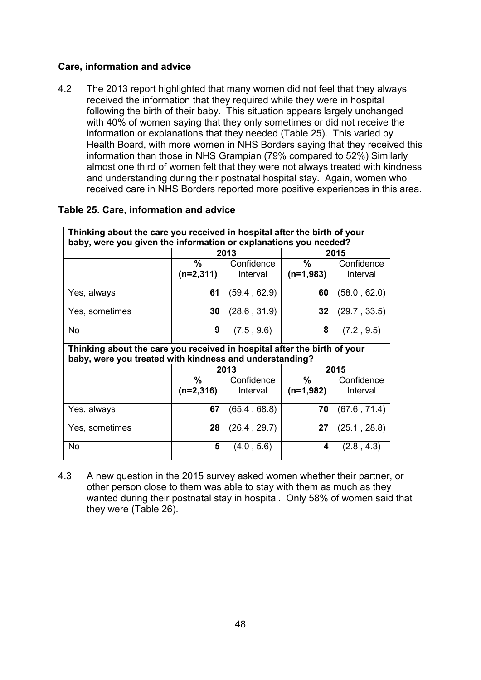# **Care, information and advice**

4.2 The 2013 report highlighted that many women did not feel that they always received the information that they required while they were in hospital following the birth of their baby. This situation appears largely unchanged with 40% of women saying that they only sometimes or did not receive the information or explanations that they needed (Table 25). This varied by Health Board, with more women in NHS Borders saying that they received this information than those in NHS Grampian (79% compared to 52%) Similarly almost one third of women felt that they were not always treated with kindness and understanding during their postnatal hospital stay. Again, women who received care in NHS Borders reported more positive experiences in this area.

| Thinking about the care you received in hospital after the birth of your<br>baby, were you given the information or explanations you needed? |             |              |               |              |
|----------------------------------------------------------------------------------------------------------------------------------------------|-------------|--------------|---------------|--------------|
|                                                                                                                                              |             | 2013         | 2015          |              |
|                                                                                                                                              | ℅           | Confidence   | $\%$          | Confidence   |
|                                                                                                                                              | $(n=2,311)$ | Interval     | $(n=1,983)$   | Interval     |
| Yes, always                                                                                                                                  | 61          | (59.4, 62.9) | 60            | (58.0, 62.0) |
| Yes, sometimes                                                                                                                               | 30          | (28.6, 31.9) | 32            | (29.7, 33.5) |
| <b>No</b>                                                                                                                                    | 9           | (7.5, 9.6)   | 8             | (7.2, 9.5)   |
| Thinking about the care you received in hospital after the birth of your<br>baby, were you treated with kindness and understanding?          |             |              |               |              |
|                                                                                                                                              |             | 2013         |               | 2015         |
|                                                                                                                                              | %           | Confidence   | $\frac{0}{0}$ | Confidence   |
|                                                                                                                                              | $(n=2,316)$ | Interval     | $(n=1,982)$   | Interval     |
|                                                                                                                                              |             |              |               |              |
| Yes, always                                                                                                                                  | 67          | (65.4, 68.8) | 70            | (67.6, 71.4) |
| Yes, sometimes                                                                                                                               | 28          | (26.4, 29.7) | 27            | (25.1, 28.8) |

# **Table 25. Care, information and advice**

4.3 A new question in the 2015 survey asked women whether their partner, or other person close to them was able to stay with them as much as they wanted during their postnatal stay in hospital. Only 58% of women said that they were (Table 26).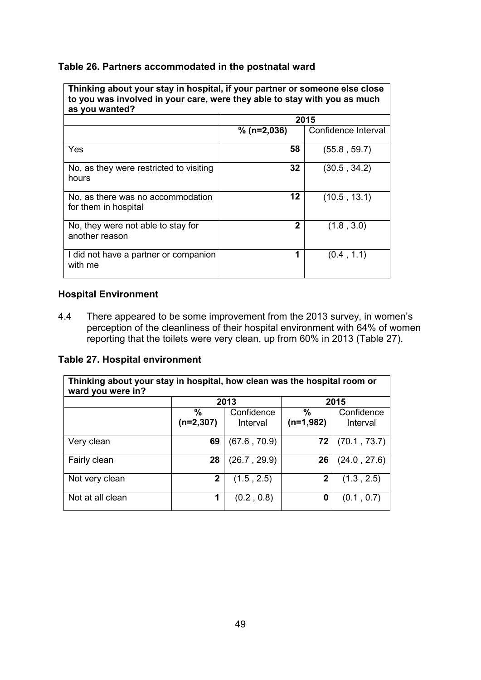## **Table 26. Partners accommodated in the postnatal ward**

**Thinking about your stay in hospital, if your partner or someone else close to you was involved in your care, were they able to stay with you as much as you wanted?**

|                                                           |               | 2015                |
|-----------------------------------------------------------|---------------|---------------------|
|                                                           | $% (n=2,036)$ | Confidence Interval |
| Yes                                                       | 58            | (55.8, 59.7)        |
| No, as they were restricted to visiting<br>hours          | 32            | (30.5, 34.2)        |
| No, as there was no accommodation<br>for them in hospital | 12            | (10.5, 13.1)        |
| No, they were not able to stay for<br>another reason      | 2             | (1.8, 3.0)          |
| I did not have a partner or companion<br>with me          | 1             | (0.4, 1.1)          |

#### **Hospital Environment**

4.4 There appeared to be some improvement from the 2013 survey, in women's perception of the cleanliness of their hospital environment with 64% of women reporting that the toilets were very clean, up from 60% in 2013 (Table 27).

## **Table 27. Hospital environment**

| Thinking about your stay in hospital, how clean was the hospital room or<br>ward you were in? |                     |                        |                     |                        |
|-----------------------------------------------------------------------------------------------|---------------------|------------------------|---------------------|------------------------|
|                                                                                               |                     | 2013                   | 2015                |                        |
|                                                                                               | $\%$<br>$(n=2,307)$ | Confidence<br>Interval | $\%$<br>$(n=1,982)$ | Confidence<br>Interval |
| Very clean                                                                                    | 69                  | (67.6, 70.9)           | 72                  | (70.1, 73.7)           |
| Fairly clean                                                                                  | 28                  | (26.7, 29.9)           | 26                  | (24.0, 27.6)           |
| Not very clean                                                                                | 2                   | (1.5, 2.5)             | $\mathbf{2}$        | (1.3, 2.5)             |
| Not at all clean                                                                              |                     | (0.2, 0.8)             | 0                   | (0.1, 0.7)             |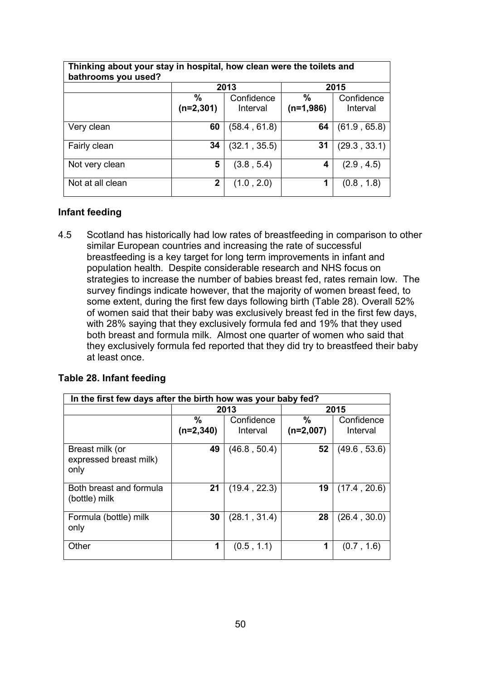| Thinking about your stay in hospital, how clean were the toilets and<br>bathrooms you used? |                              |                        |                              |                        |
|---------------------------------------------------------------------------------------------|------------------------------|------------------------|------------------------------|------------------------|
|                                                                                             |                              | 2013                   |                              | 2015                   |
|                                                                                             | $\frac{0}{0}$<br>$(n=2,301)$ | Confidence<br>Interval | $\frac{9}{6}$<br>$(n=1,986)$ | Confidence<br>Interval |
| Very clean                                                                                  | 60                           | (58.4, 61.8)           | 64                           | (61.9, 65.8)           |
| Fairly clean                                                                                | 34                           | (32.1, 35.5)           | 31                           | (29.3, 33.1)           |
| Not very clean                                                                              | 5                            | (3.8, 5.4)             | 4                            | (2.9, 4.5)             |
| Not at all clean                                                                            | 2                            | (1.0, 2.0)             | 1                            | (0.8, 1.8)             |

# **Infant feeding**

4.5 Scotland has historically had low rates of breastfeeding in comparison to other similar European countries and increasing the rate of successful breastfeeding is a key target for long term improvements in infant and population health. Despite considerable research and NHS focus on strategies to increase the number of babies breast fed, rates remain low. The survey findings indicate however, that the majority of women breast feed, to some extent, during the first few days following birth (Table 28). Overall 52% of women said that their baby was exclusively breast fed in the first few days, with 28% saying that they exclusively formula fed and 19% that they used both breast and formula milk. Almost one quarter of women who said that they exclusively formula fed reported that they did try to breastfeed their baby at least once.

#### **Table 28. Infant feeding**

|                                                   | In the first few days after the birth how was your baby fed? |                        |                     |                        |  |
|---------------------------------------------------|--------------------------------------------------------------|------------------------|---------------------|------------------------|--|
|                                                   |                                                              | 2013                   | 2015                |                        |  |
|                                                   | %<br>$(n=2,340)$                                             | Confidence<br>Interval | $\%$<br>$(n=2,007)$ | Confidence<br>Interval |  |
| Breast milk (or<br>expressed breast milk)<br>only | 49                                                           | (46.8, 50.4)           | 52                  | (49.6, 53.6)           |  |
| Both breast and formula<br>(bottle) milk          | 21                                                           | (19.4, 22.3)           | 19                  | (17.4, 20.6)           |  |
| Formula (bottle) milk<br>only                     | 30                                                           | (28.1, 31.4)           | 28                  | (26.4, 30.0)           |  |
| Other                                             | 1                                                            | (0.5, 1.1)             | 1                   | (0.7, 1.6)             |  |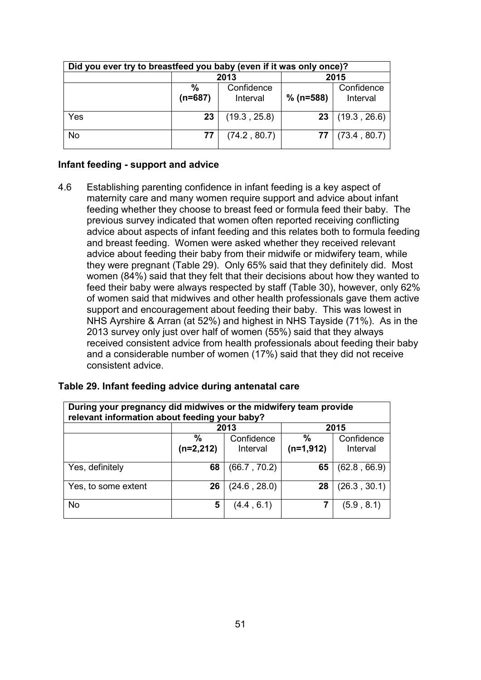| Did you ever try to breastfeed you baby (even if it was only once)? |                   |                        |             |                        |
|---------------------------------------------------------------------|-------------------|------------------------|-------------|------------------------|
|                                                                     |                   | 2013                   |             | 2015                   |
|                                                                     | $\%$<br>$(n=687)$ | Confidence<br>Interval | $% (n=588)$ | Confidence<br>Interval |
| Yes                                                                 | 23                | (19.3, 25.8)           | 23          | (19.3, 26.6)           |
| <b>No</b>                                                           | 77                | (74.2, 80.7)           |             | (73.4, 80.7)           |

# **Infant feeding - support and advice**

4.6 Establishing parenting confidence in infant feeding is a key aspect of maternity care and many women require support and advice about infant feeding whether they choose to breast feed or formula feed their baby. The previous survey indicated that women often reported receiving conflicting advice about aspects of infant feeding and this relates both to formula feeding and breast feeding. Women were asked whether they received relevant advice about feeding their baby from their midwife or midwifery team, while they were pregnant (Table 29). Only 65% said that they definitely did. Most women (84%) said that they felt that their decisions about how they wanted to feed their baby were always respected by staff (Table 30), however, only 62% of women said that midwives and other health professionals gave them active support and encouragement about feeding their baby. This was lowest in NHS Ayrshire & Arran (at 52%) and highest in NHS Tayside (71%). As in the 2013 survey only just over half of women (55%) said that they always received consistent advice from health professionals about feeding their baby and a considerable number of women (17%) said that they did not receive consistent advice.

| During your pregnancy did midwives or the midwifery team provide<br>relevant information about feeding your baby? |                  |                        |                  |                        |
|-------------------------------------------------------------------------------------------------------------------|------------------|------------------------|------------------|------------------------|
|                                                                                                                   | 2013<br>2015     |                        |                  |                        |
|                                                                                                                   | %<br>$(n=2,212)$ | Confidence<br>Interval | %<br>$(n=1,912)$ | Confidence<br>Interval |
| Yes, definitely                                                                                                   | 68               | (66.7, 70.2)           | 65               | (62.8, 66.9)           |
| Yes, to some extent                                                                                               | 26               | (24.6, 28.0)           | 28               | (26.3, 30.1)           |
| <b>No</b>                                                                                                         | 5                | (4.4, 6.1)             |                  | (5.9, 8.1)             |

#### **Table 29. Infant feeding advice during antenatal care**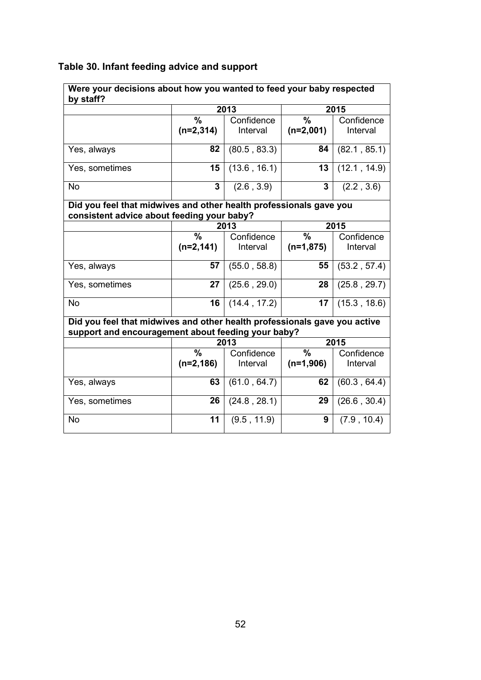| Were your decisions about how you wanted to feed your baby respected                                                            |               |              |               |              |
|---------------------------------------------------------------------------------------------------------------------------------|---------------|--------------|---------------|--------------|
| by staff?                                                                                                                       |               |              |               |              |
|                                                                                                                                 |               | 2013         |               | 2015         |
|                                                                                                                                 | $\frac{0}{0}$ | Confidence   | $\frac{0}{0}$ | Confidence   |
|                                                                                                                                 | $(n=2,314)$   | Interval     | $(n=2,001)$   | Interval     |
|                                                                                                                                 | 82            | (80.5, 83.3) | 84            |              |
| Yes, always                                                                                                                     |               |              |               | (82.1, 85.1) |
| Yes, sometimes                                                                                                                  | 15            | (13.6, 16.1) | 13            | (12.1, 14.9) |
| <b>No</b>                                                                                                                       | 3             | (2.6, 3.9)   | 3             | (2.2, 3.6)   |
| Did you feel that midwives and other health professionals gave you                                                              |               |              |               |              |
| consistent advice about feeding your baby?                                                                                      |               |              |               |              |
|                                                                                                                                 |               | 2013         |               | 2015         |
|                                                                                                                                 | $\frac{0}{0}$ | Confidence   | $\frac{9}{6}$ | Confidence   |
|                                                                                                                                 | $(n=2, 141)$  | Interval     | $(n=1,875)$   | Interval     |
| Yes, always                                                                                                                     | 57            | (55.0, 58.8) | 55            | (53.2, 57.4) |
| Yes, sometimes                                                                                                                  | 27            | (25.6, 29.0) | 28            | (25.8, 29.7) |
| <b>No</b>                                                                                                                       | 16            | (14.4, 17.2) | 17            | (15.3, 18.6) |
| Did you feel that midwives and other health professionals gave you active<br>support and encouragement about feeding your baby? |               |              |               |              |
|                                                                                                                                 |               | 2013         |               | 2015         |
|                                                                                                                                 | $\frac{0}{0}$ | Confidence   | $\frac{9}{6}$ | Confidence   |
|                                                                                                                                 | $(n=2, 186)$  | Interval     | $(n=1,906)$   | Interval     |
| Yes, always                                                                                                                     | 63            | (61.0, 64.7) | 62            | (60.3, 64.4) |
| Yes, sometimes                                                                                                                  | 26            | (24.8, 28.1) | 29            | (26.6, 30.4) |
| <b>No</b>                                                                                                                       | 11            | (9.5, 11.9)  | 9             | (7.9, 10.4)  |
|                                                                                                                                 |               |              |               |              |

# **Table 30. Infant feeding advice and support**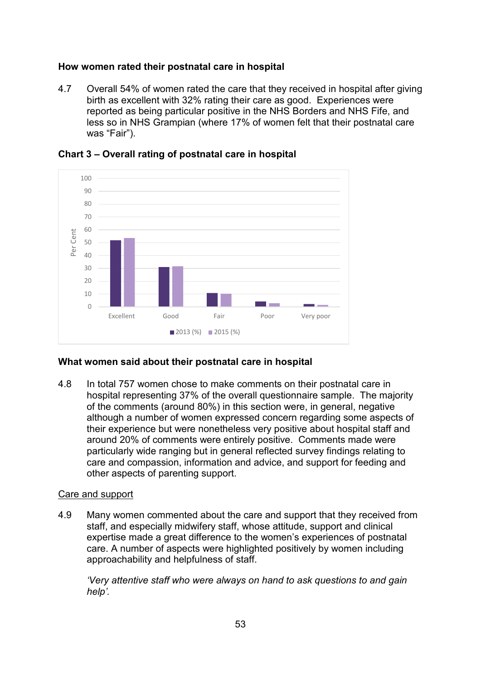# **How women rated their postnatal care in hospital**

4.7 Overall 54% of women rated the care that they received in hospital after giving birth as excellent with 32% rating their care as good. Experiences were reported as being particular positive in the NHS Borders and NHS Fife, and less so in NHS Grampian (where 17% of women felt that their postnatal care was "Fair").





# **What women said about their postnatal care in hospital**

4.8 In total 757 women chose to make comments on their postnatal care in hospital representing 37% of the overall questionnaire sample. The majority of the comments (around 80%) in this section were, in general, negative although a number of women expressed concern regarding some aspects of their experience but were nonetheless very positive about hospital staff and around 20% of comments were entirely positive. Comments made were particularly wide ranging but in general reflected survey findings relating to care and compassion, information and advice, and support for feeding and other aspects of parenting support.

# Care and support

4.9 Many women commented about the care and support that they received from staff, and especially midwifery staff, whose attitude, support and clinical expertise made a great difference to the women's experiences of postnatal care. A number of aspects were highlighted positively by women including approachability and helpfulness of staff.

*'Very attentive staff who were always on hand to ask questions to and gain help'.*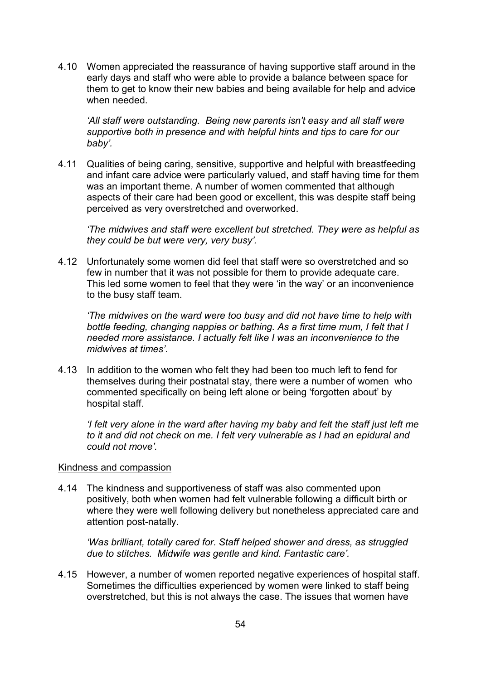4.10 Women appreciated the reassurance of having supportive staff around in the early days and staff who were able to provide a balance between space for them to get to know their new babies and being available for help and advice when needed.

*'All staff were outstanding. Being new parents isn't easy and all staff were supportive both in presence and with helpful hints and tips to care for our baby'.*

4.11 Qualities of being caring, sensitive, supportive and helpful with breastfeeding and infant care advice were particularly valued, and staff having time for them was an important theme. A number of women commented that although aspects of their care had been good or excellent, this was despite staff being perceived as very overstretched and overworked.

*'The midwives and staff were excellent but stretched. They were as helpful as they could be but were very, very busy'.*

4.12 Unfortunately some women did feel that staff were so overstretched and so few in number that it was not possible for them to provide adequate care. This led some women to feel that they were 'in the way' or an inconvenience to the busy staff team.

*'The midwives on the ward were too busy and did not have time to help with bottle feeding, changing nappies or bathing. As a first time mum, I felt that I needed more assistance. I actually felt like I was an inconvenience to the midwives at times'.*

4.13 In addition to the women who felt they had been too much left to fend for themselves during their postnatal stay, there were a number of women who commented specifically on being left alone or being 'forgotten about' by hospital staff.

*'I felt very alone in the ward after having my baby and felt the staff just left me to it and did not check on me. I felt very vulnerable as I had an epidural and could not move'.*

#### Kindness and compassion

4.14 The kindness and supportiveness of staff was also commented upon positively, both when women had felt vulnerable following a difficult birth or where they were well following delivery but nonetheless appreciated care and attention post-natally.

*'Was brilliant, totally cared for. Staff helped shower and dress, as struggled due to stitches. Midwife was gentle and kind. Fantastic care'.*

4.15 However, a number of women reported negative experiences of hospital staff. Sometimes the difficulties experienced by women were linked to staff being overstretched, but this is not always the case. The issues that women have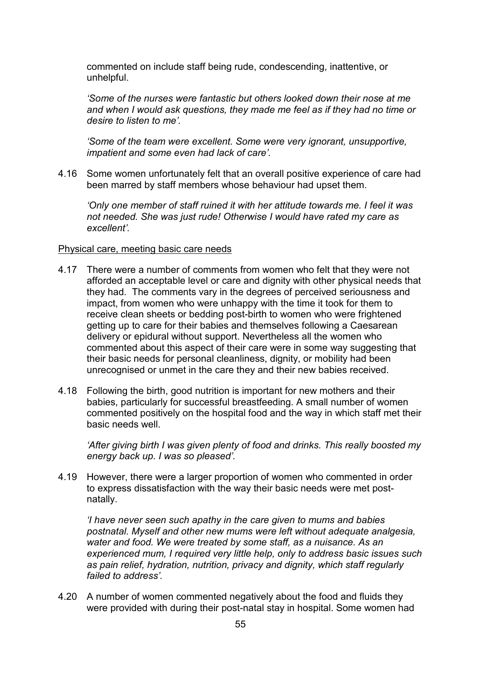commented on include staff being rude, condescending, inattentive, or unhelpful.

*'Some of the nurses were fantastic but others looked down their nose at me and when I would ask questions, they made me feel as if they had no time or desire to listen to me'.*

*'Some of the team were excellent. Some were very ignorant, unsupportive, impatient and some even had lack of care'.*

4.16 Some women unfortunately felt that an overall positive experience of care had been marred by staff members whose behaviour had upset them.

*'Only one member of staff ruined it with her attitude towards me. I feel it was not needed. She was just rude! Otherwise I would have rated my care as excellent'.*

## Physical care, meeting basic care needs

- 4.17 There were a number of comments from women who felt that they were not afforded an acceptable level or care and dignity with other physical needs that they had. The comments vary in the degrees of perceived seriousness and impact, from women who were unhappy with the time it took for them to receive clean sheets or bedding post-birth to women who were frightened getting up to care for their babies and themselves following a Caesarean delivery or epidural without support. Nevertheless all the women who commented about this aspect of their care were in some way suggesting that their basic needs for personal cleanliness, dignity, or mobility had been unrecognised or unmet in the care they and their new babies received.
- 4.18 Following the birth, good nutrition is important for new mothers and their babies, particularly for successful breastfeeding. A small number of women commented positively on the hospital food and the way in which staff met their basic needs well.

*'After giving birth I was given plenty of food and drinks. This really boosted my energy back up. I was so pleased'.*

4.19 However, there were a larger proportion of women who commented in order to express dissatisfaction with the way their basic needs were met postnatally.

*'I have never seen such apathy in the care given to mums and babies postnatal. Myself and other new mums were left without adequate analgesia, water and food. We were treated by some staff, as a nuisance. As an experienced mum, I required very little help, only to address basic issues such as pain relief, hydration, nutrition, privacy and dignity, which staff regularly failed to address'.* 

4.20 A number of women commented negatively about the food and fluids they were provided with during their post-natal stay in hospital. Some women had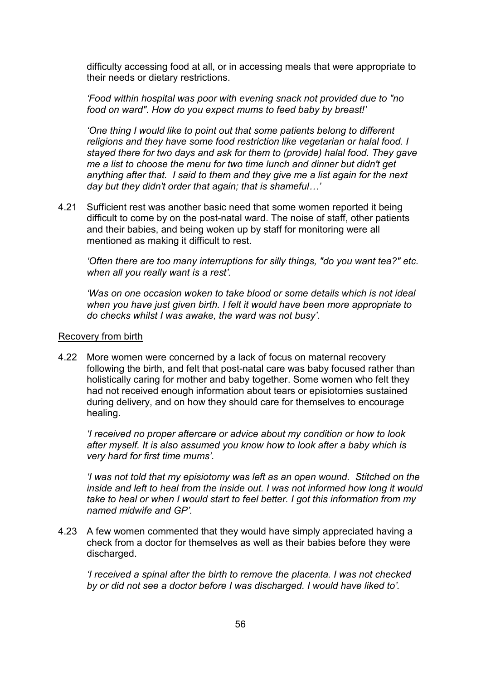difficulty accessing food at all, or in accessing meals that were appropriate to their needs or dietary restrictions.

*'Food within hospital was poor with evening snack not provided due to "no food on ward". How do you expect mums to feed baby by breast!'* 

*'One thing I would like to point out that some patients belong to different religions and they have some food restriction like vegetarian or halal food. I stayed there for two days and ask for them to (provide) halal food. They gave me a list to choose the menu for two time lunch and dinner but didn't get anything after that. I said to them and they give me a list again for the next day but they didn't order that again; that is shameful…'* 

4.21 Sufficient rest was another basic need that some women reported it being difficult to come by on the post-natal ward. The noise of staff, other patients and their babies, and being woken up by staff for monitoring were all mentioned as making it difficult to rest.

*'Often there are too many interruptions for silly things, "do you want tea?" etc. when all you really want is a rest'.*

*'Was on one occasion woken to take blood or some details which is not ideal when you have just given birth. I felt it would have been more appropriate to do checks whilst I was awake, the ward was not busy'.*

## Recovery from birth

4.22 More women were concerned by a lack of focus on maternal recovery following the birth, and felt that post-natal care was baby focused rather than holistically caring for mother and baby together. Some women who felt they had not received enough information about tears or episiotomies sustained during delivery, and on how they should care for themselves to encourage healing.

*'I received no proper aftercare or advice about my condition or how to look after myself. It is also assumed you know how to look after a baby which is very hard for first time mums'.*

*'I was not told that my episiotomy was left as an open wound. Stitched on the inside and left to heal from the inside out. I was not informed how long it would take to heal or when I would start to feel better. I got this information from my named midwife and GP'.*

4.23 A few women commented that they would have simply appreciated having a check from a doctor for themselves as well as their babies before they were discharged.

*'I received a spinal after the birth to remove the placenta. I was not checked by or did not see a doctor before I was discharged. I would have liked to'.*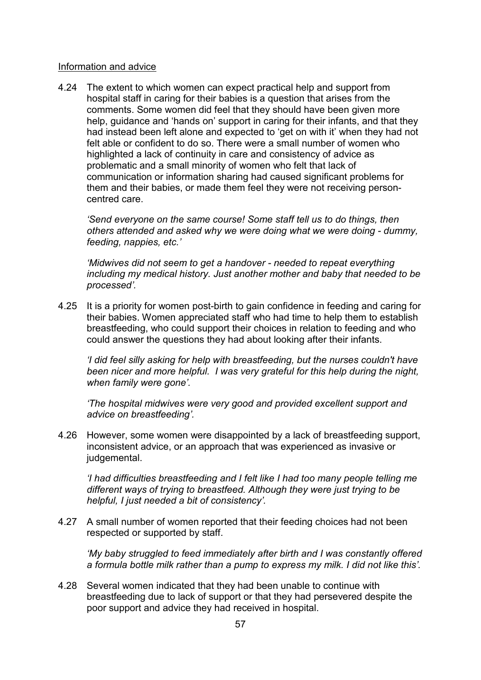#### Information and advice

4.24 The extent to which women can expect practical help and support from hospital staff in caring for their babies is a question that arises from the comments. Some women did feel that they should have been given more help, guidance and 'hands on' support in caring for their infants, and that they had instead been left alone and expected to 'get on with it' when they had not felt able or confident to do so. There were a small number of women who highlighted a lack of continuity in care and consistency of advice as problematic and a small minority of women who felt that lack of communication or information sharing had caused significant problems for them and their babies, or made them feel they were not receiving personcentred care.

*'Send everyone on the same course! Some staff tell us to do things, then others attended and asked why we were doing what we were doing - dummy, feeding, nappies, etc.'* 

*'Midwives did not seem to get a handover - needed to repeat everything including my medical history. Just another mother and baby that needed to be processed'.*

4.25 It is a priority for women post-birth to gain confidence in feeding and caring for their babies. Women appreciated staff who had time to help them to establish breastfeeding, who could support their choices in relation to feeding and who could answer the questions they had about looking after their infants.

*'I did feel silly asking for help with breastfeeding, but the nurses couldn't have been nicer and more helpful. I was very grateful for this help during the night, when family were gone'.*

*'The hospital midwives were very good and provided excellent support and advice on breastfeeding'.*

4.26 However, some women were disappointed by a lack of breastfeeding support, inconsistent advice, or an approach that was experienced as invasive or judgemental.

*'I had difficulties breastfeeding and I felt like I had too many people telling me different ways of trying to breastfeed. Although they were just trying to be helpful, I just needed a bit of consistency'.*

4.27 A small number of women reported that their feeding choices had not been respected or supported by staff.

*'My baby struggled to feed immediately after birth and I was constantly offered a formula bottle milk rather than a pump to express my milk. I did not like this'.* 

4.28 Several women indicated that they had been unable to continue with breastfeeding due to lack of support or that they had persevered despite the poor support and advice they had received in hospital.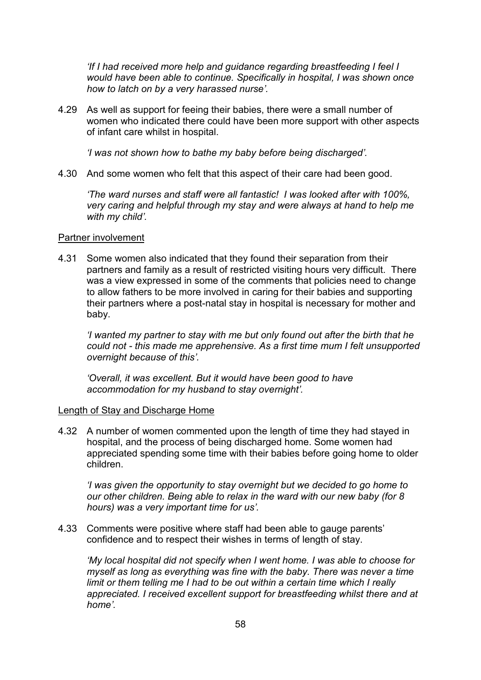*'If I had received more help and guidance regarding breastfeeding I feel I would have been able to continue. Specifically in hospital, I was shown once how to latch on by a very harassed nurse'.*

4.29 As well as support for feeing their babies, there were a small number of women who indicated there could have been more support with other aspects of infant care whilst in hospital.

*'I was not shown how to bathe my baby before being discharged'.*

4.30 And some women who felt that this aspect of their care had been good.

*'The ward nurses and staff were all fantastic! I was looked after with 100%, very caring and helpful through my stay and were always at hand to help me with my child'.*

## Partner involvement

4.31 Some women also indicated that they found their separation from their partners and family as a result of restricted visiting hours very difficult. There was a view expressed in some of the comments that policies need to change to allow fathers to be more involved in caring for their babies and supporting their partners where a post-natal stay in hospital is necessary for mother and baby.

*'I wanted my partner to stay with me but only found out after the birth that he could not - this made me apprehensive. As a first time mum I felt unsupported overnight because of this'.*

*'Overall, it was excellent. But it would have been good to have accommodation for my husband to stay overnight'.*

# Length of Stay and Discharge Home

4.32 A number of women commented upon the length of time they had stayed in hospital, and the process of being discharged home. Some women had appreciated spending some time with their babies before going home to older children.

*'I was given the opportunity to stay overnight but we decided to go home to our other children. Being able to relax in the ward with our new baby (for 8 hours) was a very important time for us'.*

4.33 Comments were positive where staff had been able to gauge parents' confidence and to respect their wishes in terms of length of stay.

*'My local hospital did not specify when I went home. I was able to choose for myself as long as everything was fine with the baby. There was never a time limit or them telling me I had to be out within a certain time which I really appreciated. I received excellent support for breastfeeding whilst there and at home'.*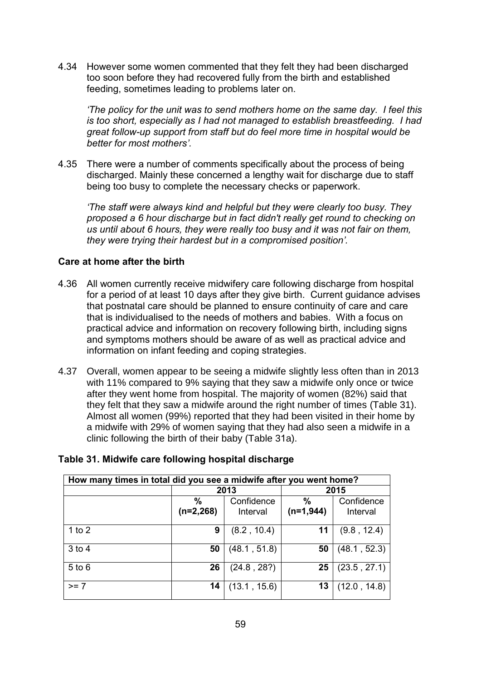4.34 However some women commented that they felt they had been discharged too soon before they had recovered fully from the birth and established feeding, sometimes leading to problems later on.

*'The policy for the unit was to send mothers home on the same day. I feel this is too short, especially as I had not managed to establish breastfeeding. I had great follow-up support from staff but do feel more time in hospital would be better for most mothers'.*

4.35 There were a number of comments specifically about the process of being discharged. Mainly these concerned a lengthy wait for discharge due to staff being too busy to complete the necessary checks or paperwork.

*'The staff were always kind and helpful but they were clearly too busy. They proposed a 6 hour discharge but in fact didn't really get round to checking on us until about 6 hours, they were really too busy and it was not fair on them, they were trying their hardest but in a compromised position'.*

# **Care at home after the birth**

- 4.36 All women currently receive midwifery care following discharge from hospital for a period of at least 10 days after they give birth. Current guidance advises that postnatal care should be planned to ensure continuity of care and care that is individualised to the needs of mothers and babies. With a focus on practical advice and information on recovery following birth, including signs and symptoms mothers should be aware of as well as practical advice and information on infant feeding and coping strategies.
- 4.37 Overall, women appear to be seeing a midwife slightly less often than in 2013 with 11% compared to 9% saying that they saw a midwife only once or twice after they went home from hospital. The majority of women (82%) said that they felt that they saw a midwife around the right number of times (Table 31). Almost all women (99%) reported that they had been visited in their home by a midwife with 29% of women saying that they had also seen a midwife in a clinic following the birth of their baby (Table 31a).

| How many times in total did you see a midwife after you went home? |                     |                        |                     |                        |
|--------------------------------------------------------------------|---------------------|------------------------|---------------------|------------------------|
|                                                                    |                     | 2013                   | 2015                |                        |
|                                                                    | $\%$<br>$(n=2,268)$ | Confidence<br>Interval | $\%$<br>$(n=1,944)$ | Confidence<br>Interval |
| 1 to $2$                                                           | 9                   | (8.2, 10.4)            | 11                  | (9.8, 12.4)            |
| $3$ to 4                                                           | 50                  | (48.1, 51.8)           | 50                  | (48.1, 52.3)           |
| $5$ to $6$                                                         | 26                  | (24.8, 28?)            | 25                  | (23.5, 27.1)           |
| $>= 7$                                                             | 14                  | (13.1, 15.6)           | 13                  | (12.0, 14.8)           |

# **Table 31. Midwife care following hospital discharge**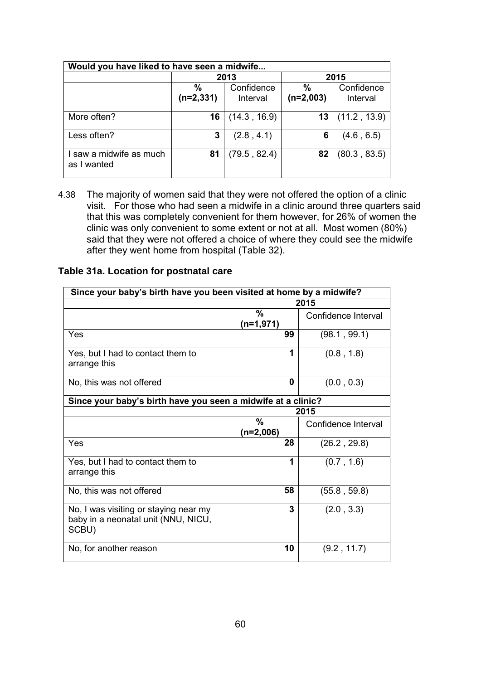| Would you have liked to have seen a midwife |                  |                        |                     |                        |
|---------------------------------------------|------------------|------------------------|---------------------|------------------------|
|                                             |                  | 2013                   |                     | 2015                   |
|                                             | %<br>$(n=2,331)$ | Confidence<br>Interval | $\%$<br>$(n=2,003)$ | Confidence<br>Interval |
| More often?                                 | 16               | (14.3, 16.9)           | 13                  | (11.2, 13.9)           |
| Less often?                                 | 3                | (2.8, 4.1)             | 6                   | (4.6, 6.5)             |
| I saw a midwife as much<br>as I wanted      | 81               | (79.5, 82.4)           | 82                  | (80.3, 83.5)           |

4.38 The majority of women said that they were not offered the option of a clinic visit. For those who had seen a midwife in a clinic around three quarters said that this was completely convenient for them however, for 26% of women the clinic was only convenient to some extent or not at all. Most women (80%) said that they were not offered a choice of where they could see the midwife after they went home from hospital (Table 32).

|  |  |  |  | Table 31a. Location for postnatal care |  |
|--|--|--|--|----------------------------------------|--|
|--|--|--|--|----------------------------------------|--|

| Since your baby's birth have you been visited at home by a midwife?                   |                     |                     |  |  |
|---------------------------------------------------------------------------------------|---------------------|---------------------|--|--|
|                                                                                       |                     | 2015                |  |  |
|                                                                                       | %<br>$(n=1,971)$    | Confidence Interval |  |  |
| Yes                                                                                   | 99                  | (98.1, 99.1)        |  |  |
| Yes, but I had to contact them to<br>arrange this                                     | 1                   | (0.8, 1.8)          |  |  |
| No, this was not offered                                                              | $\bf{0}$            | (0.0, 0.3)          |  |  |
| Since your baby's birth have you seen a midwife at a clinic?                          |                     |                     |  |  |
|                                                                                       | 2015                |                     |  |  |
|                                                                                       | $\%$<br>$(n=2,006)$ | Confidence Interval |  |  |
| Yes                                                                                   | 28                  | (26.2, 29.8)        |  |  |
| Yes, but I had to contact them to<br>arrange this                                     | 1                   | (0.7, 1.6)          |  |  |
| No, this was not offered                                                              | 58                  | (55.8, 59.8)        |  |  |
| No, I was visiting or staying near my<br>baby in a neonatal unit (NNU, NICU,<br>SCBU) | 3                   | (2.0, 3.3)          |  |  |
| No, for another reason                                                                | 10                  | (9.2, 11.7)         |  |  |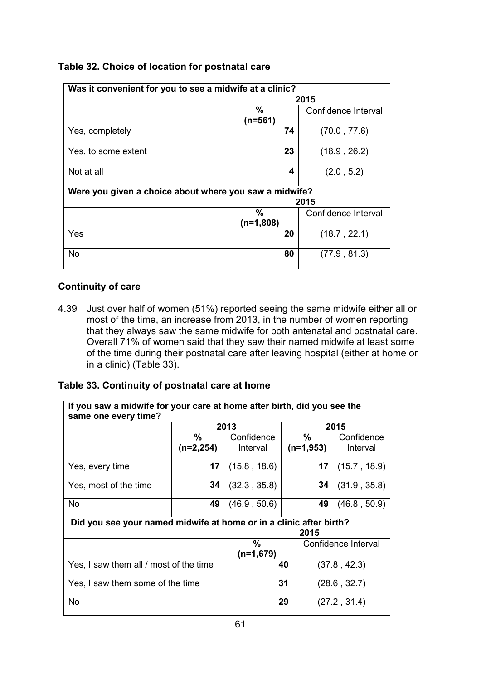| Was it convenient for you to see a midwife at a clinic? |             |                     |
|---------------------------------------------------------|-------------|---------------------|
|                                                         |             | 2015                |
|                                                         | %           | Confidence Interval |
|                                                         | $(n=561)$   |                     |
| Yes, completely                                         | 74          | (70.0, 77.6)        |
| Yes, to some extent                                     | 23          | (18.9, 26.2)        |
| Not at all                                              | 4           | (2.0, 5.2)          |
| Were you given a choice about where you saw a midwife?  |             |                     |
|                                                         |             | 2015                |
|                                                         | $\%$        | Confidence Interval |
|                                                         | $(n=1,808)$ |                     |
| Yes                                                     | 20          | (18.7, 22.1)        |
| <b>No</b>                                               | 80          | (77.9, 81.3)        |

# **Table 32. Choice of location for postnatal care**

# **Continuity of care**

4.39 Just over half of women (51%) reported seeing the same midwife either all or most of the time, an increase from 2013, in the number of women reporting that they always saw the same midwife for both antenatal and postnatal care. Overall 71% of women said that they saw their named midwife at least some of the time during their postnatal care after leaving hospital (either at home or in a clinic) (Table 33).

# **Table 33. Continuity of postnatal care at home**

| If you saw a midwife for your care at home after birth, did you see the<br>same one every time? |             |              |                     |              |
|-------------------------------------------------------------------------------------------------|-------------|--------------|---------------------|--------------|
|                                                                                                 |             | 2013         |                     | 2015         |
|                                                                                                 | $\%$        | Confidence   | %                   | Confidence   |
|                                                                                                 | $(n=2,254)$ | Interval     | $(n=1,953)$         | Interval     |
| Yes, every time                                                                                 | 17          | (15.8, 18.6) | 17                  | (15.7, 18.9) |
| Yes, most of the time                                                                           | 34          | (32.3, 35.8) | 34                  | (31.9, 35.8) |
| <b>No</b>                                                                                       | 49          | (46.9, 50.6) | 49                  | (46.8, 50.9) |
| Did you see your named midwife at home or in a clinic after birth?                              |             |              |                     |              |
|                                                                                                 |             |              | 2015                |              |
|                                                                                                 |             | $\%$         | Confidence Interval |              |
|                                                                                                 |             | (n=1,679)    |                     |              |
| Yes, I saw them all / most of the time                                                          |             |              | 40                  | (37.8, 42.3) |
| Yes, I saw them some of the time                                                                |             |              | 31                  | (28.6, 32.7) |
| No                                                                                              |             |              | 29                  | (27.2, 31.4) |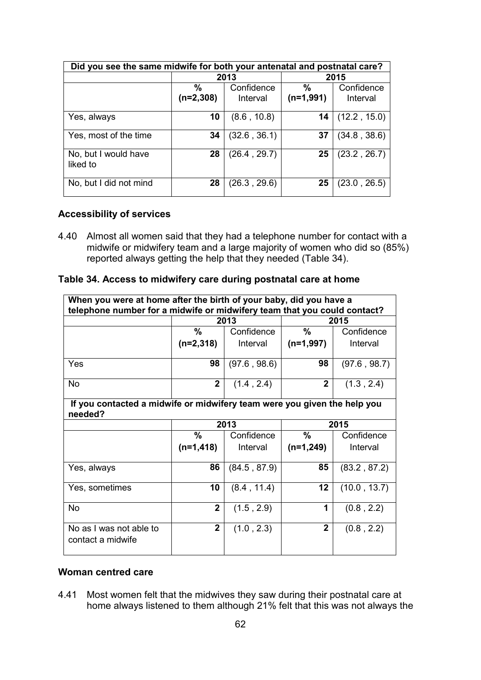| Did you see the same midwife for both your antenatal and postnatal care? |                     |                        |                              |                        |
|--------------------------------------------------------------------------|---------------------|------------------------|------------------------------|------------------------|
|                                                                          |                     | 2013                   | 2015                         |                        |
|                                                                          | $\%$<br>$(n=2,308)$ | Confidence<br>Interval | $\frac{0}{0}$<br>$(n=1,991)$ | Confidence<br>Interval |
| Yes, always                                                              | 10                  | (8.6, 10.8)            | 14                           | (12.2, 15.0)           |
| Yes, most of the time                                                    | 34                  | (32.6, 36.1)           | 37                           | (34.8, 38.6)           |
| No, but I would have<br>liked to                                         | 28                  | (26.4, 29.7)           | 25                           | (23.2, 26.7)           |
| No, but I did not mind                                                   | 28                  | (26.3, 29.6)           | 25                           | (23.0, 26.5)           |

## **Accessibility of services**

4.40 Almost all women said that they had a telephone number for contact with a midwife or midwifery team and a large majority of women who did so (85%) reported always getting the help that they needed (Table 34).

#### **Table 34. Access to midwifery care during postnatal care at home**

| When you were at home after the birth of your baby, did you have a<br>telephone number for a midwife or midwifery team that you could contact? |                                                                          |              |                |              |  |  |
|------------------------------------------------------------------------------------------------------------------------------------------------|--------------------------------------------------------------------------|--------------|----------------|--------------|--|--|
|                                                                                                                                                |                                                                          | 2013         |                | 2015         |  |  |
|                                                                                                                                                | %                                                                        | Confidence   | $\frac{0}{0}$  | Confidence   |  |  |
|                                                                                                                                                | $(n=2,318)$                                                              | Interval     | $(n=1,997)$    | Interval     |  |  |
| Yes                                                                                                                                            | 98                                                                       | (97.6, 98.6) | 98             | (97.6, 98.7) |  |  |
| <b>No</b>                                                                                                                                      | $\mathbf{2}$                                                             | (1.4, 2.4)   | $\overline{2}$ | (1.3, 2.4)   |  |  |
| needed?                                                                                                                                        | If you contacted a midwife or midwifery team were you given the help you |              |                |              |  |  |
|                                                                                                                                                |                                                                          | 2013         |                | 2015         |  |  |
|                                                                                                                                                | %                                                                        | Confidence   | $\frac{0}{0}$  | Confidence   |  |  |
|                                                                                                                                                | $(n=1,418)$                                                              | Interval     | $(n=1,249)$    | Interval     |  |  |
| Yes, always                                                                                                                                    | 86                                                                       | (84.5, 87.9) | 85             | (83.2, 87.2) |  |  |
| Yes, sometimes                                                                                                                                 | 10                                                                       | (8.4, 11.4)  | 12             | (10.0, 13.7) |  |  |
| <b>No</b>                                                                                                                                      | $\overline{2}$                                                           | (1.5, 2.9)   | 1              | (0.8, 2.2)   |  |  |
| No as I was not able to<br>contact a midwife                                                                                                   | $\overline{2}$                                                           | (1.0, 2.3)   | $\mathbf{2}$   | (0.8, 2.2)   |  |  |

# **Woman centred care**

4.41 Most women felt that the midwives they saw during their postnatal care at home always listened to them although 21% felt that this was not always the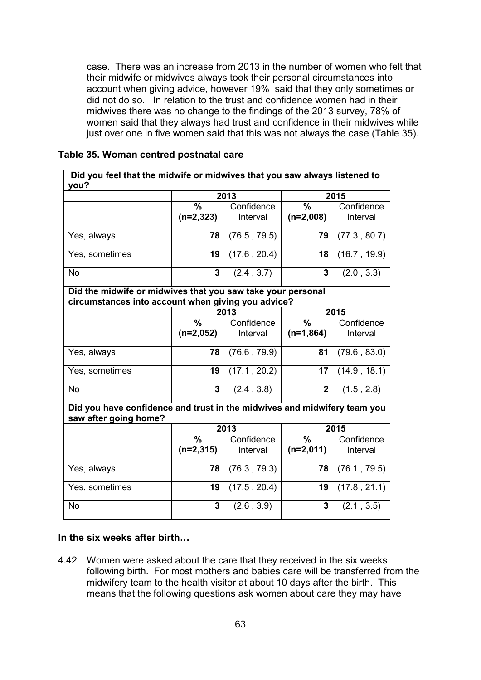case. There was an increase from 2013 in the number of women who felt that their midwife or midwives always took their personal circumstances into account when giving advice, however 19% said that they only sometimes or did not do so. In relation to the trust and confidence women had in their midwives there was no change to the findings of the 2013 survey, 78% of women said that they always had trust and confidence in their midwives while just over one in five women said that this was not always the case (Table 35).

#### **Table 35. Woman centred postnatal care**

| Did you feel that the midwife or midwives that you saw always listened to<br>you?                 |                                                                                                                   |              |                          |              |  |  |
|---------------------------------------------------------------------------------------------------|-------------------------------------------------------------------------------------------------------------------|--------------|--------------------------|--------------|--|--|
|                                                                                                   |                                                                                                                   | 2013         |                          | 2015         |  |  |
|                                                                                                   | $\overline{\frac{9}{6}}$                                                                                          | Confidence   | $\overline{\frac{9}{6}}$ | Confidence   |  |  |
|                                                                                                   | $(n=2,323)$                                                                                                       | Interval     | $(n=2,008)$              | Interval     |  |  |
| Yes, always                                                                                       | 78                                                                                                                | (76.5, 79.5) | 79                       | (77.3, 80.7) |  |  |
| Yes, sometimes                                                                                    | 19                                                                                                                | (17.6, 20.4) | 18                       | (16.7, 19.9) |  |  |
| <b>No</b>                                                                                         | 3                                                                                                                 | (2.4, 3.7)   | 3                        | (2.0, 3.3)   |  |  |
|                                                                                                   | Did the midwife or midwives that you saw take your personal<br>circumstances into account when giving you advice? |              |                          |              |  |  |
|                                                                                                   |                                                                                                                   | 2013         | 2015                     |              |  |  |
|                                                                                                   | $\frac{0}{0}$                                                                                                     | Confidence   | $\frac{0}{6}$            | Confidence   |  |  |
|                                                                                                   | $(n=2,052)$                                                                                                       | Interval     | $(n=1,864)$              | Interval     |  |  |
| Yes, always                                                                                       | 78                                                                                                                | (76.6, 79.9) | 81                       | (79.6, 83.0) |  |  |
| Yes, sometimes                                                                                    | 19                                                                                                                | (17.1, 20.2) | $\overline{17}$          | (14.9, 18.1) |  |  |
| <b>No</b>                                                                                         | $\overline{\mathbf{3}}$                                                                                           | (2.4, 3.8)   | $\overline{2}$           | (1.5, 2.8)   |  |  |
| Did you have confidence and trust in the midwives and midwifery team you<br>saw after going home? |                                                                                                                   |              |                          |              |  |  |
|                                                                                                   |                                                                                                                   | 2013         |                          | 2015         |  |  |
|                                                                                                   | $\frac{0}{0}$                                                                                                     | Confidence   | $\frac{0}{2}$            | Confidence   |  |  |
|                                                                                                   | $(n=2,315)$                                                                                                       | Interval     | $(n=2,011)$              | Interval     |  |  |
| Yes, always                                                                                       | 78                                                                                                                | (76.3, 79.3) | 78                       | (76.1, 79.5) |  |  |
| Yes, sometimes                                                                                    | 19                                                                                                                | (17.5, 20.4) | 19                       | (17.8, 21.1) |  |  |
| <b>No</b>                                                                                         | 3                                                                                                                 | (2.6, 3.9)   | 3                        | (2.1, 3.5)   |  |  |

#### **In the six weeks after birth…**

4.42 Women were asked about the care that they received in the six weeks following birth. For most mothers and babies care will be transferred from the midwifery team to the health visitor at about 10 days after the birth. This means that the following questions ask women about care they may have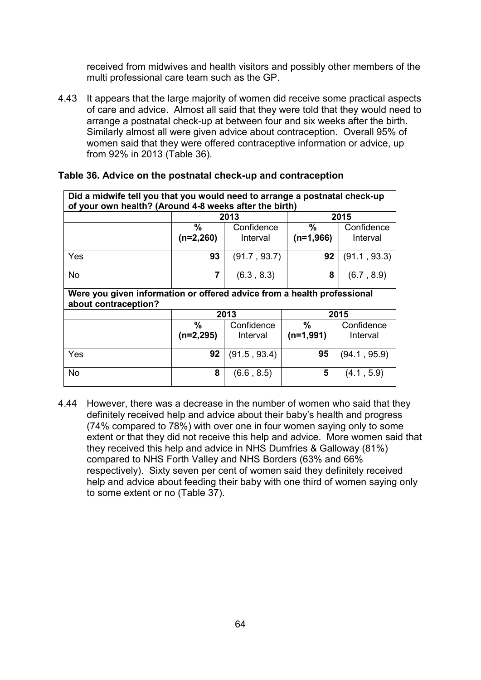received from midwives and health visitors and possibly other members of the multi professional care team such as the GP.

4.43 It appears that the large majority of women did receive some practical aspects of care and advice. Almost all said that they were told that they would need to arrange a postnatal check-up at between four and six weeks after the birth. Similarly almost all were given advice about contraception. Overall 95% of women said that they were offered contraceptive information or advice, up from 92% in 2013 (Table 36).

| Did a midwife tell you that you would need to arrange a postnatal check-up<br>of your own health? (Around 4-8 weeks after the birth) |                  |                        |                     |                        |  |
|--------------------------------------------------------------------------------------------------------------------------------------|------------------|------------------------|---------------------|------------------------|--|
|                                                                                                                                      |                  | 2013                   |                     | 2015                   |  |
|                                                                                                                                      | ℅<br>$(n=2,260)$ | Confidence<br>Interval | $\%$<br>$(n=1,966)$ | Confidence<br>Interval |  |
| Yes                                                                                                                                  | 93               | (91.7, 93.7)           | 92                  | (91.1, 93.3)           |  |
| <b>No</b>                                                                                                                            | 7                | (6.3, 8.3)             | 8                   | (6.7, 8.9)             |  |
| Were you given information or offered advice from a health professional<br>about contraception?                                      |                  |                        |                     |                        |  |
|                                                                                                                                      |                  | 2013                   |                     | 2015                   |  |
|                                                                                                                                      | %<br>$(n=2,295)$ | Confidence<br>Interval | %<br>$(n=1,991)$    | Confidence<br>Interval |  |
| Yes                                                                                                                                  | 92               | (91.5, 93.4)           | 95                  | (94.1, 95.9)           |  |
| <b>No</b>                                                                                                                            | 8                | (6.6, 8.5)             | 5                   | (4.1, 5.9)             |  |

# **Table 36. Advice on the postnatal check-up and contraception**

4.44 However, there was a decrease in the number of women who said that they definitely received help and advice about their baby's health and progress (74% compared to 78%) with over one in four women saying only to some extent or that they did not receive this help and advice. More women said that they received this help and advice in NHS Dumfries & Galloway (81%) compared to NHS Forth Valley and NHS Borders (63% and 66% respectively). Sixty seven per cent of women said they definitely received help and advice about feeding their baby with one third of women saying only to some extent or no (Table 37).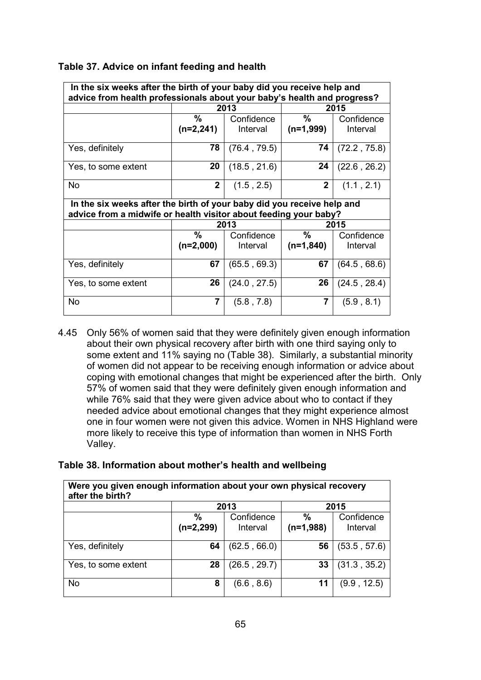| In the six weeks after the birth of your baby did you receive help and<br>advice from health professionals about your baby's health and progress? |                 |              |                |              |  |  |  |  |
|---------------------------------------------------------------------------------------------------------------------------------------------------|-----------------|--------------|----------------|--------------|--|--|--|--|
|                                                                                                                                                   | 2013            |              | 2015           |              |  |  |  |  |
|                                                                                                                                                   | %<br>Confidence |              | $\frac{0}{0}$  | Confidence   |  |  |  |  |
|                                                                                                                                                   | $(n=2,241)$     | Interval     | (n=1,999)      | Interval     |  |  |  |  |
| Yes, definitely                                                                                                                                   | 78              | (76.4, 79.5) | 74             | (72.2, 75.8) |  |  |  |  |
| Yes, to some extent                                                                                                                               | 20              | (18.5, 21.6) | 24             | (22.6, 26.2) |  |  |  |  |
| No                                                                                                                                                | $\overline{2}$  | (1.5, 2.5)   | $\overline{2}$ | (1.1, 2.1)   |  |  |  |  |
| In the six weeks after the birth of your baby did you receive help and<br>advice from a midwife or health visitor about feeding your baby?        |                 |              |                |              |  |  |  |  |
|                                                                                                                                                   |                 |              |                |              |  |  |  |  |
|                                                                                                                                                   |                 | 2013         |                | 2015         |  |  |  |  |
|                                                                                                                                                   | %               | Confidence   | $\%$           | Confidence   |  |  |  |  |
|                                                                                                                                                   | $(n=2,000)$     | Interval     | $(n=1,840)$    | Interval     |  |  |  |  |
| Yes, definitely                                                                                                                                   | 67              | (65.5, 69.3) | 67             | (64.5, 68.6) |  |  |  |  |
| Yes, to some extent                                                                                                                               | 26              | (24.0, 27.5) | 26             | (24.5, 28.4) |  |  |  |  |

# **Table 37. Advice on infant feeding and health**

4.45 Only 56% of women said that they were definitely given enough information about their own physical recovery after birth with one third saying only to some extent and 11% saying no (Table 38). Similarly, a substantial minority of women did not appear to be receiving enough information or advice about coping with emotional changes that might be experienced after the birth. Only 57% of women said that they were definitely given enough information and while 76% said that they were given advice about who to contact if they needed advice about emotional changes that they might experience almost one in four women were not given this advice. Women in NHS Highland were more likely to receive this type of information than women in NHS Forth Valley.

# **Table 38. Information about mother's health and wellbeing**

| Were you given enough information about your own physical recovery<br>after the birth? |                     |                        |                              |                        |  |  |  |
|----------------------------------------------------------------------------------------|---------------------|------------------------|------------------------------|------------------------|--|--|--|
|                                                                                        | 2013                |                        | 2015                         |                        |  |  |  |
|                                                                                        | $\%$<br>$(n=2,299)$ | Confidence<br>Interval | $\frac{0}{0}$<br>$(n=1,988)$ | Confidence<br>Interval |  |  |  |
| Yes, definitely                                                                        | 64                  | (62.5, 66.0)           | 56                           | (53.5, 57.6)           |  |  |  |
| Yes, to some extent                                                                    | 28                  | (26.5, 29.7)           | 33                           | (31.3, 35.2)           |  |  |  |
| <b>No</b>                                                                              | 8                   | (6.6, 8.6)             | 11                           | (9.9, 12.5)            |  |  |  |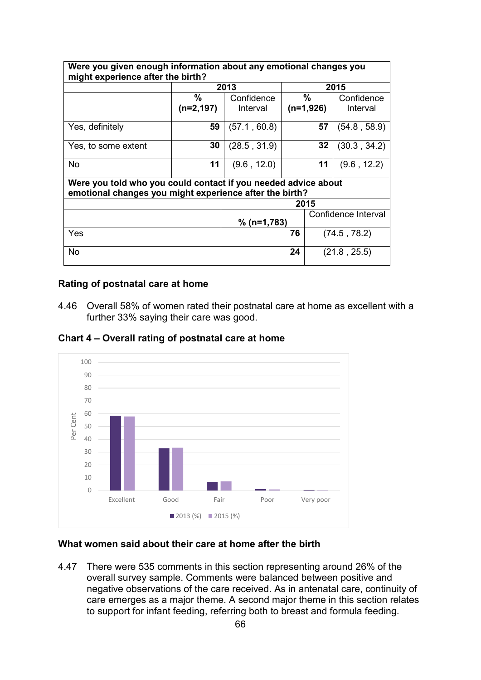| Were you given enough information about any emotional changes you<br>might experience after the birth?                    |              |               |      |              |                     |  |  |  |
|---------------------------------------------------------------------------------------------------------------------------|--------------|---------------|------|--------------|---------------------|--|--|--|
|                                                                                                                           | 2013         |               | 2015 |              |                     |  |  |  |
|                                                                                                                           | $\%$         | Confidence    |      | $\%$         | Confidence          |  |  |  |
|                                                                                                                           | $(n=2, 197)$ | Interval      |      | $(n=1,926)$  | Interval            |  |  |  |
| Yes, definitely                                                                                                           | 59           | (57.1, 60.8)  |      | 57           | (54.8, 58.9)        |  |  |  |
| Yes, to some extent                                                                                                       | 30           | (28.5, 31.9)  |      | 32           | (30.3, 34.2)        |  |  |  |
| <b>No</b>                                                                                                                 | 11           | (9.6, 12.0)   |      | 11           | (9.6, 12.2)         |  |  |  |
| Were you told who you could contact if you needed advice about<br>emotional changes you might experience after the birth? |              |               |      |              |                     |  |  |  |
|                                                                                                                           |              | 2015          |      |              |                     |  |  |  |
|                                                                                                                           |              | $% (n=1,783)$ |      |              | Confidence Interval |  |  |  |
| Yes                                                                                                                       |              | 76            |      | (74.5, 78.2) |                     |  |  |  |
| No                                                                                                                        |              | 24            |      |              | (21.8, 25.5)        |  |  |  |

#### **Rating of postnatal care at home**

4.46 Overall 58% of women rated their postnatal care at home as excellent with a further 33% saying their care was good.



**Chart 4 – Overall rating of postnatal care at home**

#### **What women said about their care at home after the birth**

4.47 There were 535 comments in this section representing around 26% of the overall survey sample. Comments were balanced between positive and negative observations of the care received. As in antenatal care, continuity of care emerges as a major theme. A second major theme in this section relates to support for infant feeding, referring both to breast and formula feeding.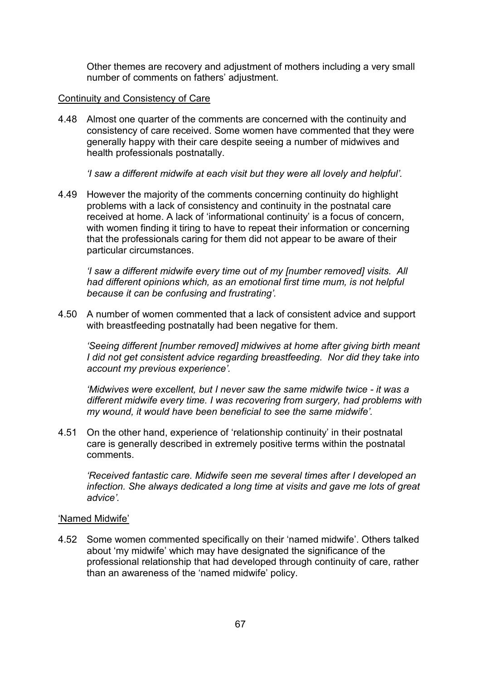Other themes are recovery and adjustment of mothers including a very small number of comments on fathers' adjustment.

# Continuity and Consistency of Care

4.48 Almost one quarter of the comments are concerned with the continuity and consistency of care received. Some women have commented that they were generally happy with their care despite seeing a number of midwives and health professionals postnatally.

*'I saw a different midwife at each visit but they were all lovely and helpful'.*

4.49 However the majority of the comments concerning continuity do highlight problems with a lack of consistency and continuity in the postnatal care received at home. A lack of 'informational continuity' is a focus of concern, with women finding it tiring to have to repeat their information or concerning that the professionals caring for them did not appear to be aware of their particular circumstances.

*'I saw a different midwife every time out of my [number removed] visits. All had different opinions which, as an emotional first time mum, is not helpful because it can be confusing and frustrating'.*

4.50 A number of women commented that a lack of consistent advice and support with breastfeeding postnatally had been negative for them.

*'Seeing different [number removed] midwives at home after giving birth meant I did not get consistent advice regarding breastfeeding. Nor did they take into account my previous experience'.*

*'Midwives were excellent, but I never saw the same midwife twice - it was a different midwife every time. I was recovering from surgery, had problems with my wound, it would have been beneficial to see the same midwife'.*

4.51 On the other hand, experience of 'relationship continuity' in their postnatal care is generally described in extremely positive terms within the postnatal comments.

*'Received fantastic care. Midwife seen me several times after I developed an infection. She always dedicated a long time at visits and gave me lots of great advice'.*

# 'Named Midwife'

4.52 Some women commented specifically on their 'named midwife'. Others talked about 'my midwife' which may have designated the significance of the professional relationship that had developed through continuity of care, rather than an awareness of the 'named midwife' policy.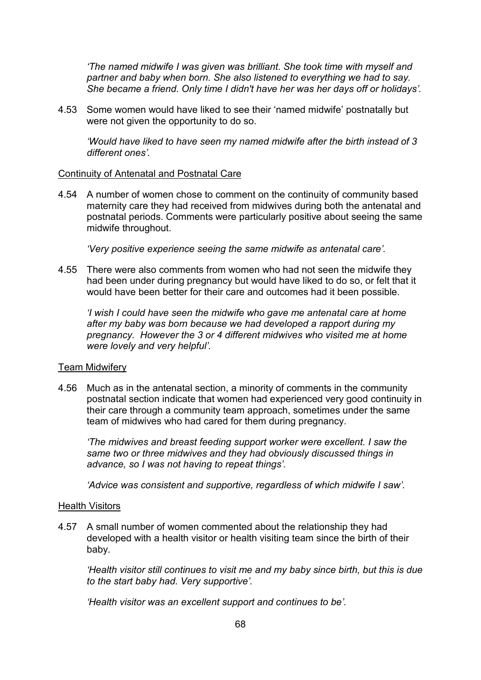*'The named midwife I was given was brilliant. She took time with myself and partner and baby when born. She also listened to everything we had to say. She became a friend. Only time I didn't have her was her days off or holidays'.*

4.53 Some women would have liked to see their 'named midwife' postnatally but were not given the opportunity to do so.

*'Would have liked to have seen my named midwife after the birth instead of 3 different ones'.*

## Continuity of Antenatal and Postnatal Care

4.54 A number of women chose to comment on the continuity of community based maternity care they had received from midwives during both the antenatal and postnatal periods. Comments were particularly positive about seeing the same midwife throughout.

*'Very positive experience seeing the same midwife as antenatal care'.*

4.55 There were also comments from women who had not seen the midwife they had been under during pregnancy but would have liked to do so, or felt that it would have been better for their care and outcomes had it been possible.

*'I wish I could have seen the midwife who gave me antenatal care at home after my baby was born because we had developed a rapport during my pregnancy. However the 3 or 4 different midwives who visited me at home were lovely and very helpful'.*

#### Team Midwifery

4.56 Much as in the antenatal section, a minority of comments in the community postnatal section indicate that women had experienced very good continuity in their care through a community team approach, sometimes under the same team of midwives who had cared for them during pregnancy.

*'The midwives and breast feeding support worker were excellent. I saw the same two or three midwives and they had obviously discussed things in advance, so I was not having to repeat things'.*

*'Advice was consistent and supportive, regardless of which midwife I saw'.*

#### Health Visitors

4.57 A small number of women commented about the relationship they had developed with a health visitor or health visiting team since the birth of their baby.

*'Health visitor still continues to visit me and my baby since birth, but this is due to the start baby had. Very supportive'.*

*'Health visitor was an excellent support and continues to be'.*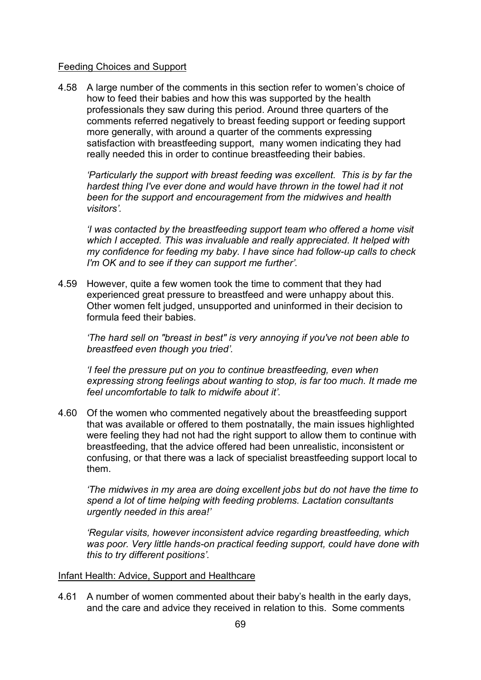## Feeding Choices and Support

4.58 A large number of the comments in this section refer to women's choice of how to feed their babies and how this was supported by the health professionals they saw during this period. Around three quarters of the comments referred negatively to breast feeding support or feeding support more generally, with around a quarter of the comments expressing satisfaction with breastfeeding support, many women indicating they had really needed this in order to continue breastfeeding their babies.

*'Particularly the support with breast feeding was excellent. This is by far the hardest thing I've ever done and would have thrown in the towel had it not been for the support and encouragement from the midwives and health visitors'.*

*'I was contacted by the breastfeeding support team who offered a home visit which I accepted. This was invaluable and really appreciated. It helped with my confidence for feeding my baby. I have since had follow-up calls to check I'm OK and to see if they can support me further'.*

4.59 However, quite a few women took the time to comment that they had experienced great pressure to breastfeed and were unhappy about this. Other women felt judged, unsupported and uninformed in their decision to formula feed their babies.

*'The hard sell on "breast in best" is very annoying if you've not been able to breastfeed even though you tried'.*

*'I feel the pressure put on you to continue breastfeeding, even when expressing strong feelings about wanting to stop, is far too much. It made me feel uncomfortable to talk to midwife about it'.*

4.60 Of the women who commented negatively about the breastfeeding support that was available or offered to them postnatally, the main issues highlighted were feeling they had not had the right support to allow them to continue with breastfeeding, that the advice offered had been unrealistic, inconsistent or confusing, or that there was a lack of specialist breastfeeding support local to them.

*'The midwives in my area are doing excellent jobs but do not have the time to spend a lot of time helping with feeding problems. Lactation consultants urgently needed in this area!'* 

*'Regular visits, however inconsistent advice regarding breastfeeding, which was poor. Very little hands-on practical feeding support, could have done with this to try different positions'.*

#### Infant Health: Advice, Support and Healthcare

4.61 A number of women commented about their baby's health in the early days, and the care and advice they received in relation to this. Some comments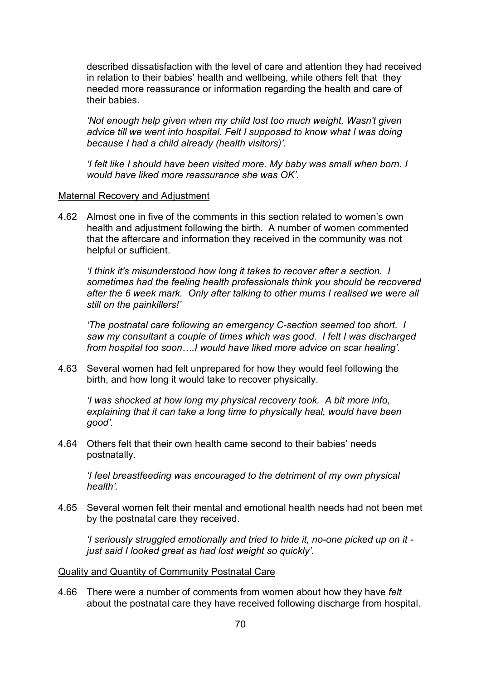described dissatisfaction with the level of care and attention they had received in relation to their babies' health and wellbeing, while others felt that they needed more reassurance or information regarding the health and care of their babies.

*'Not enough help given when my child lost too much weight. Wasn't given advice till we went into hospital. Felt I supposed to know what I was doing because I had a child already (health visitors)'.*

*'I felt like I should have been visited more. My baby was small when born. I would have liked more reassurance she was OK'.*

#### Maternal Recovery and Adjustment

4.62 Almost one in five of the comments in this section related to women's own health and adjustment following the birth. A number of women commented that the aftercare and information they received in the community was not helpful or sufficient.

*'I think it's misunderstood how long it takes to recover after a section. I sometimes had the feeling health professionals think you should be recovered after the 6 week mark. Only after talking to other mums I realised we were all still on the painkillers!'* 

*'The postnatal care following an emergency C-section seemed too short. I saw my consultant a couple of times which was good. I felt I was discharged from hospital too soon….I would have liked more advice on scar healing'.*

4.63 Several women had felt unprepared for how they would feel following the birth, and how long it would take to recover physically.

*'I was shocked at how long my physical recovery took. A bit more info, explaining that it can take a long time to physically heal, would have been good'.*

4.64 Others felt that their own health came second to their babies' needs postnatally.

*'I feel breastfeeding was encouraged to the detriment of my own physical health'.*

4.65 Several women felt their mental and emotional health needs had not been met by the postnatal care they received.

*'I seriously struggled emotionally and tried to hide it, no-one picked up on it just said I looked great as had lost weight so quickly'.*

#### Quality and Quantity of Community Postnatal Care

4.66 There were a number of comments from women about how they have *felt* about the postnatal care they have received following discharge from hospital.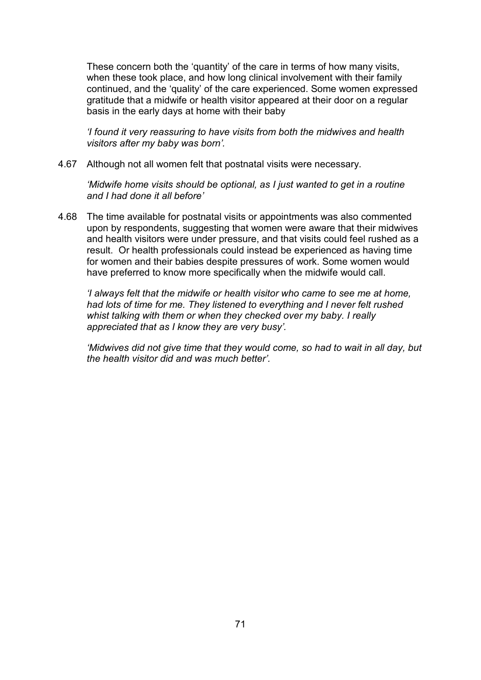These concern both the 'quantity' of the care in terms of how many visits, when these took place, and how long clinical involvement with their family continued, and the 'quality' of the care experienced. Some women expressed gratitude that a midwife or health visitor appeared at their door on a regular basis in the early days at home with their baby

*'I found it very reassuring to have visits from both the midwives and health visitors after my baby was born'.*

4.67 Although not all women felt that postnatal visits were necessary.

*'Midwife home visits should be optional, as I just wanted to get in a routine and I had done it all before'* 

4.68 The time available for postnatal visits or appointments was also commented upon by respondents, suggesting that women were aware that their midwives and health visitors were under pressure, and that visits could feel rushed as a result. Or health professionals could instead be experienced as having time for women and their babies despite pressures of work. Some women would have preferred to know more specifically when the midwife would call.

*'I always felt that the midwife or health visitor who came to see me at home, had lots of time for me. They listened to everything and I never felt rushed whist talking with them or when they checked over my baby. I really appreciated that as I know they are very busy'.*

*'Midwives did not give time that they would come, so had to wait in all day, but the health visitor did and was much better'.*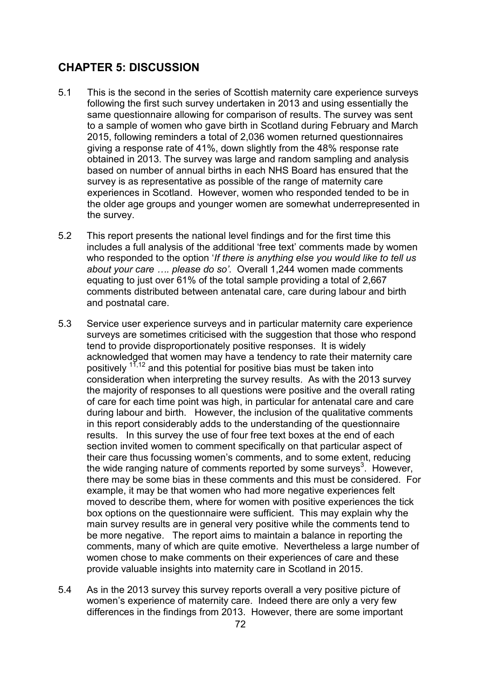# **CHAPTER 5: DISCUSSION**

- 5.1 This is the second in the series of Scottish maternity care experience surveys following the first such survey undertaken in 2013 and using essentially the same questionnaire allowing for comparison of results. The survey was sent to a sample of women who gave birth in Scotland during February and March 2015, following reminders a total of 2,036 women returned questionnaires giving a response rate of 41%, down slightly from the 48% response rate obtained in 2013. The survey was large and random sampling and analysis based on number of annual births in each NHS Board has ensured that the survey is as representative as possible of the range of maternity care experiences in Scotland. However, women who responded tended to be in the older age groups and younger women are somewhat underrepresented in the survey.
- 5.2 This report presents the national level findings and for the first time this includes a full analysis of the additional 'free text' comments made by women who responded to the option '*If there is anything else you would like to tell us about your care …. please do so'*. Overall 1,244 women made comments equating to just over 61% of the total sample providing a total of 2,667 comments distributed between antenatal care, care during labour and birth and postnatal care.
- 5.3 Service user experience surveys and in particular maternity care experience surveys are sometimes criticised with the suggestion that those who respond tend to provide disproportionately positive responses. It is widely acknowledged that women may have a tendency to rate their maternity care positively  $17,12$  and this potential for positive bias must be taken into consideration when interpreting the survey results. As with the 2013 survey the majority of responses to all questions were positive and the overall rating of care for each time point was high, in particular for antenatal care and care during labour and birth. However, the inclusion of the qualitative comments in this report considerably adds to the understanding of the questionnaire results. In this survey the use of four free text boxes at the end of each section invited women to comment specifically on that particular aspect of their care thus focussing women's comments, and to some extent, reducing the wide ranging nature of comments reported by some surveys<sup>3</sup>. However, there may be some bias in these comments and this must be considered. For example, it may be that women who had more negative experiences felt moved to describe them, where for women with positive experiences the tick box options on the questionnaire were sufficient. This may explain why the main survey results are in general very positive while the comments tend to be more negative. The report aims to maintain a balance in reporting the comments, many of which are quite emotive. Nevertheless a large number of women chose to make comments on their experiences of care and these provide valuable insights into maternity care in Scotland in 2015.
- 5.4 As in the 2013 survey this survey reports overall a very positive picture of women's experience of maternity care. Indeed there are only a very few differences in the findings from 2013. However, there are some important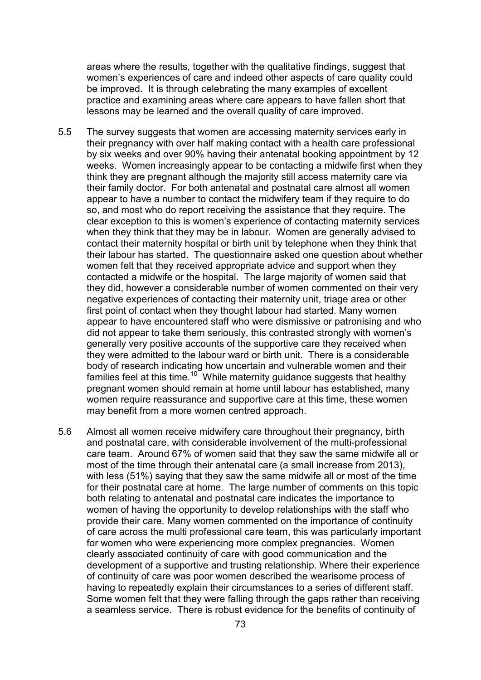areas where the results, together with the qualitative findings, suggest that women's experiences of care and indeed other aspects of care quality could be improved. It is through celebrating the many examples of excellent practice and examining areas where care appears to have fallen short that lessons may be learned and the overall quality of care improved.

- 5.5 The survey suggests that women are accessing maternity services early in their pregnancy with over half making contact with a health care professional by six weeks and over 90% having their antenatal booking appointment by 12 weeks. Women increasingly appear to be contacting a midwife first when they think they are pregnant although the majority still access maternity care via their family doctor. For both antenatal and postnatal care almost all women appear to have a number to contact the midwifery team if they require to do so, and most who do report receiving the assistance that they require. The clear exception to this is women's experience of contacting maternity services when they think that they may be in labour. Women are generally advised to contact their maternity hospital or birth unit by telephone when they think that their labour has started. The questionnaire asked one question about whether women felt that they received appropriate advice and support when they contacted a midwife or the hospital. The large majority of women said that they did, however a considerable number of women commented on their very negative experiences of contacting their maternity unit, triage area or other first point of contact when they thought labour had started. Many women appear to have encountered staff who were dismissive or patronising and who did not appear to take them seriously, this contrasted strongly with women's generally very positive accounts of the supportive care they received when they were admitted to the labour ward or birth unit. There is a considerable body of research indicating how uncertain and vulnerable women and their families feel at this time.<sup>10</sup> While maternity guidance suggests that healthy pregnant women should remain at home until labour has established, many women require reassurance and supportive care at this time, these women may benefit from a more women centred approach.
- 5.6 Almost all women receive midwifery care throughout their pregnancy, birth and postnatal care, with considerable involvement of the multi-professional care team. Around 67% of women said that they saw the same midwife all or most of the time through their antenatal care (a small increase from 2013), with less (51%) saying that they saw the same midwife all or most of the time for their postnatal care at home. The large number of comments on this topic both relating to antenatal and postnatal care indicates the importance to women of having the opportunity to develop relationships with the staff who provide their care. Many women commented on the importance of continuity of care across the multi professional care team, this was particularly important for women who were experiencing more complex pregnancies. Women clearly associated continuity of care with good communication and the development of a supportive and trusting relationship. Where their experience of continuity of care was poor women described the wearisome process of having to repeatedly explain their circumstances to a series of different staff. Some women felt that they were falling through the gaps rather than receiving a seamless service. There is robust evidence for the benefits of continuity of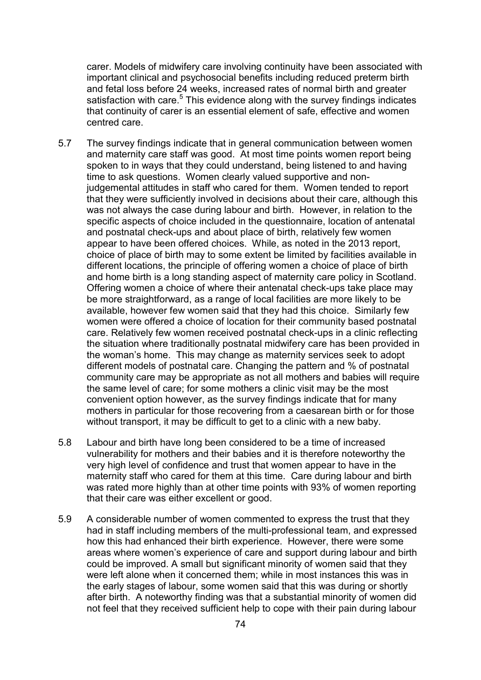carer. Models of midwifery care involving continuity have been associated with important clinical and psychosocial benefits including reduced preterm birth and fetal loss before 24 weeks, increased rates of normal birth and greater satisfaction with care.<sup>5</sup> This evidence along with the survey findings indicates that continuity of carer is an essential element of safe, effective and women centred care.

- 5.7 The survey findings indicate that in general communication between women and maternity care staff was good. At most time points women report being spoken to in ways that they could understand, being listened to and having time to ask questions. Women clearly valued supportive and nonjudgemental attitudes in staff who cared for them. Women tended to report that they were sufficiently involved in decisions about their care, although this was not always the case during labour and birth. However, in relation to the specific aspects of choice included in the questionnaire, location of antenatal and postnatal check-ups and about place of birth, relatively few women appear to have been offered choices. While, as noted in the 2013 report, choice of place of birth may to some extent be limited by facilities available in different locations, the principle of offering women a choice of place of birth and home birth is a long standing aspect of maternity care policy in Scotland. Offering women a choice of where their antenatal check-ups take place may be more straightforward, as a range of local facilities are more likely to be available, however few women said that they had this choice. Similarly few women were offered a choice of location for their community based postnatal care. Relatively few women received postnatal check-ups in a clinic reflecting the situation where traditionally postnatal midwifery care has been provided in the woman's home. This may change as maternity services seek to adopt different models of postnatal care. Changing the pattern and % of postnatal community care may be appropriate as not all mothers and babies will require the same level of care; for some mothers a clinic visit may be the most convenient option however, as the survey findings indicate that for many mothers in particular for those recovering from a caesarean birth or for those without transport, it may be difficult to get to a clinic with a new baby.
- 5.8 Labour and birth have long been considered to be a time of increased vulnerability for mothers and their babies and it is therefore noteworthy the very high level of confidence and trust that women appear to have in the maternity staff who cared for them at this time. Care during labour and birth was rated more highly than at other time points with 93% of women reporting that their care was either excellent or good.
- 5.9 A considerable number of women commented to express the trust that they had in staff including members of the multi-professional team, and expressed how this had enhanced their birth experience. However, there were some areas where women's experience of care and support during labour and birth could be improved. A small but significant minority of women said that they were left alone when it concerned them; while in most instances this was in the early stages of labour, some women said that this was during or shortly after birth. A noteworthy finding was that a substantial minority of women did not feel that they received sufficient help to cope with their pain during labour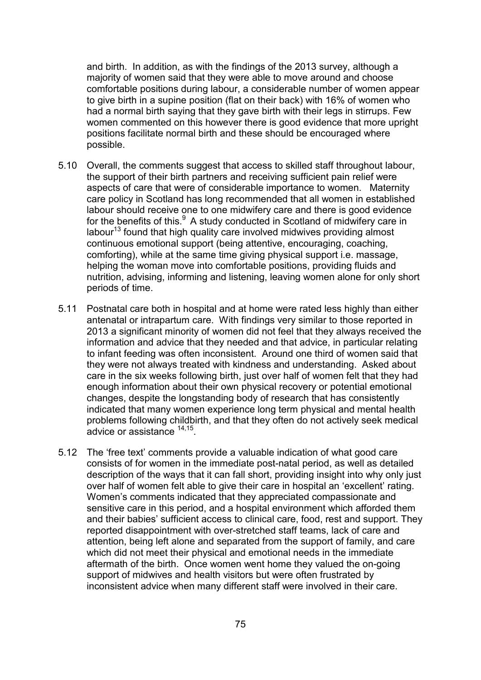and birth. In addition, as with the findings of the 2013 survey, although a majority of women said that they were able to move around and choose comfortable positions during labour, a considerable number of women appear to give birth in a supine position (flat on their back) with 16% of women who had a normal birth saying that they gave birth with their legs in stirrups. Few women commented on this however there is good evidence that more upright positions facilitate normal birth and these should be encouraged where possible.

- 5.10 Overall, the comments suggest that access to skilled staff throughout labour, the support of their birth partners and receiving sufficient pain relief were aspects of care that were of considerable importance to women. Maternity care policy in Scotland has long recommended that all women in established labour should receive one to one midwifery care and there is good evidence for the benefits of this. $9$  A study conducted in Scotland of midwifery care in labour $13$  found that high quality care involved midwives providing almost continuous emotional support (being attentive, encouraging, coaching, comforting), while at the same time giving physical support i.e. massage, helping the woman move into comfortable positions, providing fluids and nutrition, advising, informing and listening, leaving women alone for only short periods of time.
- 5.11 Postnatal care both in hospital and at home were rated less highly than either antenatal or intrapartum care. With findings very similar to those reported in 2013 a significant minority of women did not feel that they always received the information and advice that they needed and that advice, in particular relating to infant feeding was often inconsistent. Around one third of women said that they were not always treated with kindness and understanding. Asked about care in the six weeks following birth, just over half of women felt that they had enough information about their own physical recovery or potential emotional changes, despite the longstanding body of research that has consistently indicated that many women experience long term physical and mental health problems following childbirth, and that they often do not actively seek medical advice or assistance <sup>14,15</sup>.
- 5.12 The 'free text' comments provide a valuable indication of what good care consists of for women in the immediate post-natal period, as well as detailed description of the ways that it can fall short, providing insight into why only just over half of women felt able to give their care in hospital an 'excellent' rating. Women's comments indicated that they appreciated compassionate and sensitive care in this period, and a hospital environment which afforded them and their babies' sufficient access to clinical care, food, rest and support. They reported disappointment with over-stretched staff teams, lack of care and attention, being left alone and separated from the support of family, and care which did not meet their physical and emotional needs in the immediate aftermath of the birth. Once women went home they valued the on-going support of midwives and health visitors but were often frustrated by inconsistent advice when many different staff were involved in their care.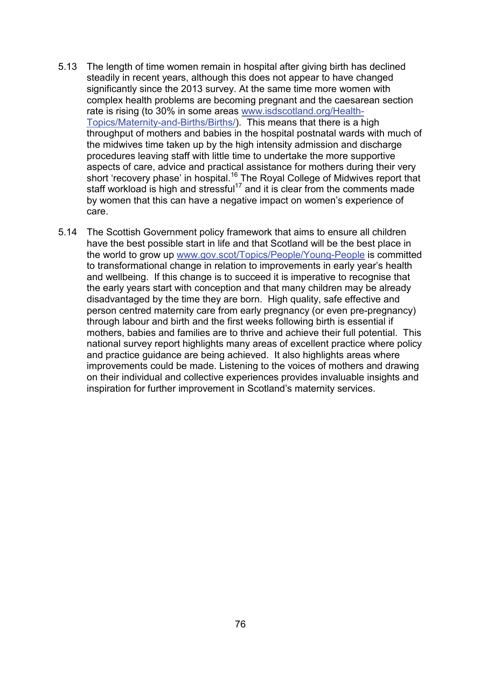- 5.13 The length of time women remain in hospital after giving birth has declined steadily in recent years, although this does not appear to have changed significantly since the 2013 survey. At the same time more women with complex health problems are becoming pregnant and the caesarean section rate is rising (to 30% in some areas [www.isdscotland.org/Health-](http://www.isdscotland.org/Health-Topics/Maternity-and-Births/Births/)[Topics/Maternity-and-Births/Births/\)](http://www.isdscotland.org/Health-Topics/Maternity-and-Births/Births/). This means that there is a high throughput of mothers and babies in the hospital postnatal wards with much of the midwives time taken up by the high intensity admission and discharge procedures leaving staff with little time to undertake the more supportive aspects of care, advice and practical assistance for mothers during their very short 'recovery phase' in hospital.<sup>16</sup> The Royal College of Midwives report that staff workload is high and stressful<sup>17</sup> and it is clear from the comments made by women that this can have a negative impact on women's experience of care.
- 5.14 The Scottish Government policy framework that aims to ensure all children have the best possible start in life and that Scotland will be the best place in the world to grow up [www.gov.scot/Topics/People/Young-People](http://www.gov.scot/Topics/People/Young-People) is committed to transformational change in relation to improvements in early year's health and wellbeing. If this change is to succeed it is imperative to recognise that the early years start with conception and that many children may be already disadvantaged by the time they are born. High quality, safe effective and person centred maternity care from early pregnancy (or even pre-pregnancy) through labour and birth and the first weeks following birth is essential if mothers, babies and families are to thrive and achieve their full potential. This national survey report highlights many areas of excellent practice where policy and practice guidance are being achieved. It also highlights areas where improvements could be made. Listening to the voices of mothers and drawing on their individual and collective experiences provides invaluable insights and inspiration for further improvement in Scotland's maternity services.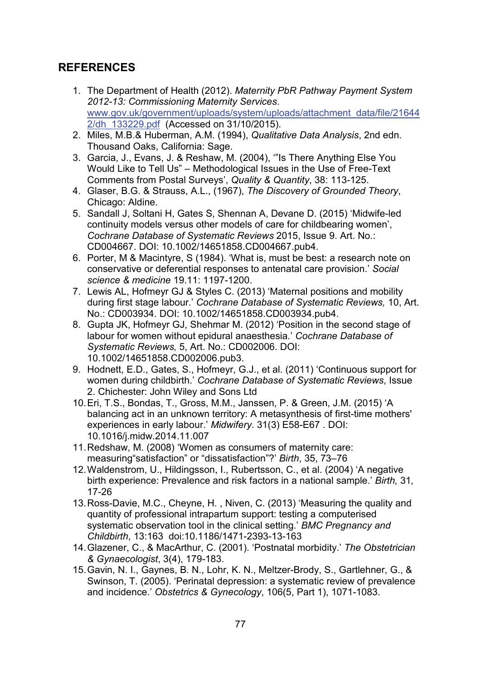## **REFERENCES**

- 1. The Department of Health (2012). *Maternity PbR Pathway Payment System 2012-13: Commissioning Maternity Services*. [www.gov.uk/government/uploads/system/uploads/attachment\\_data/file/21644](https://www.gov.uk/government/uploads/system/uploads/attachment_data/file/216442/dh_133229.pdf) [2/dh\\_133229.pdf](https://www.gov.uk/government/uploads/system/uploads/attachment_data/file/216442/dh_133229.pdf) (Accessed on 31/10/2015).
- 2. Miles, M.B.& Huberman, A.M. (1994), *Qualitative Data Analysis*, 2nd edn. Thousand Oaks, California: Sage.
- 3. Garcia, J., Evans, J. & Reshaw, M. (2004), '"Is There Anything Else You Would Like to Tell Us" – Methodological Issues in the Use of Free-Text Comments from Postal Surveys', *Quality & Quantity*, 38: 113-125.
- 4. Glaser, B.G. & Strauss, A.L., (1967), *The Discovery of Grounded Theory*, Chicago: Aldine.
- 5. Sandall J, Soltani H, Gates S, Shennan A, Devane D. (2015) 'Midwife-led continuity models versus other models of care for childbearing women', *Cochrane Database of Systematic Reviews* 2015, Issue 9. Art. No.: CD004667. DOI: 10.1002/14651858.CD004667.pub4.
- 6. Porter, M & Macintyre, S (1984). 'What is, must be best: a research note on conservative or deferential responses to antenatal care provision.' *Social science & medicine* 19.11: 1197-1200.
- 7. Lewis AL, Hofmeyr GJ & Styles C. (2013) 'Maternal positions and mobility during first stage labour.' *Cochrane Database of Systematic Reviews,* 10, Art. No.: CD003934. DOI: 10.1002/14651858.CD003934.pub4.
- 8. Gupta JK, Hofmeyr GJ, Shehmar M. (2012) 'Position in the second stage of labour for women without epidural anaesthesia*.*' *Cochrane Database of Systematic Reviews,* 5, Art. No.: CD002006. DOI: 10.1002/14651858.CD002006.pub3.
- 9. Hodnett, E.D., Gates, S., Hofmeyr, G.J., et al. (2011) 'Continuous support for women during childbirth.' *Cochrane Database of Systematic Reviews*, Issue 2. Chichester: John Wiley and Sons Ltd
- 10.Eri, T.S., Bondas, T., Gross, M.M., Janssen, P. & Green, J.M. (2015) 'A balancing act in an unknown territory: A metasynthesis of first-time mothers' experiences in early labour.' *Midwifery*. 31(3) E58-E67 . DOI: 10.1016/j.midw.2014.11.007
- 11.Redshaw, M. (2008) 'Women as consumers of maternity care: measuring"satisfaction" or "dissatisfaction"?' *Birth*, 35, 73–76
- 12.Waldenstrom, U., Hildingsson, I., Rubertsson, C., et al. (2004) 'A negative birth experience: Prevalence and risk factors in a national sample.' *Birth,* 31*,* 17-26
- 13.Ross-Davie, M.C., Cheyne, H. , Niven, C. (2013) 'Measuring the quality and quantity of professional intrapartum support: testing a computerised systematic observation tool in the clinical setting.' *BMC Pregnancy and Childbirth*, 13:163 doi:10.1186/1471-2393-13-163
- 14.Glazener, C., & MacArthur, C. (2001). 'Postnatal morbidity.' *The Obstetrician & Gynaecologist*, 3(4), 179-183.
- 15.Gavin, N. I., Gaynes, B. N., Lohr, K. N., Meltzer-Brody, S., Gartlehner, G., & Swinson, T. (2005). 'Perinatal depression: a systematic review of prevalence and incidence.' *Obstetrics & Gynecology*, 106(5, Part 1), 1071-1083.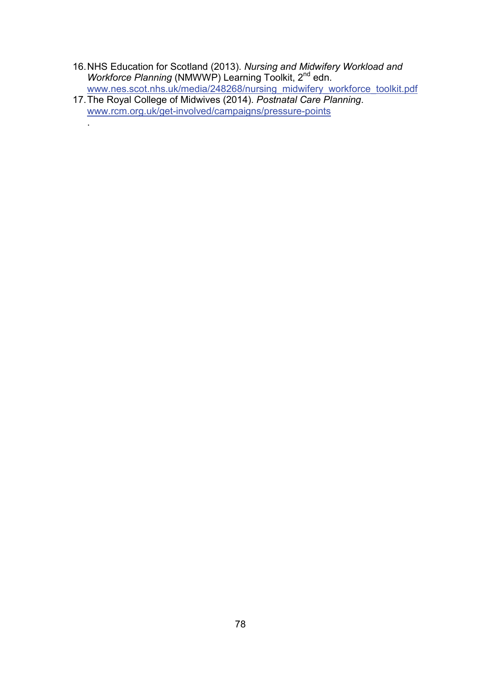- 16.NHS Education for Scotland (2013). *Nursing and Midwifery Workload and Workforce Planning* (NMWWP) Learning Toolkit, 2<sup>nd</sup> edn. [www.nes.scot.nhs.uk/media/248268/nursing\\_midwifery\\_workforce\\_toolkit.pdf](http://www.nes.scot.nhs.uk/media/248268/nursing_midwifery_workforce_toolkit.pdf)
- 17.The Royal College of Midwives (2014). *Postnatal Care Planning*. [www.rcm.org.uk/get-involved/campaigns/pressure-points](https://www.rcm.org.uk/get-involved/campaigns/pressure-points)

.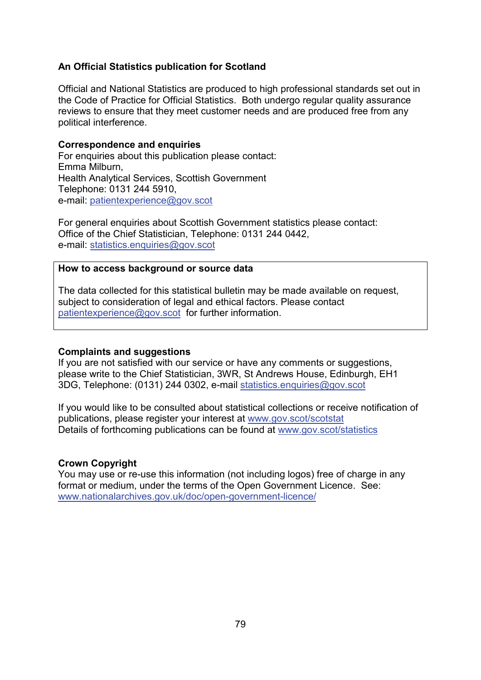### **An Official Statistics publication for Scotland**

Official and National Statistics are produced to high professional standards set out in the Code of Practice for Official Statistics. Both undergo regular quality assurance reviews to ensure that they meet customer needs and are produced free from any political interference.

#### **Correspondence and enquiries**

For enquiries about this publication please contact: Emma Milburn, Health Analytical Services, Scottish Government Telephone: 0131 244 5910, e-mail: [patientexperience@gov.scot](mailto:patientexperience@gov.scot)

For general enquiries about Scottish Government statistics please contact: Office of the Chief Statistician, Telephone: 0131 244 0442, e-mail: [statistics.enquiries@gov.scot](mailto:statistics.enquiries@gov.scot)

#### **How to access background or source data**

The data collected for this statistical bulletin may be made available on request, subject to consideration of legal and ethical factors. Please contact [patientexperience@gov.scot](mailto:patientexperience@gov.scot) for further information.

#### **Complaints and suggestions**

If you are not satisfied with our service or have any comments or suggestions, please write to the Chief Statistician, 3WR, St Andrews House, Edinburgh, EH1 3DG, Telephone: (0131) 244 0302, e-mail [statistics.enquiries@gov.scot](mailto:statistics.enquiries@gov.scot)

If you would like to be consulted about statistical collections or receive notification of publications, please register your interest at [www.gov.scot/scotstat](http://www.gov.scot/scotstat) Details of forthcoming publications can be found at [www.gov.scot/statistics](http://www.gov.scot/statistics)

#### **Crown Copyright**

You may use or re-use this information (not including logos) free of charge in any format or medium, under the terms of the Open Government Licence. See: [www.nationalarchives.gov.uk/doc/open-government-licence/](http://www.nationalarchives.gov.uk/doc/open-government-licence/)